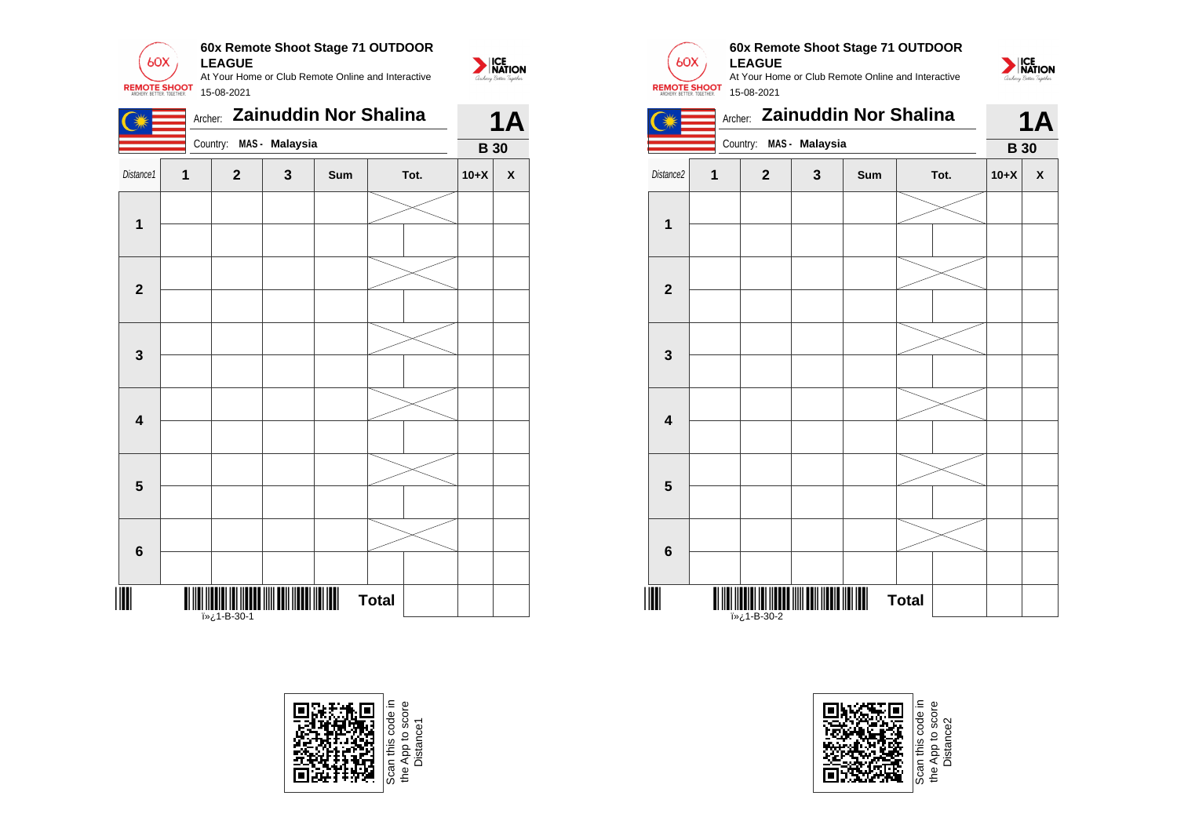



\*1-B-30-1\* <del>..............</del><br>1-B-30-1خ **«**آ



**Total** 

 $60X$ **REMOTE SHOOT**  **60x Remote Shoot Stage 71 OUTDOOR LEAGUE** At Your Home or Club Remote Online and Interactive







Distance2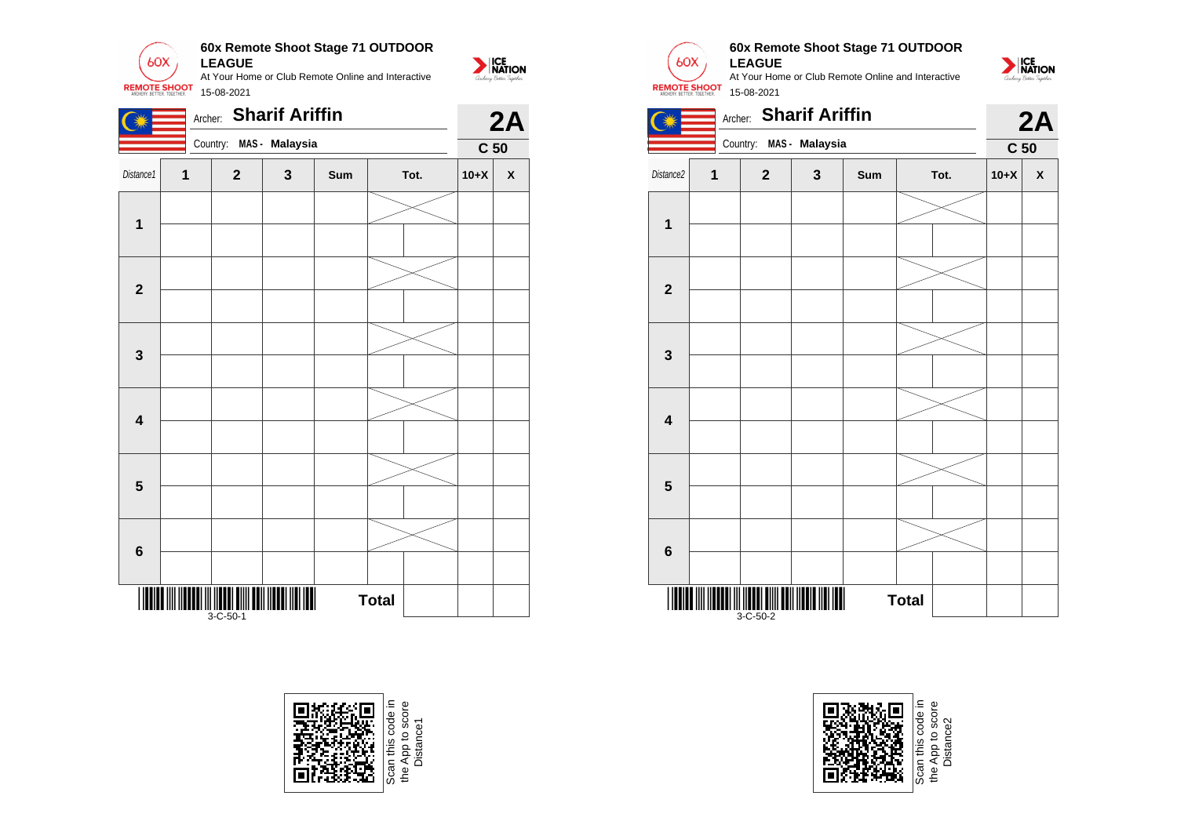

|                         |   | <b>Sharif Ariffin</b><br>Archer: |                | 2A  |              |                 |              |
|-------------------------|---|----------------------------------|----------------|-----|--------------|-----------------|--------------|
|                         |   | Country:                         | MAS - Malaysia |     |              | C <sub>50</sub> |              |
| Distance1               | 1 | $\mathbf{2}$                     | $\mathbf{3}$   | Sum | Tot.         | $10+X$          | $\mathsf{X}$ |
|                         |   |                                  |                |     |              |                 |              |
| $\mathbf{1}$            |   |                                  |                |     |              |                 |              |
|                         |   |                                  |                |     |              |                 |              |
| $\mathbf 2$             |   |                                  |                |     |              |                 |              |
|                         |   |                                  |                |     |              |                 |              |
| $\mathbf 3$             |   |                                  |                |     |              |                 |              |
|                         |   |                                  |                |     |              |                 |              |
| $\overline{\mathbf{4}}$ |   |                                  |                |     |              |                 |              |
|                         |   |                                  |                |     |              |                 |              |
| $\overline{\mathbf{5}}$ |   |                                  |                |     |              |                 |              |
|                         |   |                                  |                |     |              |                 |              |
| $\bf 6$                 |   |                                  |                |     |              |                 |              |
|                         |   |                                  |                |     |              |                 |              |
| $\mathop{  }$           |   | $3 - C - 50 - 1$                 |                |     | <b>Total</b> |                 |              |





## **60x Remote Shoot Stage 71 OUTDOOR LEAGUE**







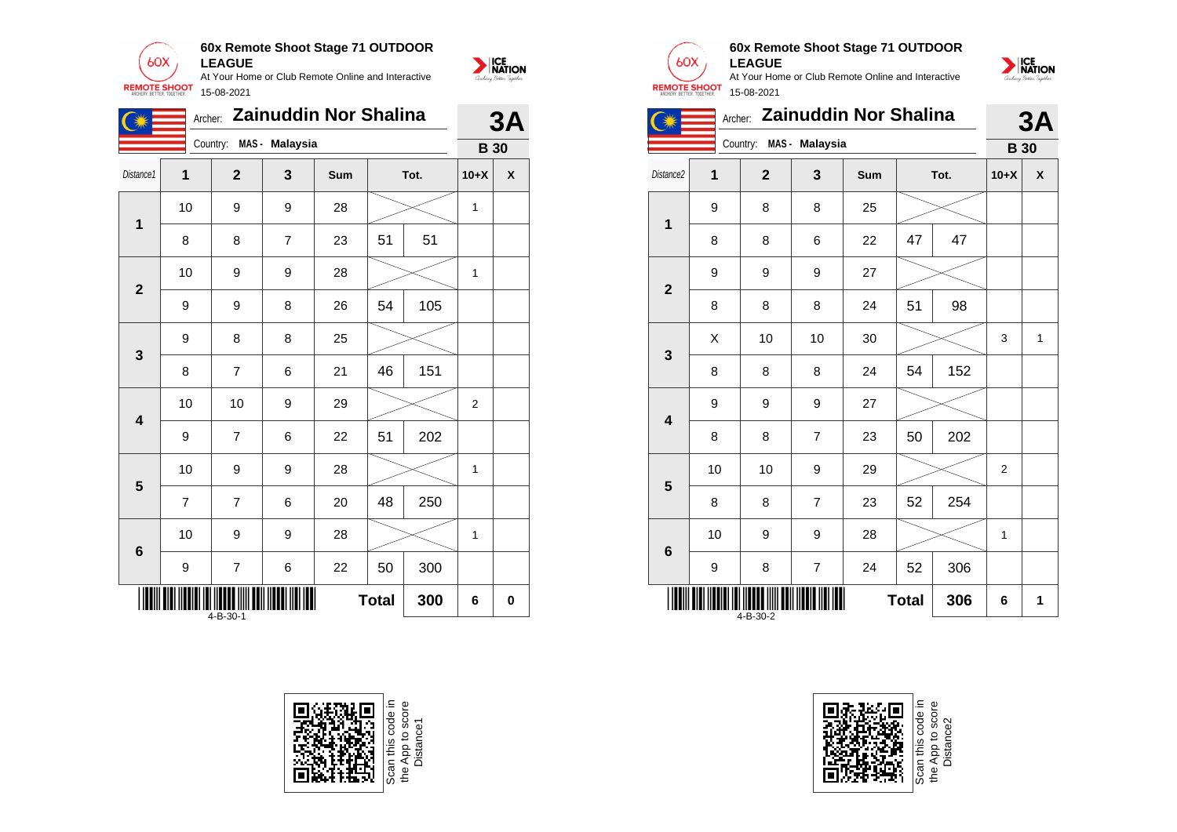

|                         | Archer: Zainuddin Nor Shalina<br>Country: |                |                |     |              |     | 3A             |   |  |
|-------------------------|-------------------------------------------|----------------|----------------|-----|--------------|-----|----------------|---|--|
|                         |                                           |                | MAS - Malaysia |     |              |     | <b>B</b> 30    |   |  |
| Distance1               | 1                                         | $\overline{2}$ | 3              | Sum | Tot.         |     | $10+X$         | X |  |
| 1                       | 10                                        | 9              | 9              | 28  |              |     | 1              |   |  |
|                         | 8                                         | 8              | $\overline{7}$ | 23  | 51           | 51  |                |   |  |
| $\overline{2}$          | 10                                        | 9              | 9              | 28  |              |     | 1              |   |  |
|                         | 9                                         | 9              | 8              | 26  | 54           | 105 |                |   |  |
| 3                       | 9                                         | 8              | 8              | 25  |              |     |                |   |  |
|                         | 8                                         | $\overline{7}$ | 6              | 21  | 46           | 151 |                |   |  |
| $\overline{\mathbf{4}}$ | 10                                        | 10             | 9              | 29  |              |     | $\overline{2}$ |   |  |
|                         | 9                                         | $\overline{7}$ | 6              | 22  | 51           | 202 |                |   |  |
| 5                       | 10                                        | 9              | 9              | 28  |              |     | 1              |   |  |
|                         | 7                                         | $\overline{7}$ | 6              | 20  | 48           | 250 |                |   |  |
| $6\phantom{1}6$         | 10                                        | 9              | 9              | 28  |              |     | 1              |   |  |
|                         | 9                                         | $\overline{7}$ | 6              | 22  | 50           | 300 |                |   |  |
|                         | 4-B-30-1                                  |                |                |     | <b>Total</b> | 300 | 6              | 0 |  |





## **60x Remote Shoot Stage 71 OUTDOOR LEAGUE**



|                         | <b>Zainuddin Nor Shalina</b><br>Archer: |                |                |     |      |     |                | 3A |
|-------------------------|-----------------------------------------|----------------|----------------|-----|------|-----|----------------|----|
|                         |                                         | Country:       | MAS - Malaysia |     |      |     | <b>B</b> 30    |    |
| Distance <sub>2</sub>   | $\overline{1}$                          | $\overline{2}$ | 3              | Sum | Tot. |     | $10+X$         | X  |
| 1                       | 9                                       | 8              | 8              | 25  |      |     |                |    |
|                         | 8                                       | 8              | 6              | 22  | 47   | 47  |                |    |
| $\overline{2}$          | 9                                       | 9              | 9              | 27  |      |     |                |    |
|                         | 8                                       | 8              | 8              | 24  | 51   | 98  |                |    |
| 3                       | X                                       | 10             | 10             | 30  |      |     | 3              | 1  |
|                         | 8                                       | 8              | 8              | 24  | 54   | 152 |                |    |
| $\overline{\mathbf{4}}$ | 9                                       | 9              | 9              | 27  |      |     |                |    |
|                         | 8                                       | 8              | $\overline{7}$ | 23  | 50   | 202 |                |    |
| 5                       | 10                                      | 10             | 9              | 29  |      |     | $\overline{2}$ |    |
|                         | 8                                       | 8              | 7              | 23  | 52   | 254 |                |    |
| $6\phantom{1}6$         | 10                                      | 9              | 9              | 28  |      |     | 1              |    |
|                         | 9                                       | 8              | $\overline{7}$ | 24  | 52   | 306 |                |    |
|                         | <b>Total</b><br>306<br>4-B-30-2         |                |                |     |      |     |                | 1  |

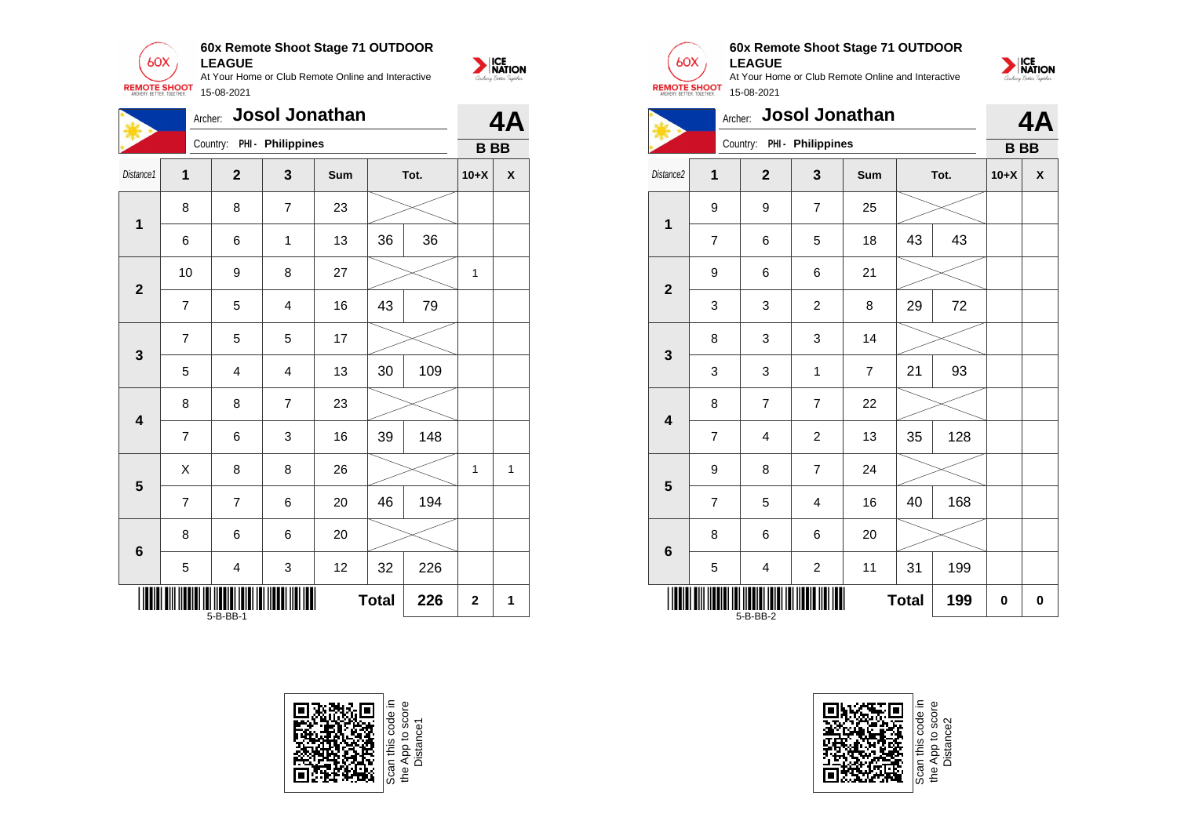

**60x Remote Shoot Stage 71 OUTDOOR LEAGUE**

At Your Home or Club Remote Online and Interactive 15-08-2021

**NATION** 

|                                                   | <b>Josol Jonathan</b><br>Archer: |                            |                         |     |      |     |           |   |  |
|---------------------------------------------------|----------------------------------|----------------------------|-------------------------|-----|------|-----|-----------|---|--|
|                                                   |                                  | Country: PHI - Philippines |                         |     |      |     | <b>BB</b> |   |  |
| Distance1                                         | $\overline{\mathbf{1}}$          | $\overline{2}$             | 3                       | Sum | Tot. |     | $10+X$    | χ |  |
| $\mathbf{1}$                                      | 8                                | 8                          | $\overline{7}$          | 23  |      |     |           |   |  |
|                                                   | 6                                | 6                          | 1                       | 13  | 36   | 36  |           |   |  |
| $\overline{2}$                                    | 10                               | 9                          | 8                       | 27  |      |     | 1         |   |  |
|                                                   | $\overline{7}$                   | 5                          | $\overline{\mathbf{4}}$ | 16  | 43   | 79  |           |   |  |
| $\mathbf{3}$                                      | 7                                | 5                          | 5                       | 17  |      |     |           |   |  |
|                                                   | 5                                | 4                          | 4                       | 13  | 30   | 109 |           |   |  |
| $\overline{\mathbf{4}}$                           | 8                                | 8                          | $\overline{7}$          | 23  |      |     |           |   |  |
|                                                   | $\overline{7}$                   | 6                          | 3                       | 16  | 39   | 148 |           |   |  |
| 5                                                 | Χ                                | 8                          | 8                       | 26  |      |     | 1         | 1 |  |
|                                                   | 7                                | $\overline{7}$             | 6                       | 20  | 46   | 194 |           |   |  |
| $\bf 6$                                           | 8                                | 6                          | 6                       | 20  |      |     |           |   |  |
|                                                   | 5                                | $\overline{\mathbf{4}}$    | 3                       | 12  | 32   | 226 |           |   |  |
| <b>Total</b><br>226<br>$\overline{2}$<br>5-B-BB-1 |                                  |                            |                         |     |      |     |           |   |  |





# **60x Remote Shoot Stage 71 OUTDOOR LEAGUE**



|                         | Josol Jonathan<br>Archer: |                |                            |                |      |     |           |   |  |
|-------------------------|---------------------------|----------------|----------------------------|----------------|------|-----|-----------|---|--|
|                         |                           |                | Country: PHI - Philippines |                |      |     | <b>BB</b> |   |  |
| Distance <sub>2</sub>   | 1                         | $\overline{2}$ | 3                          | Sum            | Tot. |     | $10+X$    | X |  |
| 1                       | 9                         | 9              | 7                          | 25             |      |     |           |   |  |
|                         | $\overline{7}$            | 6              | 5                          | 18             | 43   | 43  |           |   |  |
| $\overline{2}$          | 9                         | 6              | 6                          | 21             |      |     |           |   |  |
|                         | 3                         | 3              | $\overline{c}$             | 8              | 29   | 72  |           |   |  |
| 3                       | 8                         | 3              | 3                          | 14             |      |     |           |   |  |
|                         | 3                         | 3              | $\mathbf{1}$               | $\overline{7}$ | 21   | 93  |           |   |  |
| $\overline{\mathbf{4}}$ | 8                         | $\overline{7}$ | $\overline{7}$             | 22             |      |     |           |   |  |
|                         | $\overline{7}$            | 4              | $\overline{c}$             | 13             | 35   | 128 |           |   |  |
| 5                       | 9                         | 8              | $\overline{7}$             | 24             |      |     |           |   |  |
|                         | $\overline{7}$            | 5              | $\overline{4}$             | 16             | 40   | 168 |           |   |  |
| $\bf 6$                 | 8                         | 6              | 6                          | 20             |      |     |           |   |  |
|                         | 5                         | 4              | $\overline{c}$             | 11             | 31   | 199 |           |   |  |
|                         | <b>Total</b><br>5-B-BB-2  |                |                            |                |      |     | 0         | 0 |  |



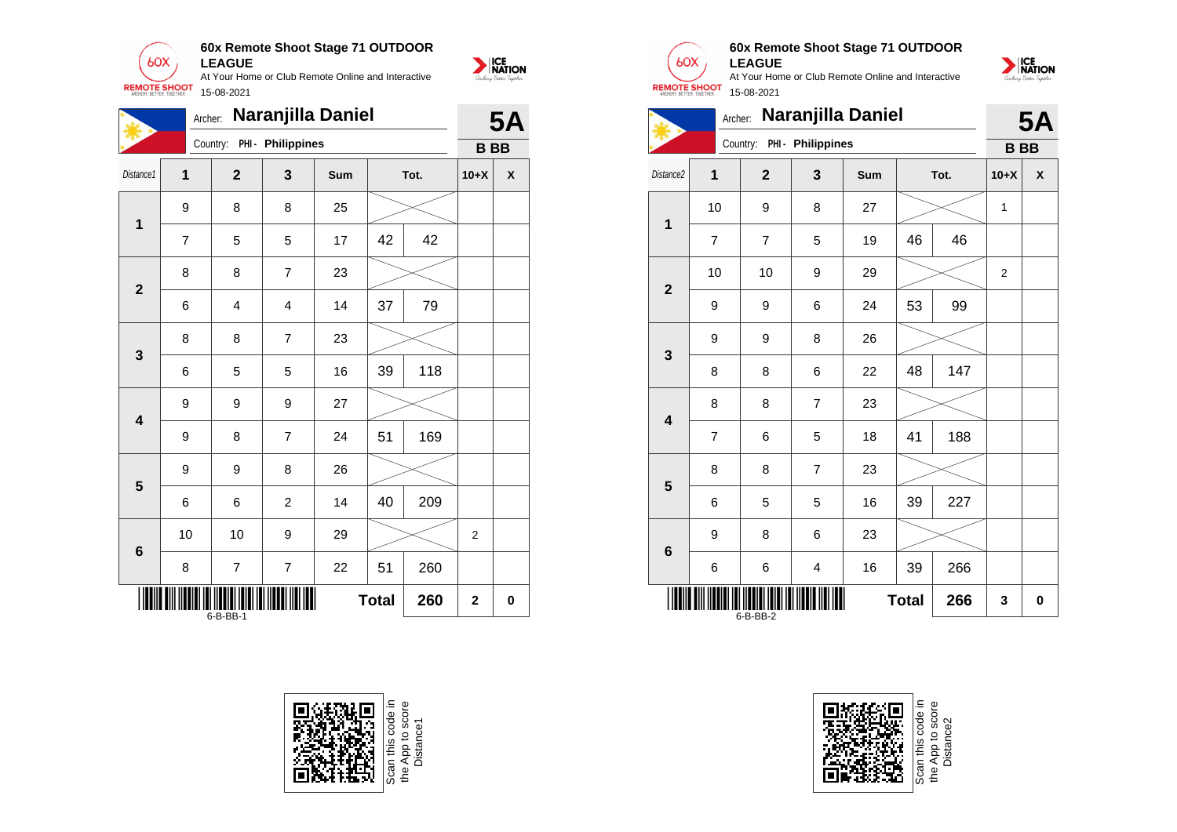

**60x Remote Shoot Stage 71 OUTDOOR**

NATION

|                         | Naranjilla Daniel<br>Archer: |                |                            |     |              |     |                |           |  |
|-------------------------|------------------------------|----------------|----------------------------|-----|--------------|-----|----------------|-----------|--|
|                         |                              |                | Country: PHI - Philippines |     |              |     | <b>BB</b>      | <b>5A</b> |  |
| Distance1               | $\overline{1}$               | $\mathbf{2}$   | 3                          | Sum | Tot.         |     | $10+X$         | χ         |  |
|                         | 9                            | 8              | 8                          | 25  |              |     |                |           |  |
| $\mathbf 1$             | 7                            | 5              | 5                          | 17  | 42           | 42  |                |           |  |
| $\overline{2}$          | 8                            | 8              | $\overline{7}$             | 23  |              |     |                |           |  |
|                         | 6                            | 4              | $\overline{\mathbf{4}}$    | 14  | 37           | 79  |                |           |  |
| 3                       | 8                            | 8              | 7                          | 23  |              |     |                |           |  |
|                         | 6                            | 5              | 5                          | 16  | 39           | 118 |                |           |  |
| $\overline{\mathbf{4}}$ | 9                            | 9              | 9                          | 27  |              |     |                |           |  |
|                         | 9                            | 8              | $\overline{7}$             | 24  | 51           | 169 |                |           |  |
| $\overline{\mathbf{5}}$ | 9                            | 9              | 8                          | 26  |              |     |                |           |  |
|                         | 6                            | 6              | $\overline{c}$             | 14  | 40           | 209 |                |           |  |
| 6                       | 10                           | 10             | 9                          | 29  |              |     | $\overline{2}$ |           |  |
|                         | 8                            | $\overline{7}$ | $\overline{7}$             | 22  | 51           | 260 |                |           |  |
|                         |                              | 6-B-BB-1       |                            |     | <b>Total</b> | 260 | $\overline{2}$ | 0         |  |





## **60x Remote Shoot Stage 71 OUTDOOR LEAGUE**

NATION

|                         |                | Archer:                    |                         | Naranjilla Daniel |              |      |           | <b>5A</b> |
|-------------------------|----------------|----------------------------|-------------------------|-------------------|--------------|------|-----------|-----------|
|                         |                | Country: PHI - Philippines |                         |                   |              |      | <b>BB</b> |           |
| Distance <sub>2</sub>   | 1              | $\overline{2}$             | 3                       | Sum               |              | Tot. | $10+X$    | X         |
| 1                       | 10             | 9                          | 8                       | 27                |              |      | 1         |           |
|                         | 7              | $\overline{7}$             | 5                       | 19                | 46           | 46   |           |           |
| $\overline{2}$          | 10             | 10                         | 9                       | 29                |              |      | 2         |           |
|                         | 9              | 9                          | 6                       | 24                | 53           | 99   |           |           |
| 3                       | 9              | 9                          | 8                       | 26                |              |      |           |           |
|                         | 8              | 8                          | 6                       | 22                | 48           | 147  |           |           |
| $\overline{\mathbf{4}}$ | 8              | 8                          | $\overline{7}$          | 23                |              |      |           |           |
|                         | $\overline{7}$ | 6                          | 5                       | 18                | 41           | 188  |           |           |
| 5                       | 8              | 8                          | $\overline{7}$          | 23                |              |      |           |           |
|                         | 6              | 5                          | 5                       | 16                | 39           | 227  |           |           |
| $6\phantom{1}6$         | 9              | 8                          | 6                       | 23                |              |      |           |           |
|                         | 6              | 6                          | $\overline{\mathbf{4}}$ | 16                | 39           | 266  |           |           |
|                         |                | 6-B-BB-2                   |                         |                   | <b>Total</b> | 266  | 3         | 0         |

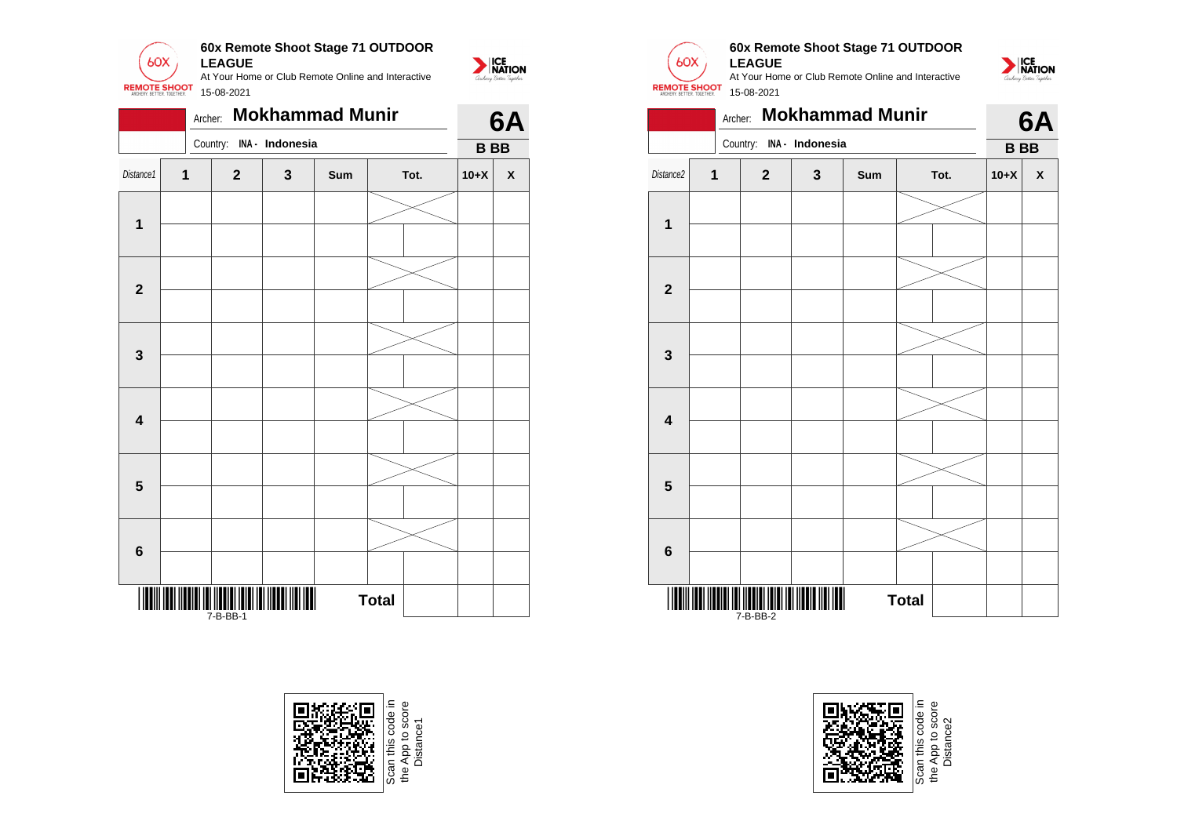

|                         |   | Archer: |                                                    |   | <b>Mokhammad Munir</b> |              |  |           | 6A                 |
|-------------------------|---|---------|----------------------------------------------------|---|------------------------|--------------|--|-----------|--------------------|
|                         |   |         | Country: INA - Indonesia                           |   |                        |              |  | <b>BB</b> |                    |
| Distance1               | 1 |         | $\mathbf{2}$                                       | 3 | Sum                    | Tot.         |  | $10+X$    | $\pmb{\mathsf{X}}$ |
|                         |   |         |                                                    |   |                        |              |  |           |                    |
| 1                       |   |         |                                                    |   |                        |              |  |           |                    |
|                         |   |         |                                                    |   |                        |              |  |           |                    |
| $\mathbf{2}$            |   |         |                                                    |   |                        |              |  |           |                    |
|                         |   |         |                                                    |   |                        |              |  |           |                    |
| $\mathbf{3}$            |   |         |                                                    |   |                        |              |  |           |                    |
|                         |   |         |                                                    |   |                        |              |  |           |                    |
| $\overline{\mathbf{4}}$ |   |         |                                                    |   |                        |              |  |           |                    |
|                         |   |         |                                                    |   |                        |              |  |           |                    |
| $5\phantom{1}$          |   |         |                                                    |   |                        |              |  |           |                    |
|                         |   |         |                                                    |   |                        |              |  |           |                    |
| $\bf 6$                 |   |         |                                                    |   |                        |              |  |           |                    |
|                         |   |         | <b>TITUL INI INI INI INI INI INI</b><br>$7-B-BB-1$ |   |                        | <b>Total</b> |  |           |                    |





## **60x Remote Shoot Stage 71 OUTDOOR LEAGUE**

At Your Home or Club Remote Online and Interactive 15-08-2021



|                         | <b>Mokhammad Munir</b><br>Archer: |              |                          |     |              |      |           |                    |  |  |
|-------------------------|-----------------------------------|--------------|--------------------------|-----|--------------|------|-----------|--------------------|--|--|
|                         |                                   |              | Country: INA - Indonesia |     |              |      | <b>BB</b> |                    |  |  |
| Distance <sub>2</sub>   | $\overline{1}$                    | $\mathbf{2}$ | 3                        | Sum |              | Tot. | $10+X$    | $\pmb{\mathsf{X}}$ |  |  |
|                         |                                   |              |                          |     |              |      |           |                    |  |  |
| 1                       |                                   |              |                          |     |              |      |           |                    |  |  |
|                         |                                   |              |                          |     |              |      |           |                    |  |  |
| $\mathbf{2}$            |                                   |              |                          |     |              |      |           |                    |  |  |
|                         |                                   |              |                          |     |              |      |           |                    |  |  |
| 3                       |                                   |              |                          |     |              |      |           |                    |  |  |
|                         |                                   |              |                          |     |              |      |           |                    |  |  |
| $\overline{\mathbf{4}}$ |                                   |              |                          |     |              |      |           |                    |  |  |
|                         |                                   |              |                          |     |              |      |           |                    |  |  |
| 5                       |                                   |              |                          |     |              |      |           |                    |  |  |
|                         |                                   |              |                          |     |              |      |           |                    |  |  |
| $6\phantom{1}6$         |                                   |              |                          |     |              |      |           |                    |  |  |
|                         |                                   | 7-B-BB-2     |                          |     | <b>Total</b> |      |           |                    |  |  |



App to sco<br>Distance2 Distance2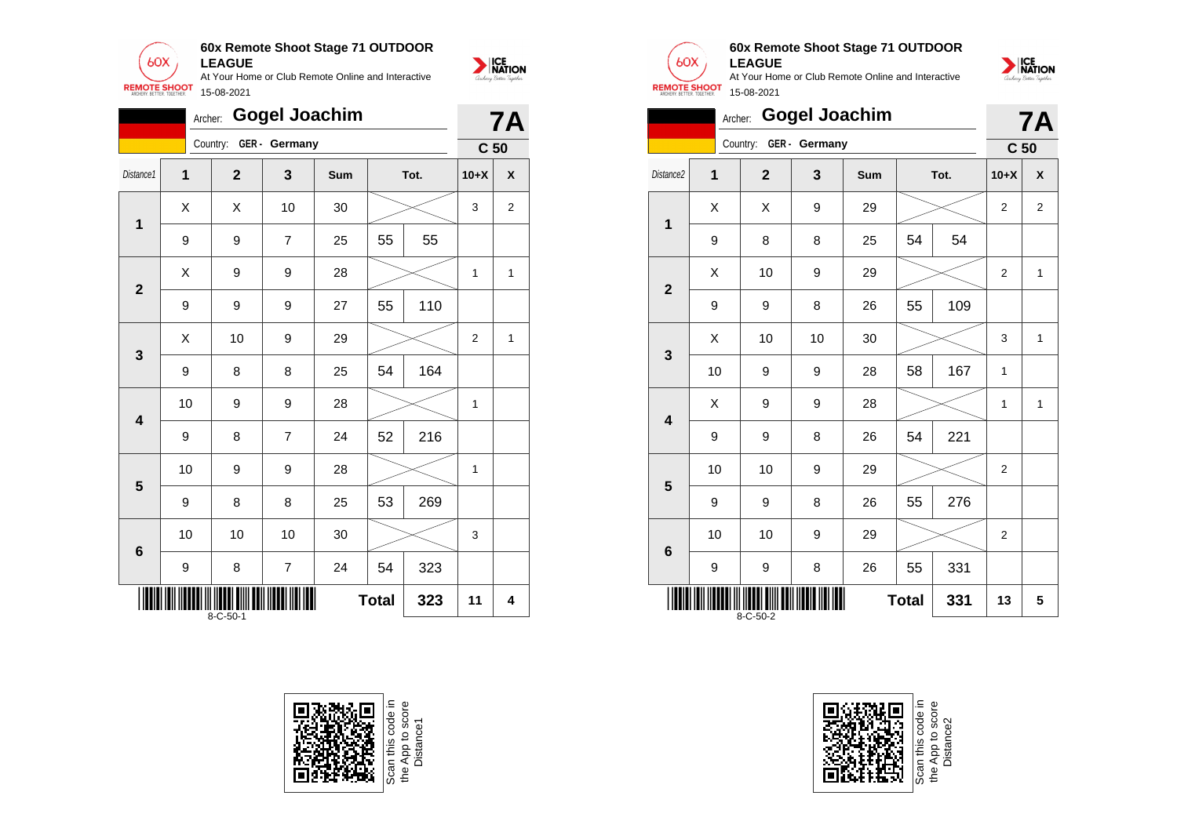

|              | <b>Gogel Joachim</b><br>Archer:               |                |                |     |    |      |                 |                         |  |
|--------------|-----------------------------------------------|----------------|----------------|-----|----|------|-----------------|-------------------------|--|
|              |                                               | Country:       | GER - Germany  |     |    |      | C <sub>50</sub> |                         |  |
| Distance1    | $\mathbf 1$                                   | $\overline{2}$ | 3              | Sum |    | Tot. | $10+X$          | χ                       |  |
| 1            | X                                             | Χ              | 10             | 30  |    |      | 3               | $\overline{\mathbf{c}}$ |  |
|              | 9                                             | 9              | $\overline{7}$ | 25  | 55 | 55   |                 |                         |  |
| $\mathbf{2}$ | X                                             | 9              | 9              | 28  |    |      | 1               | $\mathbf{1}$            |  |
|              | 9                                             | 9              | 9              | 27  | 55 | 110  |                 |                         |  |
| 3            | X                                             | 10             | 9              | 29  |    |      | $\overline{2}$  | 1                       |  |
|              | 9                                             | 8              | 8              | 25  | 54 | 164  |                 |                         |  |
| 4            | 10                                            | 9              | 9              | 28  |    |      | 1               |                         |  |
|              | 9                                             | 8              | $\overline{7}$ | 24  | 52 | 216  |                 |                         |  |
| 5            | 10                                            | 9              | 9              | 28  |    |      | 1               |                         |  |
|              | 9                                             | 8              | 8              | 25  | 53 | 269  |                 |                         |  |
| 6            | 10                                            | 10             | 10             | 30  |    |      | 3               |                         |  |
|              | 9                                             | 8              | $\overline{7}$ | 24  | 54 | 323  |                 |                         |  |
|              | <b>Total</b><br>323<br>11<br>$8 - C - 50 - 1$ |                |                |     |    |      |                 | 4                       |  |





## **60x Remote Shoot Stage 71 OUTDOOR LEAGUE**



|                          | Archer: Gogel Joachim |                |               |     |    |      |                 |                |  |  |
|--------------------------|-----------------------|----------------|---------------|-----|----|------|-----------------|----------------|--|--|
|                          |                       | Country:       | GER - Germany |     |    |      | C <sub>50</sub> |                |  |  |
| Distance <sub>2</sub>    | 1                     | $\overline{2}$ | 3             | Sum |    | Tot. | $10+X$          | X              |  |  |
| 1                        | Χ                     | X              | 9             | 29  |    |      | $\overline{2}$  | $\overline{2}$ |  |  |
|                          | 9                     | 8              | 8             | 25  | 54 | 54   |                 |                |  |  |
| $\overline{2}$           | Χ                     | 10             | 9             | 29  |    |      | 2               | $\mathbf{1}$   |  |  |
|                          | 9                     | 9              | 8             | 26  | 55 | 109  |                 |                |  |  |
| 3                        | Χ                     | 10             | 10            | 30  |    |      | 3               | $\mathbf{1}$   |  |  |
|                          | 10                    | 9              | 9             | 28  | 58 | 167  | 1               |                |  |  |
| $\overline{\mathbf{4}}$  | X                     | 9              | 9             | 28  |    |      | $\mathbf{1}$    | 1              |  |  |
|                          | 9                     | 9              | 8             | 26  | 54 | 221  |                 |                |  |  |
| 5                        | 10                    | 10             | 9             | 29  |    |      | $\overline{2}$  |                |  |  |
|                          | 9                     | 9              | 8             | 26  | 55 | 276  |                 |                |  |  |
| 6                        | 10                    | 10             | 9             | 29  |    |      | 2               |                |  |  |
|                          | 9                     | 9              | 8             | 26  | 55 | 331  |                 |                |  |  |
| <b>Total</b><br>8-C-50-2 |                       |                |               |     |    | 331  | 13              | 5              |  |  |



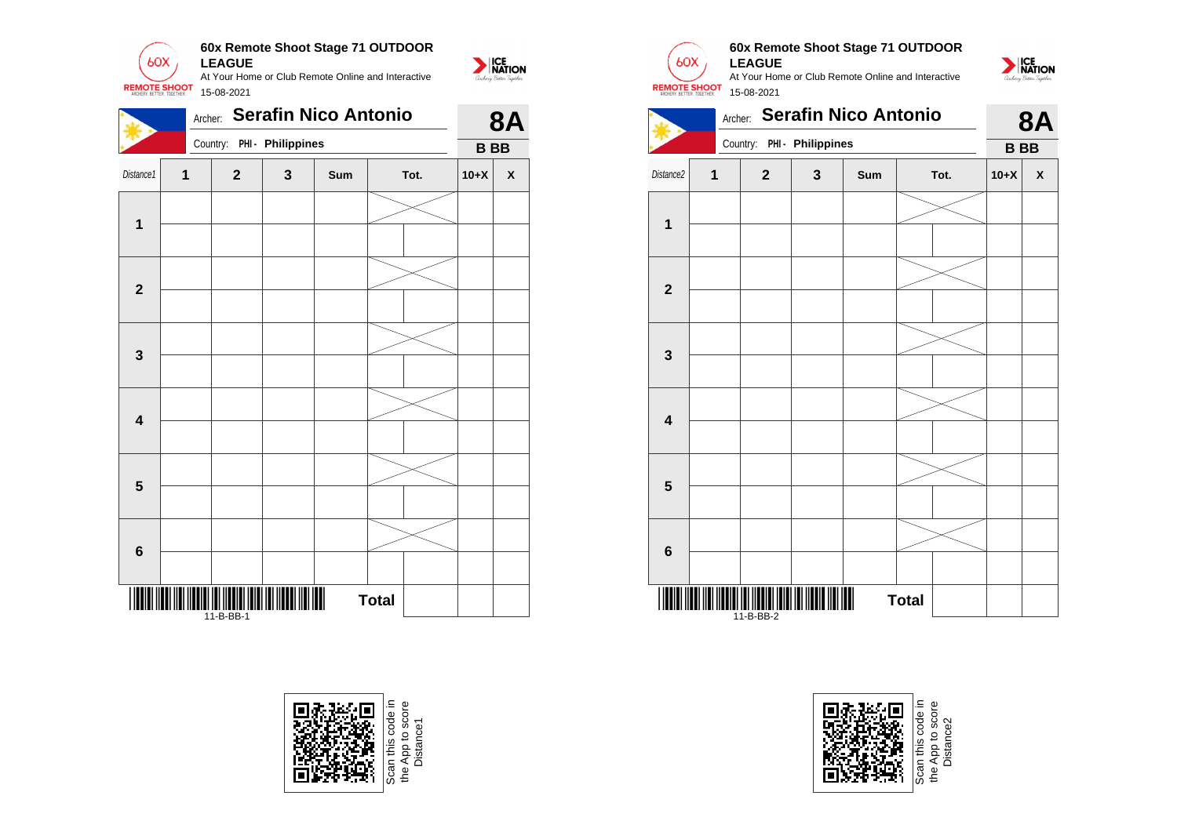

|                         | <b>Serafin Nico Antonio</b><br>Archer: |                                       |                   |     |              |  |            |                    |  |
|-------------------------|----------------------------------------|---------------------------------------|-------------------|-----|--------------|--|------------|--------------------|--|
|                         |                                        | Country:                              | PHI - Philippines |     |              |  | <b>BBB</b> |                    |  |
| Distance1               | 1                                      | $\mathbf{2}$                          | 3                 | Sum | Tot.         |  | $10+X$     | $\pmb{\mathsf{X}}$ |  |
| $\mathbf 1$             |                                        |                                       |                   |     |              |  |            |                    |  |
| $\overline{\mathbf{2}}$ |                                        |                                       |                   |     |              |  |            |                    |  |
| 3                       |                                        |                                       |                   |     |              |  |            |                    |  |
| $\overline{\mathbf{4}}$ |                                        |                                       |                   |     |              |  |            |                    |  |
| $\overline{\mathbf{5}}$ |                                        |                                       |                   |     |              |  |            |                    |  |
| $\bf 6$                 |                                        |                                       |                   |     |              |  |            |                    |  |
|                         |                                        | I III III IIII IIII IIII<br>11-B-BB-1 |                   |     | <b>Total</b> |  |            |                    |  |





# **60x Remote Shoot Stage 71 OUTDOOR LEAGUE**





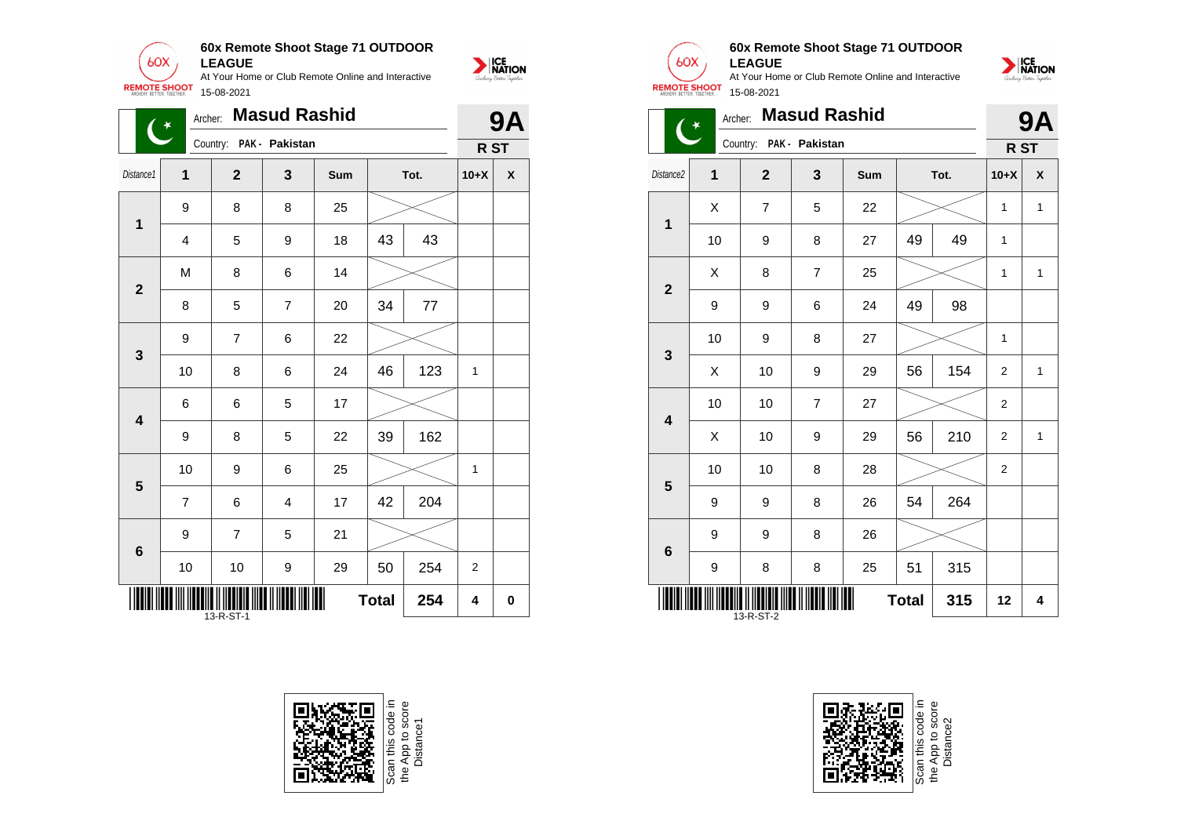

| <b>Masud Rashid</b><br>Archer:<br>$\mathbf{G}$ |                                       |                         |                |     |    |         |                | <b>9A</b> |  |
|------------------------------------------------|---------------------------------------|-------------------------|----------------|-----|----|---------|----------------|-----------|--|
|                                                |                                       | Country: PAK - Pakistan |                |     |    |         | R ST           |           |  |
| Distance1                                      | $\mathbf 1$                           | $\overline{2}$          | 3              | Sum |    | Tot.    | $10+X$         | χ         |  |
| 1                                              | 9                                     | 8                       | 8              | 25  |    |         |                |           |  |
|                                                | 4                                     | 5                       | 9              | 18  | 43 | 43      |                |           |  |
| $\mathbf{2}$                                   | M                                     | 8                       | 6              | 14  |    |         |                |           |  |
|                                                | 8                                     | 5                       | $\overline{7}$ | 20  | 34 | $77 \,$ |                |           |  |
| $\mathbf{3}$                                   | 9                                     | 7                       | 6              | 22  |    |         |                |           |  |
|                                                | 10                                    | 8                       | 6              | 24  | 46 | 123     | $\mathbf{1}$   |           |  |
| $\overline{\mathbf{4}}$                        | 6                                     | 6                       | 5              | 17  |    |         |                |           |  |
|                                                | 9                                     | 8                       | 5              | 22  | 39 | 162     |                |           |  |
| 5                                              | 10                                    | 9                       | 6              | 25  |    |         | 1              |           |  |
|                                                | $\overline{7}$                        | 6                       | 4              | 17  | 42 | 204     |                |           |  |
| $\bf 6$                                        | 9                                     | $\overline{7}$          | 5              | 21  |    |         |                |           |  |
|                                                | 10                                    | 10                      | 9              | 29  | 50 | 254     | $\overline{2}$ |           |  |
|                                                | <b>Total</b><br>254<br>4<br>13-R-ST-1 |                         |                |     |    |         |                |           |  |







# **60x Remote Shoot Stage 71 OUTDOOR LEAGUE**

At Your Home or Club Remote Online and Interactive 15-08-2021



| <b>REMOTE SHOOT</b><br>15-08-2021 |         |                  |                     |     |    |      |                 |   |  |  |  |
|-----------------------------------|---------|------------------|---------------------|-----|----|------|-----------------|---|--|--|--|
|                                   | Archer: |                  | <b>Masud Rashid</b> |     |    |      | <b>9A</b>       |   |  |  |  |
|                                   |         | Country:         | PAK - Pakistan      |     |    |      | R <sub>ST</sub> |   |  |  |  |
| Distance2                         | 1       | $\boldsymbol{2}$ | 3                   | Sum |    | Tot. |                 | X |  |  |  |
| $\overline{1}$                    | X       | $\overline{7}$   | 5                   | 22  |    |      | 1               | 1 |  |  |  |
|                                   | 10      | 9                | 8                   | 27  | 49 | 49   | $\mathbf{1}$    |   |  |  |  |
| $\overline{2}$                    | X       | 8                | $\overline{7}$      | 25  |    |      | 1               | 1 |  |  |  |
|                                   | 9       | 9                | 6                   | 24  | 49 | 98   |                 |   |  |  |  |
| 3                                 | 10      | 9                | 8                   | 27  |    |      | $\mathbf{1}$    |   |  |  |  |
|                                   | X       | 10               | 9                   | 29  | 56 | 154  | 2               | 1 |  |  |  |
| 4                                 | 10      | 10               | $\overline{7}$      | 27  |    |      | 2               |   |  |  |  |
|                                   | X       | 10               | 9                   | 29  | 56 | 210  | 2               | 1 |  |  |  |
| 5                                 | 10      | 10               | 8                   | 28  |    |      | 2               |   |  |  |  |
|                                   | 9       | 9                | 8                   | 26  | 54 | 264  |                 |   |  |  |  |
| 6                                 | 9       | 9                | 8                   | 26  |    |      |                 |   |  |  |  |
|                                   | 9       | 8                | 8                   | 25  | 51 | 315  |                 |   |  |  |  |
| <b>Total</b><br>315<br>13-R-ST-2  |         |                  |                     |     |    |      |                 | 4 |  |  |  |

Scan this code<br>the App to sco<br>Distance2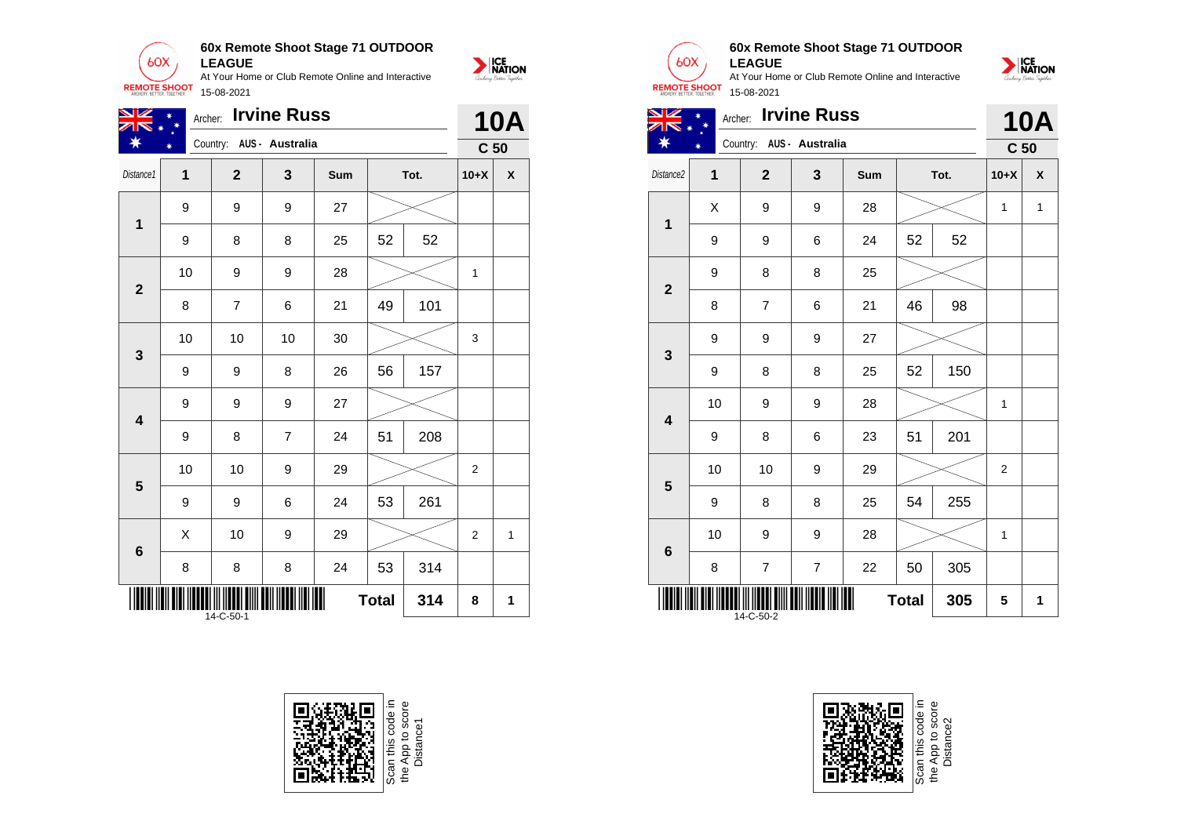

| VZ                      |    | Archer: |                | <b>10A</b>               |     |              |     |                 |                    |
|-------------------------|----|---------|----------------|--------------------------|-----|--------------|-----|-----------------|--------------------|
|                         |    |         |                | Country: AUS - Australia |     |              |     | C <sub>50</sub> |                    |
| Distance1               | 1  |         | $\mathbf{2}$   | 3                        | Sum | Tot.         |     | $10+X$          | $\pmb{\mathsf{X}}$ |
| $\mathbf{1}$            | 9  |         | 9              | 9                        | 27  |              |     |                 |                    |
|                         | 9  |         | 8              | 8                        | 25  | 52           | 52  |                 |                    |
| $\mathbf{2}$            | 10 |         | 9              | 9                        | 28  |              |     | 1               |                    |
|                         | 8  |         | $\overline{7}$ | 6                        | 21  | 49           | 101 |                 |                    |
| 3                       | 10 |         | 10             | 10                       | 30  |              |     | 3               |                    |
|                         | 9  |         | 9              | 8                        | 26  | 56           | 157 |                 |                    |
| $\overline{\mathbf{4}}$ | 9  |         | 9              | 9                        | 27  |              |     |                 |                    |
|                         | 9  |         | 8              | $\overline{7}$           | 24  | 51           | 208 |                 |                    |
| $5\phantom{1}$          | 10 |         | 10             | 9                        | 29  |              |     | $\overline{2}$  |                    |
|                         | 9  |         | 9              | 6                        | 24  | 53           | 261 |                 |                    |
| $\bf 6$                 | X  |         | 10             | 9                        | 29  |              |     | $\overline{2}$  | 1                  |
|                         | 8  |         | 8              | 8                        | 24  | 53           | 314 |                 |                    |
|                         |    |         | 14-C-50-1      |                          |     | <b>Total</b> | 314 | 8               | 1                  |







## **60x Remote Shoot Stage 71 OUTDOOR LEAGUE**





| $\mathbf 1$  | X  | $\boldsymbol{9}$        | 9                        | 28 |              |     | 1           | 1 |
|--------------|----|-------------------------|--------------------------|----|--------------|-----|-------------|---|
|              | 9  | 9                       | 6                        | 24 | 52           | 52  |             |   |
| $\mathbf{2}$ | 9  | 8                       | 8                        | 25 |              |     |             |   |
|              | 8  | $\overline{\mathbf{7}}$ | 6                        | 21 | 46           | 98  |             |   |
| 3            | 9  | $\boldsymbol{9}$        | 9                        | 27 |              |     |             |   |
|              | 9  | 8                       | 8                        | 25 | 52           | 150 |             |   |
| 4            | 10 | $\boldsymbol{9}$        | 9                        | 28 |              |     | 1           |   |
|              | 9  | 8                       | 6                        | 23 | 51           | 201 |             |   |
| 5            | 10 | 10                      | 9                        | 29 |              |     | 2           |   |
|              | 9  | 8                       | 8                        | 25 | 54           | 255 |             |   |
| $\bf 6$      | 10 | $\boldsymbol{9}$        | 9                        | 28 |              |     | $\mathbf 1$ |   |
|              | 8  | $\boldsymbol{7}$        | $\overline{\mathcal{I}}$ | 22 | 50           | 305 |             |   |
|              |    | 14-C-50-2               |                          |    | <b>Total</b> | 305 | 5           | 1 |



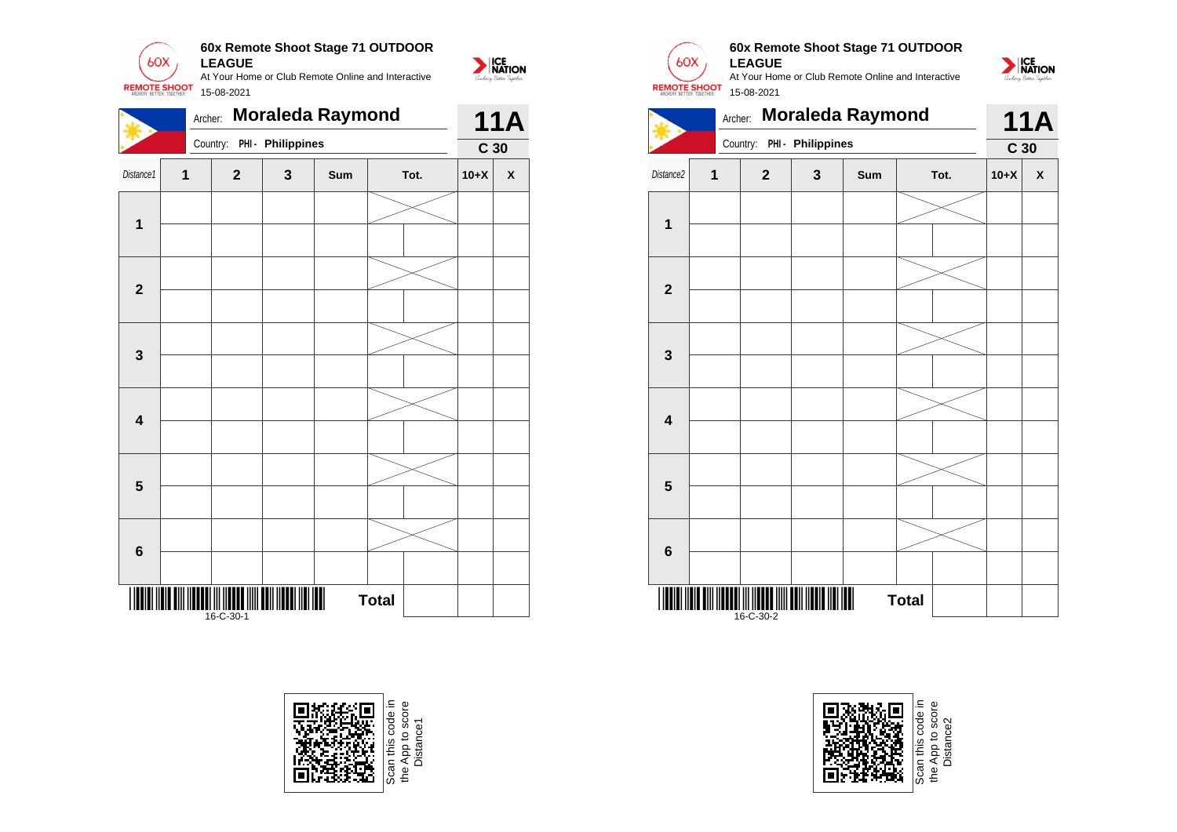

|                         | <b>Moraleda Raymond</b><br>Archer: |             |                   |     |              |  |                 |   |
|-------------------------|------------------------------------|-------------|-------------------|-----|--------------|--|-----------------|---|
|                         |                                    | Country:    | PHI - Philippines |     |              |  | C <sub>30</sub> |   |
| Distance1               | $\mathbf{1}$                       | $\mathbf 2$ | 3                 | Sum | Tot.         |  | $10+X$          | X |
|                         |                                    |             |                   |     |              |  |                 |   |
| $\mathbf 1$             |                                    |             |                   |     |              |  |                 |   |
| $\mathbf{2}$            |                                    |             |                   |     |              |  |                 |   |
|                         |                                    |             |                   |     |              |  |                 |   |
| 3                       |                                    |             |                   |     |              |  |                 |   |
|                         |                                    |             |                   |     |              |  |                 |   |
| $\overline{\mathbf{4}}$ |                                    |             |                   |     |              |  |                 |   |
|                         |                                    |             |                   |     |              |  |                 |   |
| $\overline{\mathbf{5}}$ |                                    |             |                   |     |              |  |                 |   |
|                         |                                    |             |                   |     |              |  |                 |   |
| 6                       |                                    |             |                   |     |              |  |                 |   |
|                         |                                    |             |                   |     |              |  |                 |   |
| Ш                       |                                    | 16-C-30-1   |                   | II  | <b>Total</b> |  |                 |   |





# **60x Remote Shoot Stage 71 OUTDOOR LEAGUE**

At Your Home or Club Remote Online and Interactive 15-08-2021







Scan this code in<br>the App to score<br>Distance2 the App to score Distance2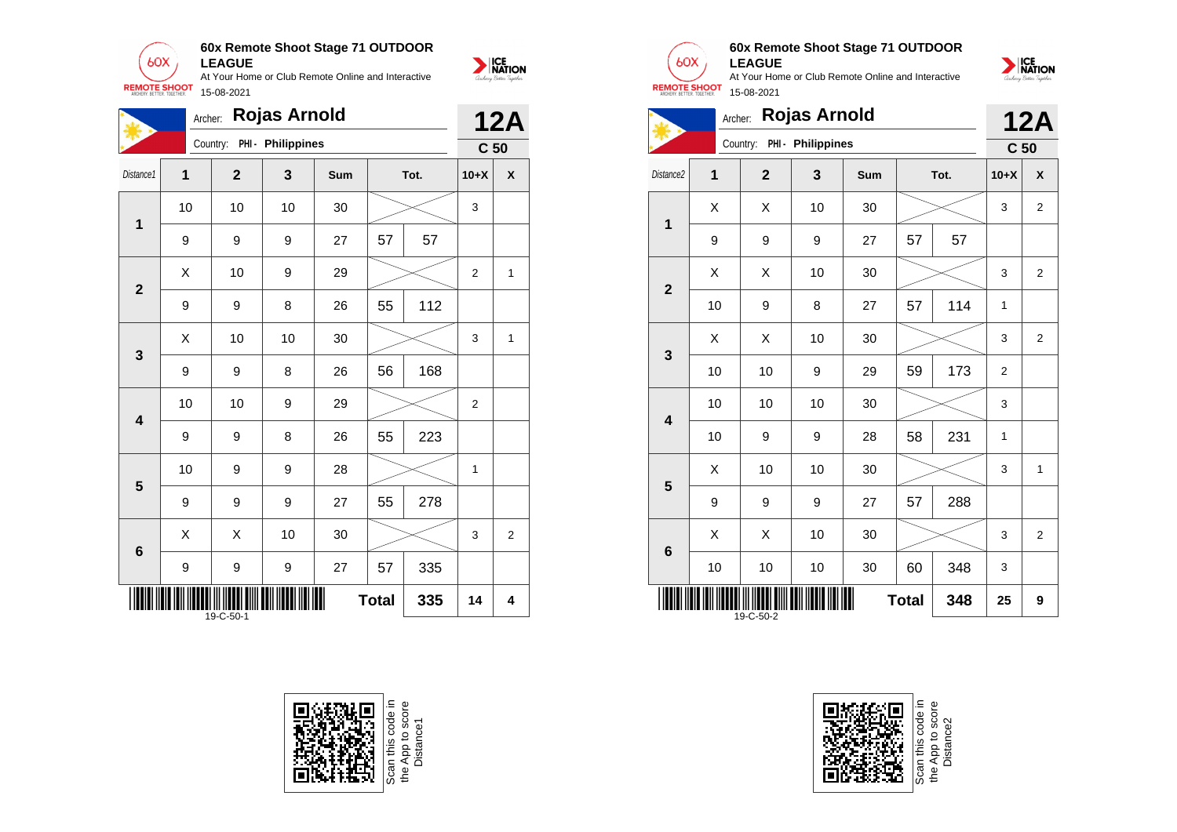

| 60X<br><b>REMOTE SHOOT</b><br>ARCHERY RETTER TOGETHER |           | <b>LEAGUE</b><br>15-08-2021 |                   | At Your Home or Club Remote Online and Interactive |    |      |                 | <b>ICE</b><br>NATION<br>archery Better Tagether |
|-------------------------------------------------------|-----------|-----------------------------|-------------------|----------------------------------------------------|----|------|-----------------|-------------------------------------------------|
|                                                       |           | Archer: Rojas Arnold        |                   |                                                    |    |      |                 | <b>12A</b>                                      |
|                                                       |           | Country:                    | PHI - Philippines |                                                    |    |      | C <sub>50</sub> |                                                 |
| Distance1                                             | 1         | $\mathbf{2}$                | 3                 | Sum                                                |    | Tot. | $10+X$          | X                                               |
| 1                                                     | 10        | 10                          | 10                | 30                                                 |    |      | 3               |                                                 |
|                                                       | 9         | 9                           | 9                 | 27                                                 | 57 | 57   |                 |                                                 |
|                                                       | $\sqrt{}$ | $\sim$                      | $\sim$            | $\sim$                                             |    |      | $\sim$          | $\overline{ }$                                  |

| $\mathbf 1$  | 10 | 10        | 10 | 30 |              |     | 3                       |                |
|--------------|----|-----------|----|----|--------------|-----|-------------------------|----------------|
|              | 9  | 9         | 9  | 27 | 57           | 57  |                         |                |
| $\mathbf{2}$ | Χ  | 10        | 9  | 29 |              |     | $\mathbf 2$             | 1              |
|              | 9  | 9         | 8  | 26 | 55           | 112 |                         |                |
| $\mathbf{3}$ | Χ  | 10        | 10 | 30 |              |     | 3                       | 1              |
|              | 9  | 9         | 8  | 26 | 56           | 168 |                         |                |
| 4            | 10 | 10        | 9  | 29 |              |     | $\overline{\mathbf{c}}$ |                |
|              | 9  | 9         | 8  | 26 | 55           | 223 |                         |                |
| 5            | 10 | 9         | 9  | 28 |              |     | 1                       |                |
|              | 9  | 9         | 9  | 27 | 55           | 278 |                         |                |
|              | Χ  | Χ         | 10 | 30 |              |     | 3                       | $\overline{2}$ |
| $\bf 6$      | 9  | 9         | 9  | 27 | 57           | 335 |                         |                |
|              |    | 19-C-50-1 |    |    | <b>Total</b> | 335 | 14                      | 4              |





## **60x Remote Shoot Stage 71 OUTDOOR LEAGUE**



|                                        | <b>Rojas Arnold</b><br>Archer: |                |                   |            |    |      |                 |                           |  |
|----------------------------------------|--------------------------------|----------------|-------------------|------------|----|------|-----------------|---------------------------|--|
|                                        |                                | Country:       | PHI - Philippines |            |    |      | C <sub>50</sub> |                           |  |
| Distance <sub>2</sub>                  | $\overline{1}$                 | $\overline{2}$ | 3                 | <b>Sum</b> |    | Tot. | $10+X$          | $\boldsymbol{\mathsf{x}}$ |  |
| $\overline{\mathbf{1}}$                | Χ                              | X              | 10                | 30         |    |      | 3               | $\overline{2}$            |  |
|                                        | 9                              | 9              | 9                 | 27         | 57 | 57   |                 |                           |  |
| $\overline{2}$                         | X                              | X              | 10                | 30         |    |      | 3               | $\overline{2}$            |  |
|                                        | 10                             | 9              | 8                 | 27         | 57 | 114  | $\mathbf{1}$    |                           |  |
| 3                                      | X                              | X              | 10                | 30         |    |      | 3               | $\overline{2}$            |  |
|                                        | 10                             | 10             | 9                 | 29         | 59 | 173  | 2               |                           |  |
| $\overline{\mathbf{4}}$                | 10                             | 10             | 10                | 30         |    |      | 3               |                           |  |
|                                        | 10                             | 9              | 9                 | 28         | 58 | 231  | 1               |                           |  |
| 5                                      | X                              | 10             | 10                | 30         |    |      | 3               | 1                         |  |
|                                        | 9                              | 9              | 9                 | 27         | 57 | 288  |                 |                           |  |
| $\bf 6$                                | X                              | X              | 10                | 30         |    |      | 3               | $\overline{2}$            |  |
|                                        | 10                             | 10             | 10                | 30         | 60 | 348  | 3               |                           |  |
| <b>Total</b><br>348<br>25<br>19-C-50-2 |                                |                |                   |            |    |      |                 | 9                         |  |



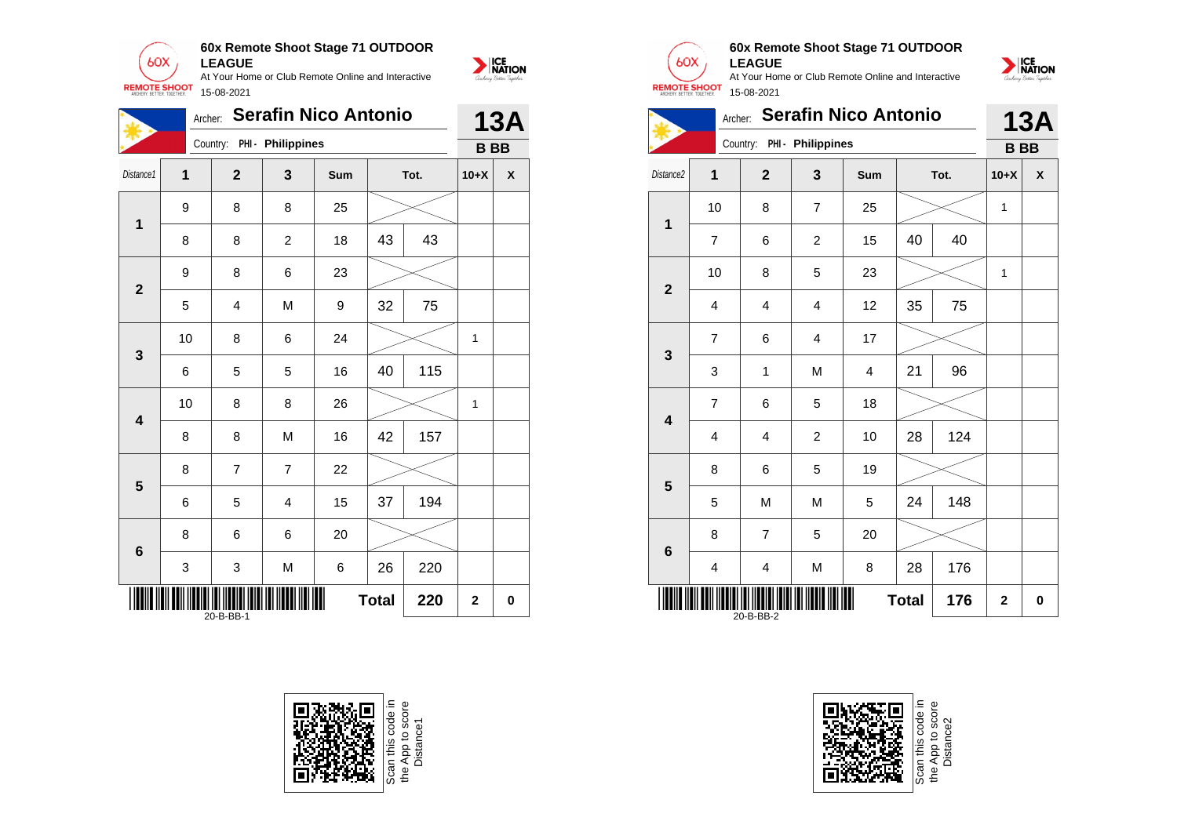







# **60x Remote Shoot Stage 71 OUTDOOR LEAGUE**



|                         | <b>Serafin Nico Antonio</b><br>Archer: |                |                            |            |    |      |              |            |
|-------------------------|----------------------------------------|----------------|----------------------------|------------|----|------|--------------|------------|
|                         |                                        |                | Country: PHI - Philippines |            |    |      | <b>BB</b>    | <b>13A</b> |
| Distance2               | 1                                      | $\overline{2}$ | 3                          | <b>Sum</b> |    | Tot. | $10+X$       | X          |
| 1                       | 10                                     | 8              | $\overline{7}$             | 25         |    |      | $\mathbf{1}$ |            |
|                         | $\overline{7}$                         | 6              | $\overline{c}$             | 15         | 40 | 40   |              |            |
| $\overline{\mathbf{2}}$ | 10                                     | 8              | 5                          | 23         |    |      | 1            |            |
|                         | 4                                      | 4              | $\overline{4}$             | 12         | 35 | 75   |              |            |
| 3                       | $\overline{7}$                         | 6              | $\overline{4}$             | 17         |    |      |              |            |
|                         | 3                                      | 1              | M                          | 4          | 21 | 96   |              |            |
| $\overline{\mathbf{4}}$ | $\overline{7}$                         | 6              | 5                          | 18         |    |      |              |            |
|                         | 4                                      | 4              | $\overline{2}$             | 10         | 28 | 124  |              |            |
| 5                       | 8                                      | 6              | 5                          | 19         |    |      |              |            |
|                         | 5                                      | M              | M                          | 5          | 24 | 148  |              |            |
| $6\phantom{1}6$         | 8                                      | $\overline{7}$ | 5                          | 20         |    |      |              |            |
|                         | 4                                      | 4              | M                          | 8          | 28 | 176  |              |            |
|                         | <b>Total</b><br>176<br>20-B-BB-2       |                |                            |            |    |      |              | 0          |



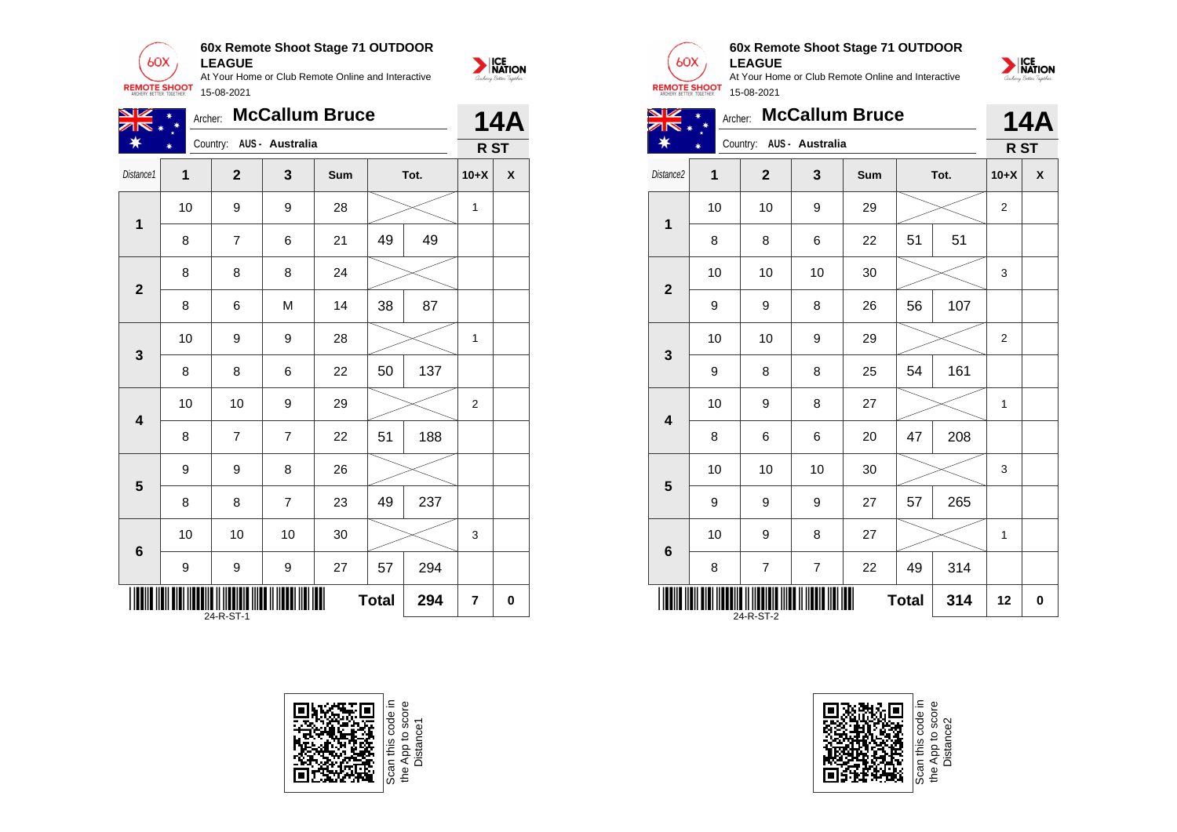

| NZ                      | <b>McCallum Bruce</b><br>Archer: |                          |                |     |    |      |              |   |
|-------------------------|----------------------------------|--------------------------|----------------|-----|----|------|--------------|---|
|                         |                                  | Country: AUS - Australia |                |     |    |      | R ST         |   |
| Distance1               | 1                                | $\mathbf{2}$             | 3              | Sum |    | Tot. | $10+X$       | X |
| $\mathbf 1$             | 10                               | 9                        | 9              | 28  |    |      | 1            |   |
|                         | 8                                | $\overline{7}$           | 6              | 21  | 49 | 49   |              |   |
|                         | 8                                | 8                        | 8              | 24  |    |      |              |   |
| $\mathbf{2}$            | 8                                | 6                        | M              | 14  | 38 | 87   |              |   |
| 3                       | 10                               | 9                        | 9              | 28  |    |      | $\mathbf{1}$ |   |
|                         | 8                                | 8                        | 6              | 22  | 50 | 137  |              |   |
| 4                       | 10                               | 10                       | 9              | 29  |    |      | 2            |   |
|                         | 8                                | $\overline{7}$           | $\overline{7}$ | 22  | 51 | 188  |              |   |
| $\overline{\mathbf{5}}$ | 9                                | 9                        | 8              | 26  |    |      |              |   |
|                         | 8                                | 8                        | $\overline{7}$ | 23  | 49 | 237  |              |   |
| 6                       | 10                               | 10                       | 10             | 30  |    |      | 3            |   |
|                         | 9                                | 9                        | 9              | 27  | 57 | 294  |              |   |
|                         | <b>Total</b><br>294<br>24-R-ST-1 |                          |                |     |    |      |              |   |





NATION

## **60x Remote Shoot Stage 71 OUTDOOR LEAGUE**

At Your Home or Club Remote Online and Interactive 15-08-2021



|                       |        | Archer: McCallum Bruce | 14A                      |            |      |        |   |
|-----------------------|--------|------------------------|--------------------------|------------|------|--------|---|
| $*$                   | $\ast$ |                        | Country: AUS - Australia |            |      | R ST   |   |
| Distance <sub>2</sub> |        |                        |                          | <b>Sum</b> | Tot. | $10+X$ | X |
|                       |        |                        |                          |            |      |        |   |

| 10                  | 10               | 9              | 29 |    |     | $\overline{\mathbf{c}}$ |    |
|---------------------|------------------|----------------|----|----|-----|-------------------------|----|
| 8                   | 8                | 6              | 22 | 51 | 51  |                         |    |
| 10                  | 10               | 10             | 30 |    |     | 3                       |    |
| 9                   | $\boldsymbol{9}$ | 8              | 26 | 56 | 107 |                         |    |
| 10                  | 10               | 9              | 29 |    |     | $\overline{\mathbf{c}}$ |    |
| $\boldsymbol{9}$    | 8                | 8              | 25 | 54 | 161 |                         |    |
| 10                  | $\boldsymbol{9}$ | 8              | 27 |    |     | 1                       |    |
| 8                   | 6                | 6              | 20 | 47 | 208 |                         |    |
| 10                  | 10               | 10             | 30 |    |     | 3                       |    |
| 9                   | $\boldsymbol{9}$ | 9              | 27 | 57 | 265 |                         |    |
| 10                  | $\boldsymbol{9}$ | 8              | 27 |    |     | 1                       |    |
| 8                   | 7                | $\overline{7}$ | 22 | 49 | 314 |                         |    |
| <b>Total</b><br>314 |                  |                |    |    |     |                         | 0  |
|                     |                  | 24-R-ST-2      |    |    |     |                         | 12 |



Scan this code<br>the App to sco<br>Distance2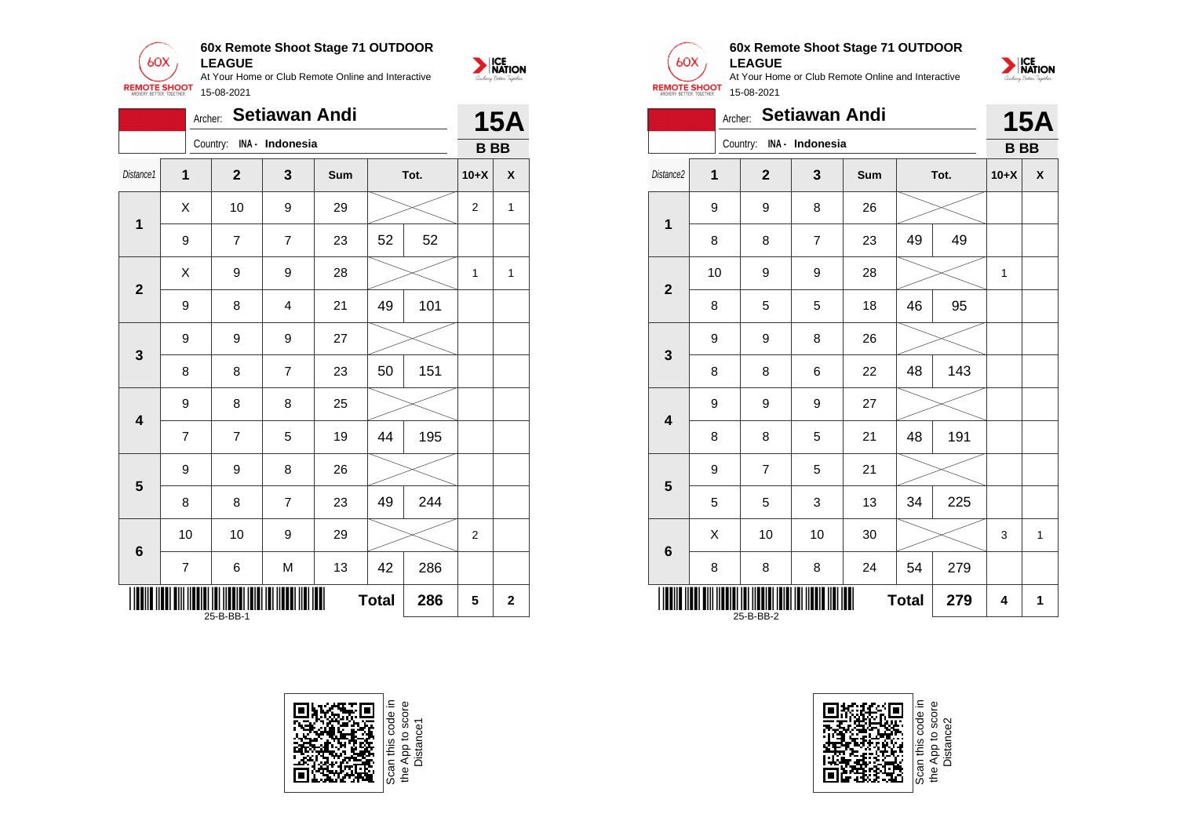







## **60x Remote Shoot Stage 71 OUTDOOR LEAGUE**



|                         |                                  | Archer: Setiawan Andi    |                |     |    |      |           | <b>15A</b> |
|-------------------------|----------------------------------|--------------------------|----------------|-----|----|------|-----------|------------|
|                         |                                  | Country: INA - Indonesia |                |     |    |      | <b>BB</b> |            |
| Distance <sub>2</sub>   | $\overline{1}$                   | $\overline{2}$           | 3              | Sum |    | Tot. | $10+X$    | X          |
| $\mathbf 1$             | 9                                | 9                        | 8              | 26  |    |      |           |            |
|                         | 8                                | 8                        | $\overline{7}$ | 23  | 49 | 49   |           |            |
| $\mathbf{2}$            | 10                               | 9                        | 9              | 28  |    |      | 1         |            |
|                         | 8                                | 5                        | 5              | 18  | 46 | 95   |           |            |
| 3                       | 9                                | 9                        | 8              | 26  |    |      |           |            |
|                         | 8                                | 8                        | 6              | 22  | 48 | 143  |           |            |
| $\overline{\mathbf{4}}$ | 9                                | 9                        | 9              | 27  |    |      |           |            |
|                         | 8                                | 8                        | 5              | 21  | 48 | 191  |           |            |
| 5                       | 9                                | $\overline{7}$           | 5              | 21  |    |      |           |            |
|                         | 5                                | 5                        | 3              | 13  | 34 | 225  |           |            |
| $6\phantom{1}$          | X                                | 10                       | 10             | 30  |    |      | 3         | 1          |
|                         | 8                                | 8                        | 8              | 24  | 54 | 279  |           |            |
|                         | <b>Total</b><br>279<br>25-B-BB-2 |                          |                |     |    |      |           | 1          |

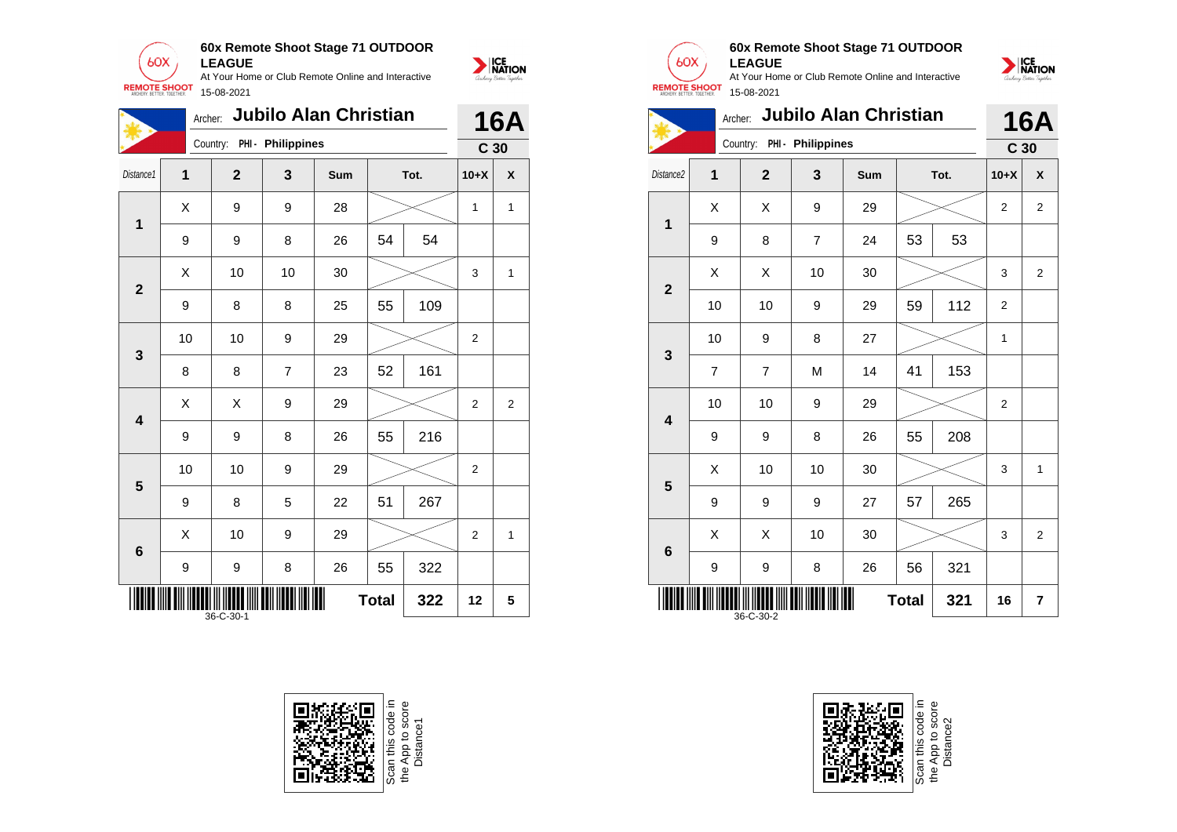

15-08-2021

**60x Remote Shoot Stage 71 OUTDOOR LEAGUE**

At Your Home or Club Remote Online and Interactive

NATION

|                         | Archer: |              |                            | <b>Jubilo Alan Christian</b> |              |      |                 | <b>16A</b>   |
|-------------------------|---------|--------------|----------------------------|------------------------------|--------------|------|-----------------|--------------|
|                         |         |              | Country: PHI - Philippines |                              |              |      | C <sub>30</sub> |              |
| Distance1               | 1       | $\mathbf{2}$ | 3                          | <b>Sum</b>                   |              | Tot. | $10+X$          | X            |
| 1                       | X       | 9            | 9                          | 28                           |              |      | 1               | $\mathbf{1}$ |
|                         | 9       | 9            | 8                          | 26                           | 54           | 54   |                 |              |
| $\overline{2}$          | Χ       | 10           | 10                         | 30                           |              |      | 3               | 1            |
|                         | 9       | 8            | 8                          | 25                           | 55           | 109  |                 |              |
| $\mathbf{3}$            | 10      | 10           | 9                          | 29                           |              |      | $\overline{2}$  |              |
|                         | 8       | 8            | 7                          | 23                           | 52           | 161  |                 |              |
| $\overline{\mathbf{4}}$ | X       | X            | 9                          | 29                           |              |      | $\overline{2}$  | 2            |
|                         | 9       | 9            | 8                          | 26                           | 55           | 216  |                 |              |
| 5                       | 10      | 10           | 9                          | 29                           |              |      | $\overline{2}$  |              |
|                         | 9       | 8            | 5                          | 22                           | 51           | 267  |                 |              |
| $6\phantom{1}6$         | X       | 10           | 9                          | 29                           |              |      | $\overline{2}$  | 1            |
|                         | 9       | 9            | 8                          | 26                           | 55           | 322  |                 |              |
|                         |         | 36-C-30-1    |                            |                              | <b>Total</b> | 322  | 12              | 5            |





**1**

**2**

**3**

**4**

**5**

**6**

36-C-30-2

## **60x Remote Shoot Stage 71 OUTDOOR LEAGUE**

At Your Home or Club Remote Online and Interactive 15-08-2021



Scan this code in<br>the App to score<br>Distance2

**Total 321 16 7**

NATION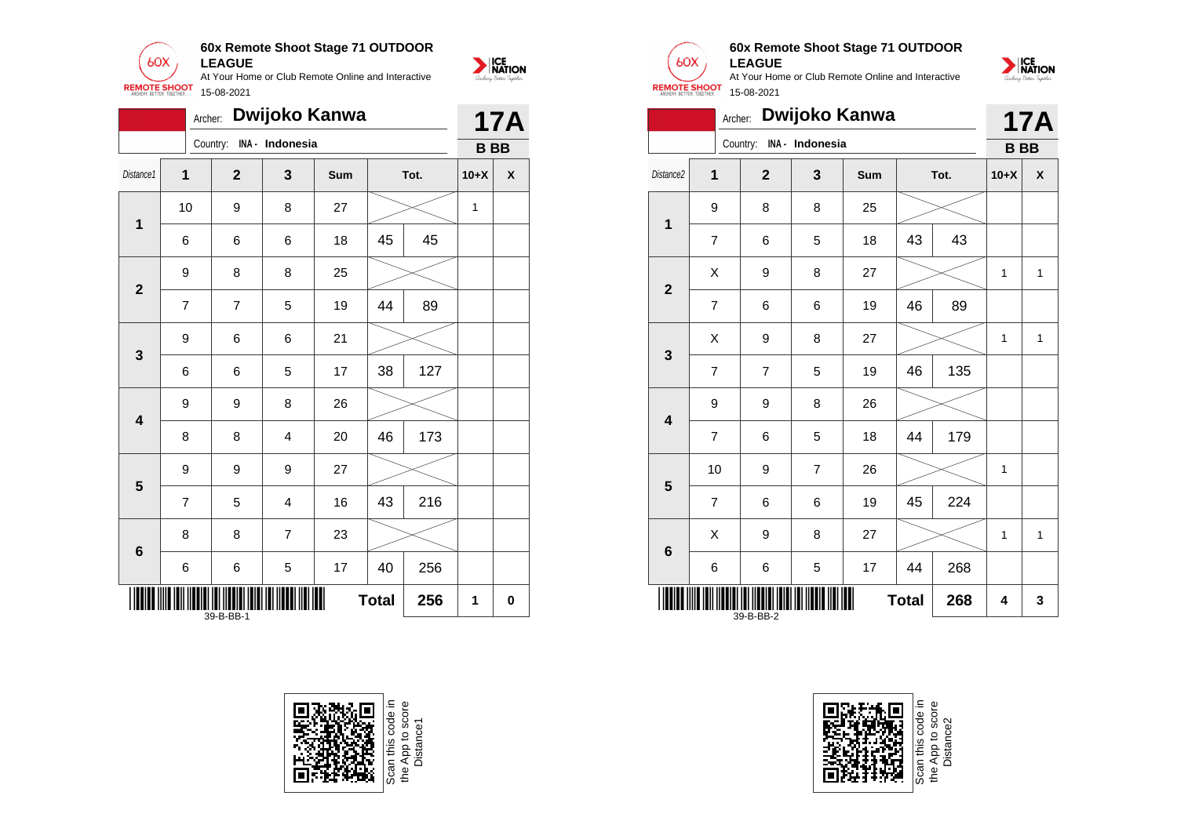

|                         | Archer: |                |                          | Dwijoko Kanwa |              |      |                | <b>17A</b> |
|-------------------------|---------|----------------|--------------------------|---------------|--------------|------|----------------|------------|
|                         |         |                | Country: INA - Indonesia |               |              |      |                |            |
| Distance1               | 1       | $\overline{2}$ | 3                        | <b>Sum</b>    |              | Tot. | $10+X$         | X          |
| $\mathbf 1$             | 10      | 9              | 8                        | 27            |              |      | 1              |            |
|                         | 6       | 6              | 6                        | 18            | 45           | 45   |                |            |
| $\overline{\mathbf{2}}$ | 9       | 8              | 8                        | 25            |              |      |                |            |
|                         | 7       | $\overline{7}$ | 5                        | 19            | 44           | 89   |                |            |
| $\mathbf{3}$            | 9       | 6              | 6                        | 21            |              |      |                |            |
|                         | 6       | 6              | 5                        | 17            | 38           | 127  | <b>BB</b><br>1 |            |
| $\overline{\mathbf{4}}$ | 9       | 9              | 8                        | 26            |              |      |                |            |
|                         | 8       | 8              | 4                        | 20            | 46           | 173  |                |            |
| 5                       | 9       | 9              | 9                        | 27            |              |      |                |            |
|                         | 7       | 5              | 4                        | 16            | 43           | 216  |                |            |
| $6\phantom{1}6$         | 8       | 8              | $\overline{7}$           | 23            |              |      |                |            |
|                         | 6       | 6              | 5                        | 17            | 40           | 256  |                |            |
|                         |         | 39-B-BB-1      |                          |               | <b>Total</b> | 256  |                | 0          |







## **60x Remote Shoot Stage 71 OUTDOOR LEAGUE**

NATION

|                         | Archer:        |                          |                | Dwijoko Kanwa |              |      |                          | <b>17A</b>  |
|-------------------------|----------------|--------------------------|----------------|---------------|--------------|------|--------------------------|-------------|
|                         |                | Country: INA - Indonesia |                |               |              |      |                          |             |
| Distance2               | 1              | $\overline{2}$           | 3              | Sum           |              | Tot. | $10+X$                   | X           |
| $\mathbf 1$             | 9              | 8                        | 8              | 25            |              |      |                          |             |
|                         | $\overline{7}$ | 6                        | 5              | 18            | 43           | 43   |                          |             |
| $\overline{2}$          | X              | 9                        | 8              | 27            |              |      | 1                        | $\mathbf 1$ |
|                         | $\overline{7}$ | 6                        | 6              | 19            | 46           | 89   |                          |             |
| 3                       | X              | 9                        | 8              | 27            |              |      | 1                        | 1           |
|                         | $\overline{7}$ | $\overline{7}$           | 5              | 19            | 46           | 135  | <b>BB</b><br>1<br>1<br>4 |             |
| $\overline{\mathbf{4}}$ | 9              | 9                        | 8              | 26            |              |      |                          |             |
|                         | $\overline{7}$ | 6                        | 5              | 18            | 44           | 179  |                          |             |
| $\overline{\mathbf{5}}$ | 10             | 9                        | $\overline{7}$ | 26            |              |      |                          |             |
|                         | 7              | 6                        | 6              | 19            | 45           | 224  |                          |             |
| $\bf 6$                 | X              | 9                        | 8              | 27            |              |      |                          | 1           |
|                         | 6              | 6                        | 5              | 17            | 44           | 268  |                          |             |
|                         |                | 39-B-BB-2                |                |               | <b>Total</b> | 268  |                          | 3           |

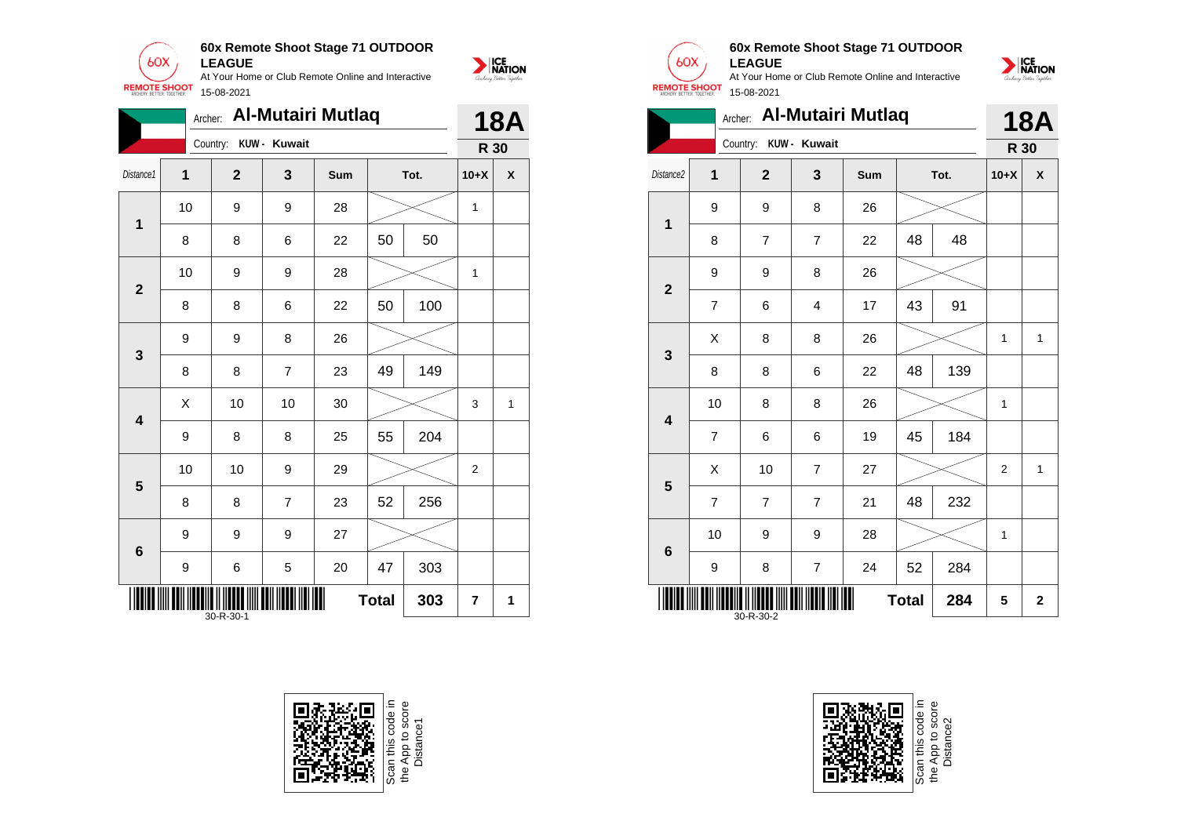

|                         | Archer: |                       |                | <b>Al-Mutairi Mutlaq</b> |              |      |                                       | <b>18A</b>         |
|-------------------------|---------|-----------------------|----------------|--------------------------|--------------|------|---------------------------------------|--------------------|
|                         |         | Country: KUW - Kuwait |                |                          |              |      |                                       |                    |
| Distance1               | 1       | $\mathbf{2}$          | 3              | Sum                      |              | Tot. | $10+X$                                | $\pmb{\mathsf{X}}$ |
| $\overline{\mathbf{1}}$ | 10      | 9                     | 9              | 28                       |              |      | 1                                     |                    |
|                         | 8       | 8                     | 6              | 22                       | 50           | 50   | R 30<br>1<br>3<br>$\overline{2}$<br>7 |                    |
| $\mathbf{2}$            | 10      | 9                     | 9              | 28                       |              |      |                                       |                    |
|                         | 8       | 8                     | 6              | 22                       | 50           | 100  |                                       |                    |
| 3                       | 9       | 9                     | 8              | 26                       |              |      |                                       |                    |
|                         | 8       | 8                     | $\overline{7}$ | 23                       | 49           | 149  |                                       |                    |
| $\overline{\mathbf{4}}$ | X       | 10                    | 10             | 30                       |              |      |                                       | $\mathbf{1}$       |
|                         | 9       | 8                     | 8              | 25                       | 55           | 204  |                                       |                    |
| 5                       | 10      | 10                    | 9              | 29                       |              |      |                                       |                    |
|                         | 8       | 8                     | $\overline{7}$ | 23                       | 52           | 256  |                                       |                    |
| 6                       | 9       | 9                     | 9              | 27                       |              |      |                                       |                    |
|                         | 9       | 6                     | 5              | 20                       | 47           | 303  |                                       |                    |
|                         |         | 30-R-30-1             |                |                          | <b>Total</b> | 303  |                                       | 1                  |





**1**

**2**

**3**

**4**

**5**

**6**

## **60x Remote Shoot Stage 71 OUTDOOR LEAGUE**

At Your Home or Club Remote Online and Interactive 15-08-2021





9 | 8 | 7 | 24 | 52 | 284

\*30-R-30-2\* 30-R-30-2

Scan this code in<br>the App to score<br>Distance2

**Total**  $284$  | 5 | 2

NATION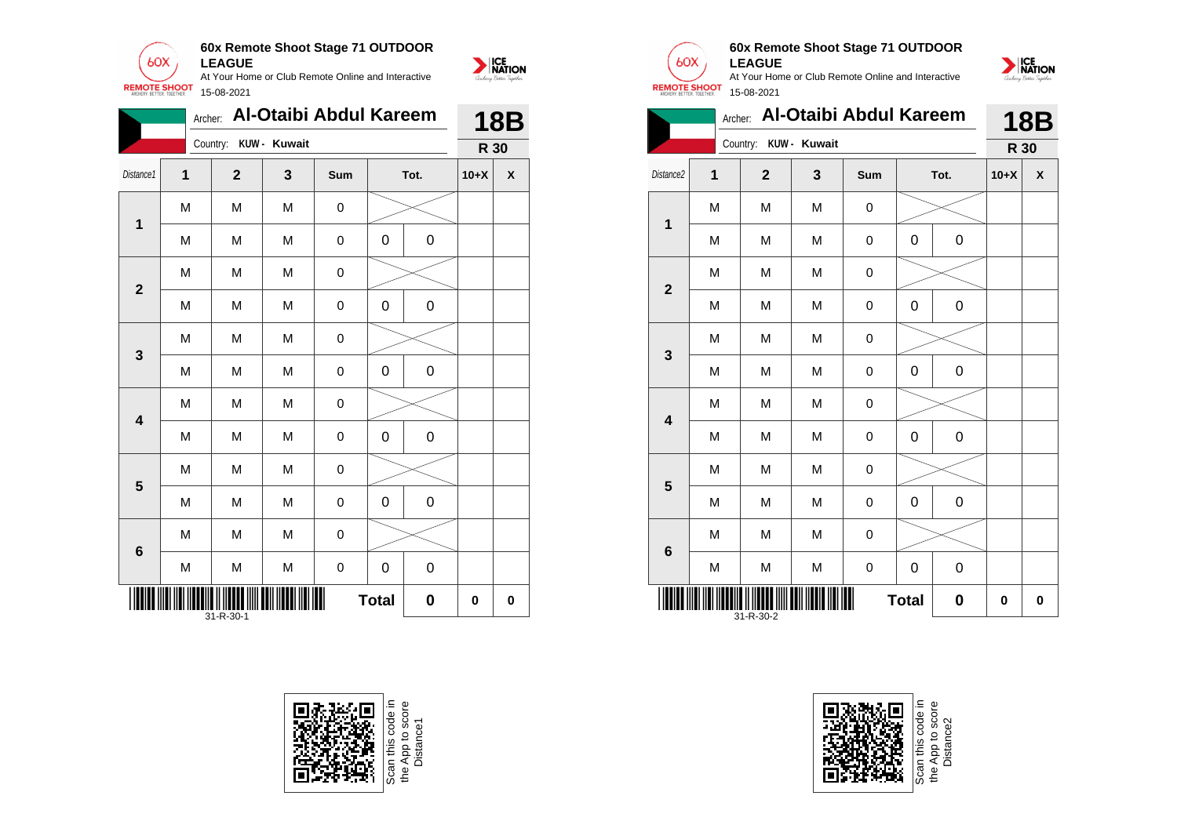

|                         | Archer:      |              |              | Al-Otaibi Abdul Kareem |              |             |           | <b>18B</b> |
|-------------------------|--------------|--------------|--------------|------------------------|--------------|-------------|-----------|------------|
|                         |              | Country:     | KUW - Kuwait |                        |              |             |           |            |
| Distance1               | $\mathbf{1}$ | $\mathbf{2}$ | 3            | Sum                    |              | Tot.        | $10+X$    | X          |
| $\mathbf{1}$            | M            | M            | M            | 0                      |              |             |           |            |
|                         | M            | M            | M            | 0                      | 0            | $\mathbf 0$ |           |            |
| $\mathbf{2}$            | M            | M            | M            | $\pmb{0}$              |              |             |           |            |
|                         | M            | M            | M            | 0                      | 0            | $\mathsf 0$ |           |            |
| 3                       | M            | M            | M            | 0                      |              |             |           |            |
|                         | M            | M            | M            | $\mathbf 0$            | 0            | $\mathsf 0$ | R 30<br>0 |            |
| $\overline{\mathbf{4}}$ | M            | M            | M            | 0                      |              |             |           |            |
|                         | M            | M            | M            | $\mathbf 0$            | 0            | $\mathsf 0$ |           |            |
| 5                       | M            | M            | M            | 0                      |              |             |           |            |
|                         | M            | M            | M            | 0                      | 0            | $\mathbf 0$ |           |            |
| $6\phantom{1}6$         | M<br>M       | M            | M            | $\pmb{0}$              |              |             |           |            |
|                         |              | M            | M            | 0                      | 0            | $\mathbf 0$ |           |            |
|                         |              | 31-R-30-1    |              | Ш                      | <b>Total</b> | 0           |           | 0          |





| 15-08-2021 |                       |                                |            |
|------------|-----------------------|--------------------------------|------------|
|            |                       | Archer: Al-Otaibi Abdul Kareem | <b>18B</b> |
|            | Country: KUW - Kuwait |                                | R 30       |
|            |                       |                                |            |

|                         |   | Country:     | KUW - Kuwait |                     |              |      | R 30   |                    |
|-------------------------|---|--------------|--------------|---------------------|--------------|------|--------|--------------------|
| Distance <sub>2</sub>   | 1 | $\mathbf{2}$ | 3            | Sum                 |              | Tot. | $10+X$ | $\pmb{\mathsf{X}}$ |
| $\mathbf 1$             | M | M            | M            | $\mathsf 0$         |              |      |        |                    |
|                         | M | M            | M            | $\mathsf 0$         | 0            | 0    |        |                    |
| $\mathbf{2}$            | M | M            | M            | $\mathbf 0$         |              |      |        |                    |
|                         | M | M            | M            | $\mathsf 0$         | 0            | 0    |        |                    |
| 3                       | M | M            | M            | $\mathbf 0$         |              |      |        |                    |
|                         | M | M            | М            | $\mathsf 0$         | 0            | 0    |        |                    |
| $\overline{\mathbf{4}}$ | M | M            | M            | $\pmb{0}$           |              |      |        |                    |
|                         | M | M            | M            | $\mathsf 0$         | 0            | 0    |        |                    |
| 5                       | M | M            | M            | $\pmb{0}$           |              |      |        |                    |
|                         | M | M            | M            | $\mathsf 0$         | 0            | 0    |        |                    |
| $\boldsymbol{6}$        | M | M            | M            | $\mathsf 0$         |              |      |        |                    |
|                         | M | M            | ${\sf M}$    | $\mathsf{O}\xspace$ | 0            | 0    |        |                    |
|                         |   | 31-R-30-2    |              | ║║                  | <b>Total</b> | 0    | 0      | 0                  |

**60x Remote Shoot Stage 71 OUTDOOR**

At Your Home or Club Remote Online and Interactive

**LEAGUE**

 $60X$ 

**REMOTE SHOOT** 

15-08-2021

NATION



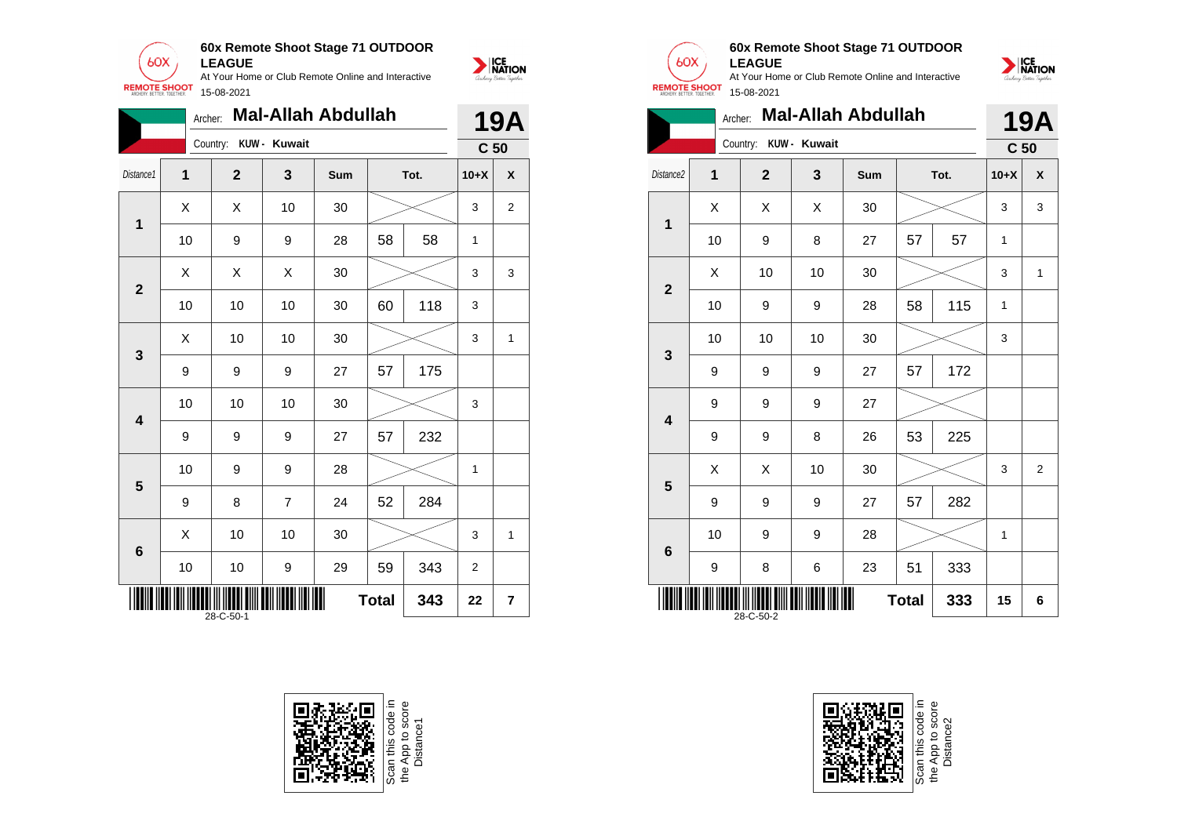

**60x Remote Shoot Stage 71 OUTDOOR LEAGUE**

At Your Home or Club Remote Online and Interactive

NATION

|                         | Archer:     |              |                | <b>Mal-Allah Abdullah</b> |              |      |                 | <b>19A</b>     |
|-------------------------|-------------|--------------|----------------|---------------------------|--------------|------|-----------------|----------------|
|                         |             | Country:     | KUW - Kuwait   |                           |              |      | C <sub>50</sub> |                |
| Distance1               | $\mathbf 1$ | $\mathbf{2}$ | 3              | Sum                       |              | Tot. | $10+X$          | X              |
| 1                       | X           | Χ            | 10             | 30                        |              |      | 3               | $\overline{2}$ |
|                         | 10          | 9            | 9              | 28                        | 58           | 58   | $\mathbf{1}$    |                |
| $\overline{\mathbf{2}}$ | X           | X            | X              | 30                        |              |      | 3               | 3              |
|                         | 10          | 10           | 10             | 30                        | 60           | 118  | 3               |                |
| 3                       | X           | 10           | 10             | 30                        |              |      | 3               | $\mathbf{1}$   |
|                         | 9           | 9            | 9              | 27                        | 57           | 175  |                 |                |
| $\overline{\mathbf{4}}$ | 10          | 10           | 10             | 30                        |              |      | 3               |                |
|                         | 9           | 9            | 9              | 27                        | 57           | 232  |                 |                |
| 5                       | 10          | 9            | 9              | 28                        |              |      | 1               |                |
|                         | 9           | 8            | $\overline{7}$ | 24                        | 52           | 284  |                 |                |
| 6                       | X           | 10           | 10             | 30                        |              |      | 3               | $\mathbf{1}$   |
|                         | 10          | 10           | 9              | 29                        | 59           | 343  | $\overline{2}$  |                |
|                         |             | 28-C-50-1    |                |                           | <b>Total</b> | 343  | 22              | $\overline{7}$ |





# **60x Remote Shoot Stage 71 OUTDOOR LEAGUE**

At Your Home or Club Remote Online and Interactive 15-08-2021

|                         | Archer:                                |                |                         | <b>Mal-Allah Abdullah</b> |    |      |                 | <b>19A</b>     |
|-------------------------|----------------------------------------|----------------|-------------------------|---------------------------|----|------|-----------------|----------------|
|                         |                                        | Country:       | KUW - Kuwait            |                           |    |      | C <sub>50</sub> |                |
| Distance2               | 1                                      | $\overline{2}$ | $\overline{\mathbf{3}}$ | Sum                       |    | Tot. | $10+X$          | X              |
| 1                       | X                                      | X              | X                       | 30                        |    |      | 3               | 3              |
|                         | 10                                     | 9              | 8                       | 27                        | 57 | 57   | $\mathbf{1}$    |                |
|                         | X                                      | 10             | 10                      | 30                        |    |      | 3               | $\mathbf{1}$   |
| $\overline{2}$          | 10                                     | 9              | 9                       | 28                        | 58 | 115  | $\mathbf{1}$    |                |
|                         | 10                                     | 10             | 10                      | 30                        |    |      | 3               |                |
| 3                       | 9                                      | 9              | 9                       | 27                        | 57 | 172  |                 |                |
|                         | 9                                      | 9              | 9                       | 27                        |    |      |                 |                |
| $\overline{\mathbf{4}}$ | 9                                      | 9              | 8                       | 26                        | 53 | 225  |                 |                |
| 5                       | X                                      | X              | 10                      | 30                        |    |      | 3               | $\overline{2}$ |
|                         | 9                                      | 9              | 9                       | 27                        | 57 | 282  |                 |                |
| $\bf 6$                 | 10                                     | 9              | 9                       | 28                        |    |      | 1               |                |
|                         | 9                                      | 8              | 6                       | 23                        | 51 | 333  |                 |                |
|                         | <b>Total</b><br>333<br>15<br>28-C-50-2 |                |                         |                           |    |      |                 | 6              |





NATION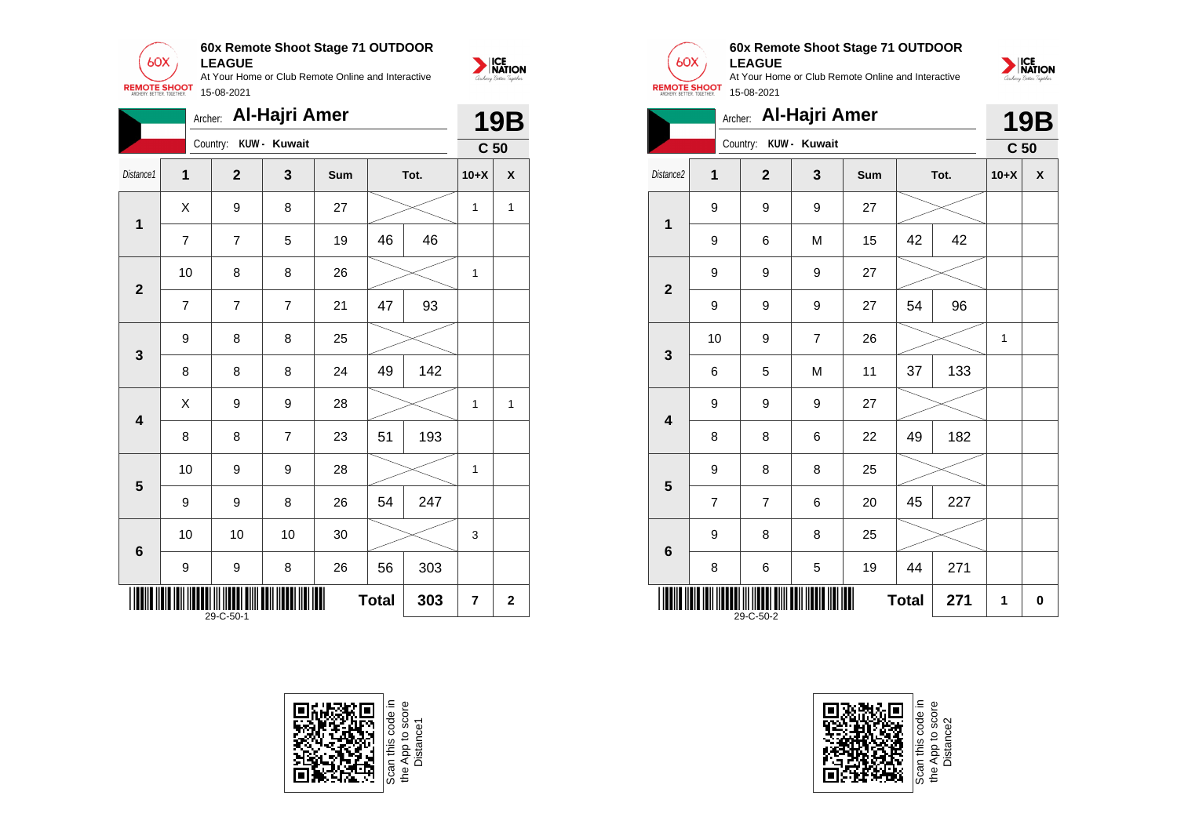

|                         | Archer:        |                       | <b>Al-Hajri Amer</b> |     |              |      |                 | <b>19B</b>   |
|-------------------------|----------------|-----------------------|----------------------|-----|--------------|------|-----------------|--------------|
|                         |                | Country: KUW - Kuwait |                      |     |              |      | C <sub>50</sub> |              |
| Distance1               | $\overline{1}$ | $\overline{2}$        | 3                    | Sum |              | Tot. | $10+X$          | X            |
|                         | X              | 9                     | 8                    | 27  |              |      | 1               | 1            |
| 1                       | $\overline{7}$ | 7                     | 5                    | 19  | 46           | 46   |                 |              |
| $\overline{2}$          | 10             | 8                     | 8                    | 26  |              |      | 1               |              |
|                         | $\overline{7}$ | 7                     | $\overline{7}$       | 21  | 47           | 93   |                 |              |
| $\mathbf{3}$            | 9              | 8                     | 8                    | 25  |              |      |                 |              |
|                         | 8              | 8                     | 8                    | 24  | 49           | 142  |                 |              |
| $\overline{\mathbf{4}}$ | X              | 9                     | 9                    | 28  |              |      | $\mathbf{1}$    | 1            |
|                         | 8              | 8                     | $\overline{7}$       | 23  | 51           | 193  |                 |              |
| 5                       | 10             | 9                     | 9                    | 28  |              |      | 1               |              |
|                         | 9              | 9                     | 8                    | 26  | 54           | 247  |                 |              |
| $\bf 6$                 | 10             | 10                    | 10                   | 30  |              |      | 3               |              |
|                         | 9              | 9                     | 8                    | 26  | 56           | 303  |                 |              |
|                         |                | 29-C-50-1             |                      | Ⅲ   | <b>Total</b> | 303  | $\overline{7}$  | $\mathbf{2}$ |





## **60x Remote Shoot Stage 71 OUTDOOR LEAGUE**



|                                  |                |                | Archer: Al-Hajri Amer |     |    |      |                 | <b>19B</b>         |
|----------------------------------|----------------|----------------|-----------------------|-----|----|------|-----------------|--------------------|
|                                  |                | Country:       | KUW - Kuwait          |     |    |      | C <sub>50</sub> |                    |
| Distance2                        | $\overline{1}$ | $\overline{2}$ | 3                     | Sum |    | Tot. | $10+X$          | $\pmb{\mathsf{X}}$ |
| $\mathbf 1$                      | 9              | 9              | 9                     | 27  |    |      |                 |                    |
|                                  | 9              | 6              | M                     | 15  | 42 | 42   |                 |                    |
|                                  | 9              | 9              | 9                     | 27  |    |      |                 |                    |
| $\mathbf{2}$                     | 9              | 9              | 9                     | 27  | 54 | 96   |                 |                    |
|                                  | 10             | 9              | $\overline{7}$        | 26  |    |      | 1               |                    |
| $\mathbf{3}$                     | 6              | 5              | M                     | 11  | 37 | 133  |                 |                    |
|                                  | 9              | 9              | 9                     | 27  |    |      |                 |                    |
| $\overline{\mathbf{4}}$          | 8              | 8              | 6                     | 22  | 49 | 182  |                 |                    |
|                                  | 9              | 8              | 8                     | 25  |    |      |                 |                    |
| 5                                | $\overline{7}$ | 7              | 6                     | 20  | 45 | 227  |                 |                    |
|                                  | 9              | 8              | 8                     | 25  |    |      |                 |                    |
| $6\phantom{1}$                   | 8              | 6              | 5                     | 19  | 44 | 271  |                 |                    |
| <b>Total</b><br>271<br>29-C-50-2 |                |                |                       |     |    |      |                 | 0                  |



Scan this code<br>the App to sco<br>Distance2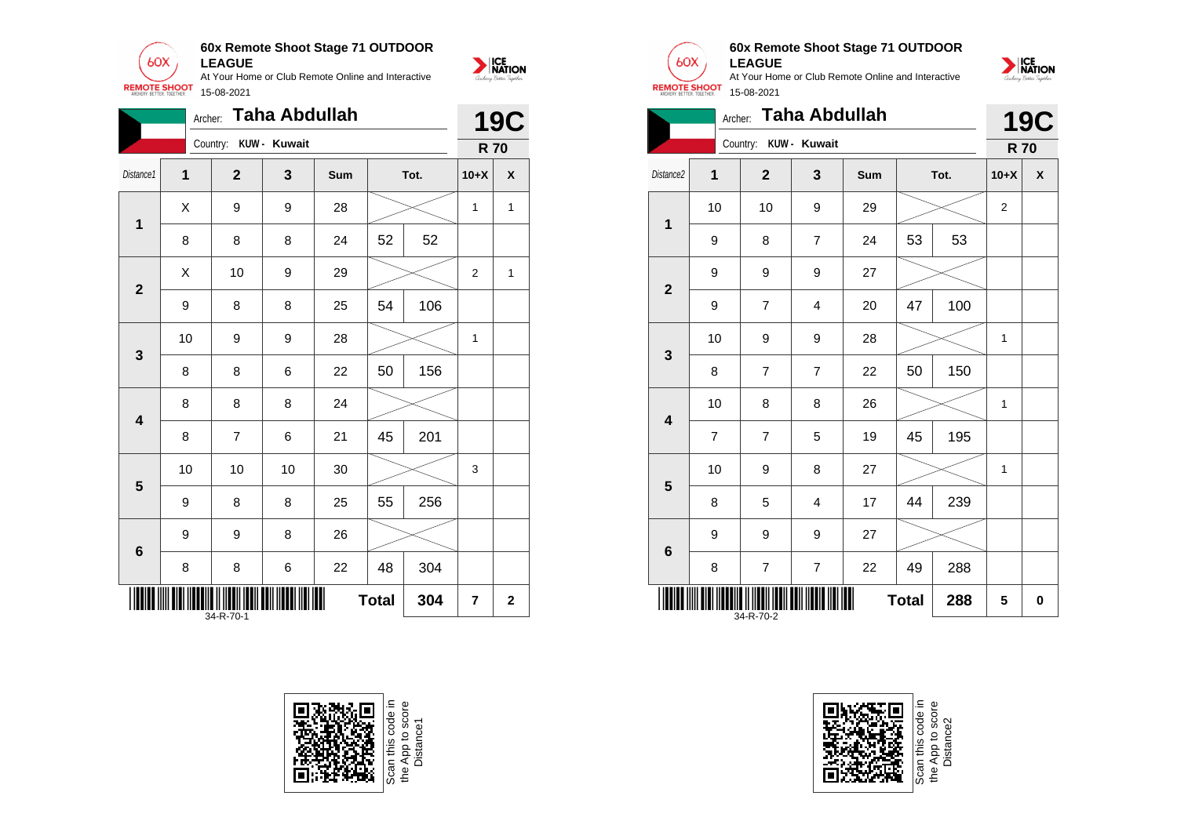

|                         | Archer: |                       | Taha Abdullah |     |              |      |                | <b>19C</b>         |
|-------------------------|---------|-----------------------|---------------|-----|--------------|------|----------------|--------------------|
|                         |         | Country: KUW - Kuwait |               |     |              |      | <b>R70</b>     |                    |
| Distance1               | 1       | $\mathbf{2}$          | 3             | Sum |              | Tot. | $10+X$         | $\pmb{\mathsf{X}}$ |
| 1                       | X       | 9                     | 9             | 28  |              |      | 1              | 1                  |
|                         | 8       | 8                     | 8             | 24  | 52           | 52   |                |                    |
| $\mathbf{2}$            | Χ       | 10                    | 9             | 29  |              |      | $\overline{2}$ | 1                  |
|                         | 9       | 8                     | 8             | 25  | 54           | 106  |                |                    |
| 3                       | 10      | 9                     | 9             | 28  |              |      | 1              |                    |
|                         | 8       | 8                     | 6             | 22  | 50           | 156  |                |                    |
| $\overline{\mathbf{4}}$ | 8       | 8                     | 8             | 24  |              |      |                |                    |
|                         | 8       | 7                     | 6             | 21  | 45           | 201  |                |                    |
| 5                       | 10      | 10                    | 10            | 30  |              |      | 3              |                    |
|                         | 9       | 8                     | 8             | 25  | 55           | 256  |                |                    |
| $6\phantom{1}6$         | 9       | 9                     | 8             | 26  |              |      |                |                    |
|                         | 8       | 8                     | 6             | 22  | 48           | 304  |                |                    |
|                         |         | 34-R-70-1             |               |     | <b>Total</b> | 304  | 7              | $\bf{2}$           |









## **60x Remote Shoot Stage 71 OUTDOOR LEAGUE**



|                         | <b>Taha Abdullah</b><br>Archer: |                       |                |            |              |     |                |            |
|-------------------------|---------------------------------|-----------------------|----------------|------------|--------------|-----|----------------|------------|
|                         |                                 | Country: KUW - Kuwait |                |            |              |     | <b>R70</b>     | <b>19C</b> |
| Distance2               | 1                               | $\overline{2}$        | 3              | <b>Sum</b> | Tot.         |     | $10+X$         | X          |
| 1                       | 10                              | 10                    | 9              | 29         |              |     | $\overline{2}$ |            |
|                         | 9                               | 8                     | $\overline{7}$ | 24         | 53           | 53  |                |            |
| $\overline{\mathbf{2}}$ | 9                               | 9                     | 9              | 27         |              |     |                |            |
|                         | 9                               | 7                     | $\overline{4}$ | 20         | 47           | 100 |                |            |
| 3                       | 10                              | 9                     | 9              | 28         |              |     | $\mathbf{1}$   |            |
|                         | 8                               | $\overline{7}$        | $\overline{7}$ | 22         | 50           | 150 |                |            |
| $\overline{\mathbf{4}}$ | 10                              | 8                     | 8              | 26         |              |     | 1              |            |
|                         | $\overline{7}$                  | $\overline{7}$        | 5              | 19         | 45           | 195 |                |            |
| 5                       | 10                              | 9                     | 8              | 27         |              |     | 1              |            |
|                         | 8                               | 5                     | $\overline{4}$ | 17         | 44           | 239 |                |            |
| 6                       | 9                               | 9                     | 9              | 27         |              |     |                |            |
|                         | 8                               | 7                     | $\overline{7}$ | 22         | 49           | 288 |                |            |
|                         |                                 | 34-R-70-2             |                |            | <b>Total</b> | 288 | 5              | 0          |

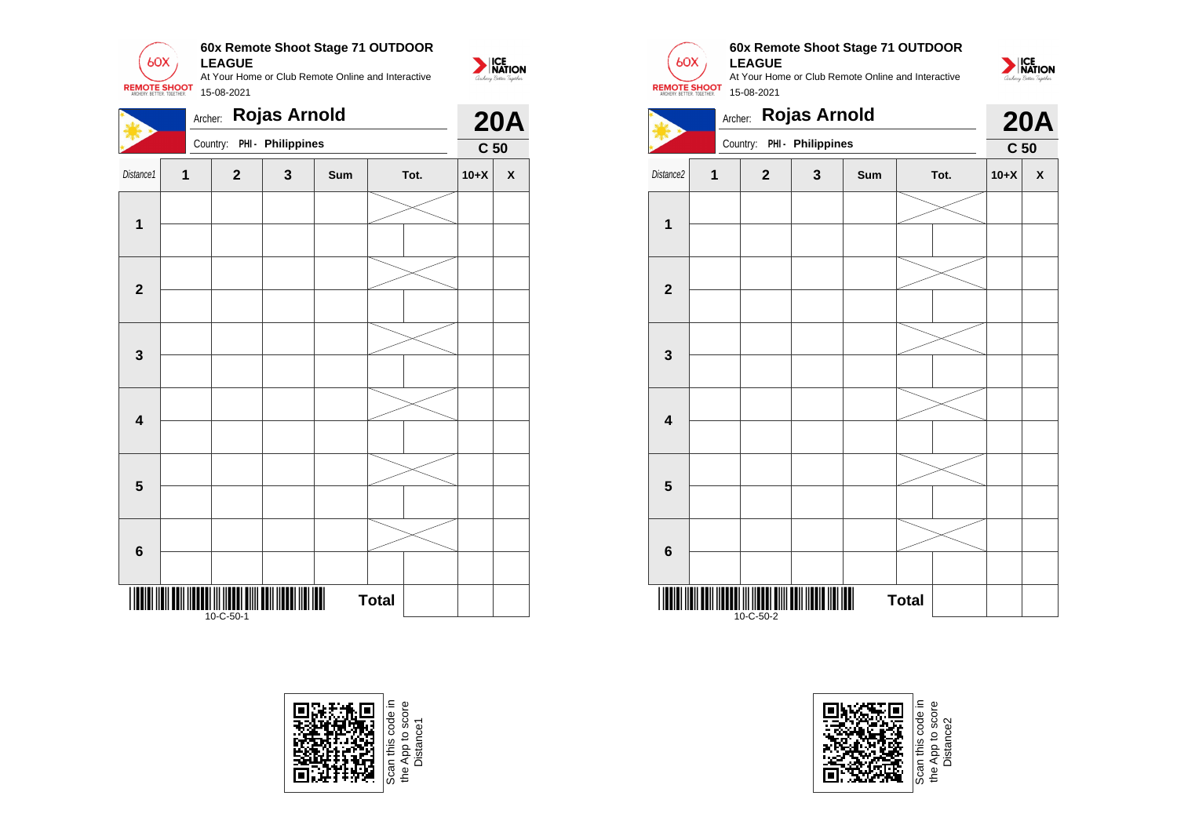

|                         |              | Archer: |                                             | <b>Rojas Arnold</b>        |     |              |      |                                              |  |  |
|-------------------------|--------------|---------|---------------------------------------------|----------------------------|-----|--------------|------|----------------------------------------------|--|--|
|                         |              |         |                                             | Country: PHI - Philippines |     |              |      | <b>20A</b><br>C <sub>50</sub><br>$10+X$<br>X |  |  |
| Distance1               | $\mathbf{1}$ |         | $\mathbf{2}$                                | $\mathbf{3}$               | Sum |              | Tot. |                                              |  |  |
| $\mathbf 1$             |              |         |                                             |                            |     |              |      |                                              |  |  |
| $\overline{\mathbf{2}}$ |              |         |                                             |                            |     |              |      |                                              |  |  |
| $\mathbf 3$             |              |         |                                             |                            |     |              |      |                                              |  |  |
| $\overline{\mathbf{4}}$ |              |         |                                             |                            |     |              |      |                                              |  |  |
| $5\phantom{1}$          |              |         |                                             |                            |     |              |      |                                              |  |  |
| $\bf 6$                 |              |         |                                             |                            |     |              |      |                                              |  |  |
|                         |              |         | TOI III IITOOTI OIIII OODI III<br>10-C-50-1 |                            |     | <b>Total</b> |      |                                              |  |  |



e App to score<br>Distance1



## **60x Remote Shoot Stage 71 OUTDOOR LEAGUE**

At Your Home or Club Remote Online and Interactive 15-08-2021



|                         |   |                | <b>20A</b>                 |     |              |      |                 |   |
|-------------------------|---|----------------|----------------------------|-----|--------------|------|-----------------|---|
|                         |   |                | Country: PHI - Philippines |     |              |      | C <sub>50</sub> |   |
| Distance2               | 1 | $\overline{2}$ | $\mathbf{3}$               | Sum |              | Tot. | $10+X$          | X |
|                         |   |                |                            |     |              |      |                 |   |
| 1                       |   |                |                            |     |              |      |                 |   |
|                         |   |                |                            |     |              |      |                 |   |
| $\mathbf{2}$            |   |                |                            |     |              |      |                 |   |
|                         |   |                |                            |     |              |      |                 |   |
| 3                       |   |                |                            |     |              |      |                 |   |
|                         |   |                |                            |     |              |      |                 |   |
| $\overline{\mathbf{4}}$ |   |                |                            |     |              |      |                 |   |
|                         |   |                |                            |     |              |      |                 |   |
| 5                       |   |                |                            |     |              |      |                 |   |
|                         |   |                |                            |     |              |      |                 |   |
| $6\phantom{1}$          |   |                |                            |     |              |      |                 |   |
|                         |   |                |                            |     |              |      |                 |   |
|                         |   | 10-C-50-2      |                            |     | <b>Total</b> |      |                 |   |



e App to sco<br>Distance2 Distance2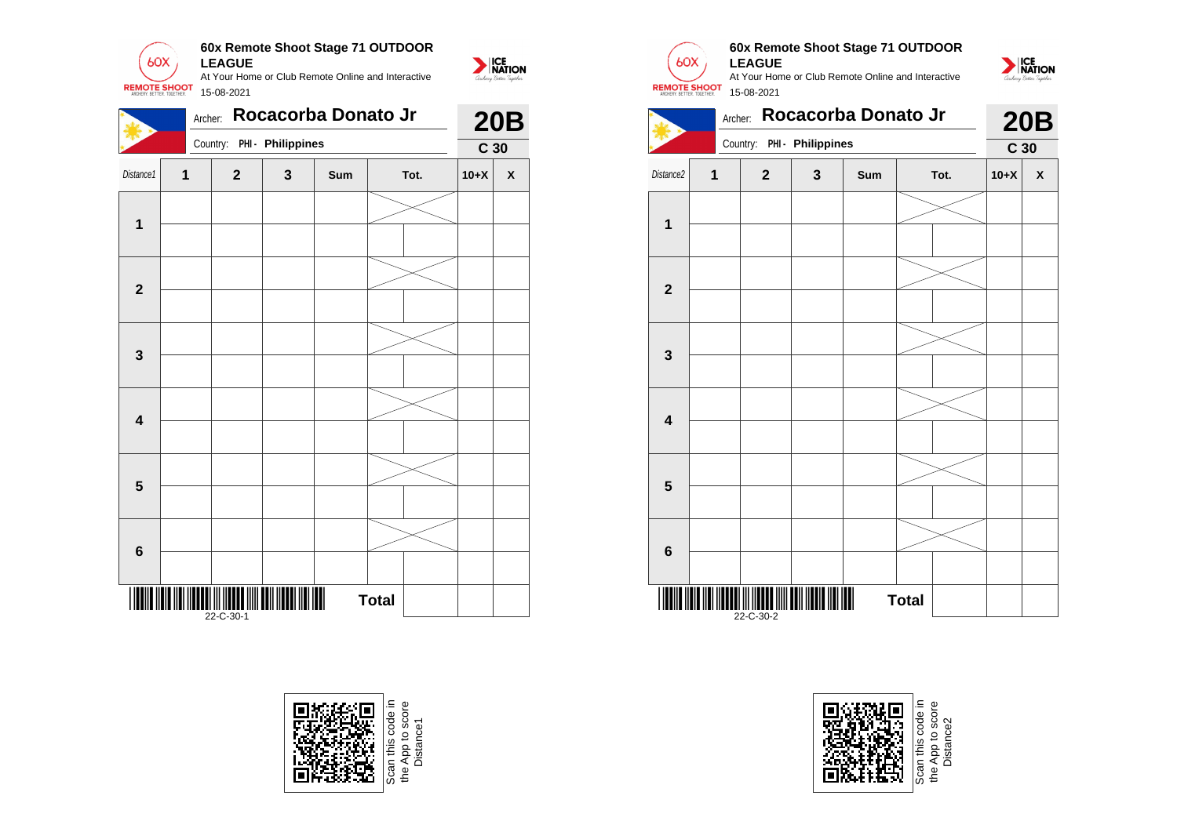

|                                | Archer:     |                            | <b>20B</b> |     |      |                 |                    |  |  |
|--------------------------------|-------------|----------------------------|------------|-----|------|-----------------|--------------------|--|--|
|                                |             | Country: PHI - Philippines |            |     |      | C <sub>30</sub> |                    |  |  |
| Distance1                      | $\mathbf 1$ | $\mathbf{2}$               | 3          | Sum | Tot. | $10+X$          | $\pmb{\mathsf{X}}$ |  |  |
| $\mathbf{1}$                   |             |                            |            |     |      |                 |                    |  |  |
|                                |             |                            |            |     |      |                 |                    |  |  |
| $\mathbf{2}$                   |             |                            |            |     |      |                 |                    |  |  |
|                                |             |                            |            |     |      |                 |                    |  |  |
| $\mathbf{3}$                   |             |                            |            |     |      |                 |                    |  |  |
|                                |             |                            |            |     |      |                 |                    |  |  |
| $\overline{\mathbf{4}}$        |             |                            |            |     |      |                 |                    |  |  |
|                                |             |                            |            |     |      |                 |                    |  |  |
| $\overline{\mathbf{5}}$        |             |                            |            |     |      |                 |                    |  |  |
|                                |             |                            |            |     |      |                 |                    |  |  |
| $\bf 6$                        |             |                            |            |     |      |                 |                    |  |  |
|                                |             |                            |            |     |      |                 |                    |  |  |
| $\blacksquare$<br><b>Total</b> |             |                            |            |     |      |                 |                    |  |  |





**1**

**2**

**3**

**4**

**5**

**6**

\*22-C-30-2\* 22-C-30-2

# **60x Remote Shoot Stage 71 OUTDOOR LEAGUE**

At Your Home or Club Remote Online and Interactive 15-08-2021



NATION



**Total** 



Distance2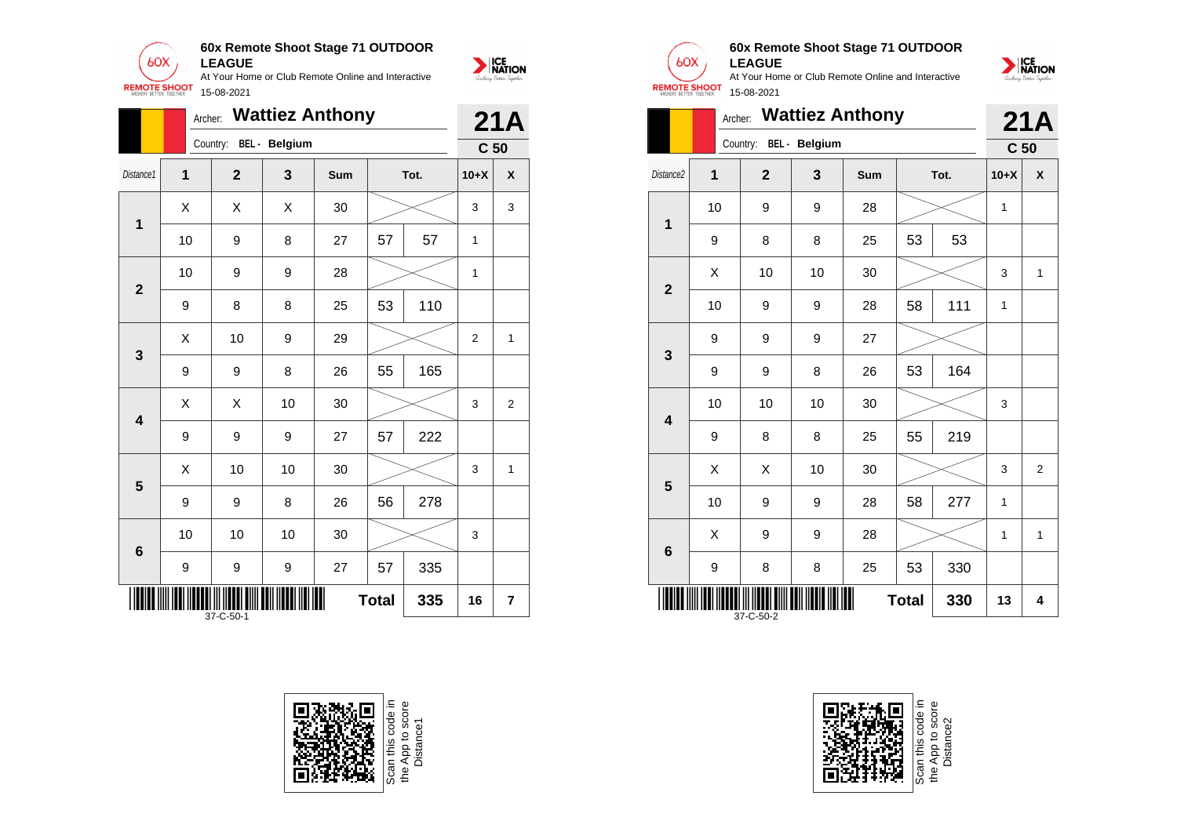

|                         | Archer: | <b>Wattiez Anthony</b> |    |            | 21A          |      |                 |              |
|-------------------------|---------|------------------------|----|------------|--------------|------|-----------------|--------------|
|                         |         | Country: BEL - Belgium |    |            |              |      | C <sub>50</sub> |              |
| Distance1               | 1       | $\mathbf{2}$           | 3  | <b>Sum</b> |              | Tot. | $10+X$          | X            |
| 1                       | X       | Χ                      | X  | 30         |              |      | 3               | 3            |
|                         | 10      | 9                      | 8  | 27         | 57           | 57   | 1               |              |
| $\overline{2}$          | 10      | 9                      | 9  | 28         |              |      | 1               |              |
|                         | 9       | 8                      | 8  | 25         | 53           | 110  |                 |              |
| 3                       | X       | 10                     | 9  | 29         |              |      | $\overline{2}$  | $\mathbf{1}$ |
|                         | 9       | 9                      | 8  | 26         | 55           | 165  |                 |              |
| $\overline{\mathbf{4}}$ | X       | Χ                      | 10 | 30         |              |      | 3               | 2            |
|                         | 9       | 9                      | 9  | 27         | 57           | 222  |                 |              |
| 5                       | X       | 10                     | 10 | 30         |              |      | 3               | 1            |
|                         | 9       | 9                      | 8  | 26         | 56           | 278  |                 |              |
| $6\phantom{1}6$         | 10      | 10                     | 10 | 30         |              |      | 3               |              |
|                         | 9       | 9                      | 9  | 27         | 57           | 335  |                 |              |
|                         |         | 37-C-50-1              |    |            | <b>Total</b> | 335  | 16              | 7            |





## **60x Remote Shoot Stage 71 OUTDOOR LEAGUE**

At Your Home or Club Remote Online and Interactive 15-08-2021



|                                  | <b>Wattiez Anthony</b><br>Archer: |                        |    |     |    |      |                 |     |  |  |
|----------------------------------|-----------------------------------|------------------------|----|-----|----|------|-----------------|-----|--|--|
|                                  |                                   | Country: BEL - Belgium |    |     |    |      | C <sub>50</sub> | 21A |  |  |
| Distance <sub>2</sub>            | 1                                 | $\overline{2}$         | 3  | Sum |    | Tot. | $10+X$          | X   |  |  |
| 1                                | 10                                | 9                      | 9  | 28  |    |      | 1               |     |  |  |
|                                  | 9                                 | 8                      | 8  | 25  | 53 | 53   |                 |     |  |  |
| $\overline{2}$                   | X                                 | 10                     | 10 | 30  |    |      | 3               | 1   |  |  |
|                                  | 10                                | 9                      | 9  | 28  | 58 | 111  | 1               |     |  |  |
| 3                                | 9                                 | 9                      | 9  | 27  |    |      |                 |     |  |  |
|                                  | 9                                 | 9                      | 8  | 26  | 53 | 164  |                 |     |  |  |
| $\overline{\mathbf{4}}$          | 10                                | 10                     | 10 | 30  |    |      | 3               |     |  |  |
|                                  | 9                                 | 8                      | 8  | 25  | 55 | 219  |                 |     |  |  |
| 5                                | X                                 | Χ                      | 10 | 30  |    |      | 3               | 2   |  |  |
|                                  | 10                                | 9                      | 9  | 28  | 58 | 277  | 1               |     |  |  |
| $6\phantom{1}6$                  | X                                 | 9                      | 9  | 28  |    |      | 1               | 1   |  |  |
|                                  | 9                                 | 8                      | 8  | 25  | 53 | 330  |                 |     |  |  |
| 330<br><b>Total</b><br>37-C-50-2 |                                   |                        |    |     |    |      |                 | 4   |  |  |



Scan this code<br>the App to sco<br>Distance2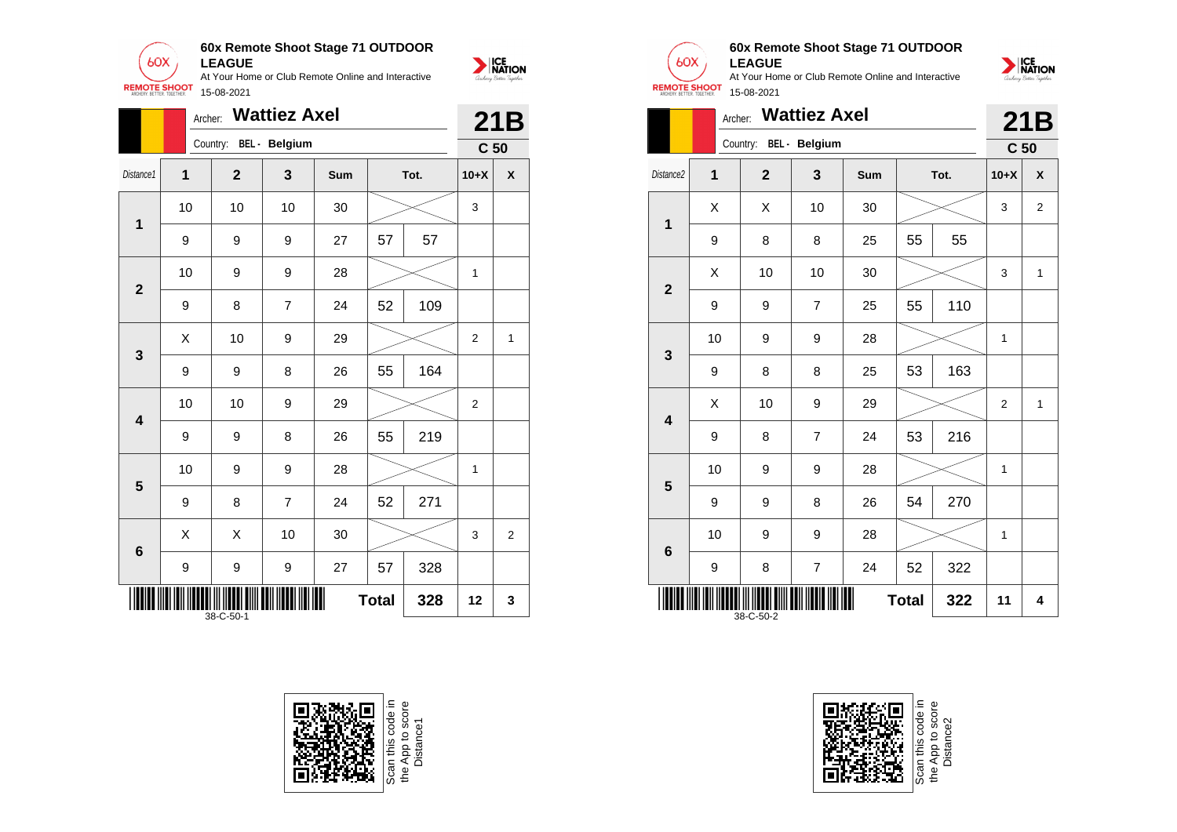

|                | <b>Wattiez Axel</b><br>Archer:        |                |                        |     |    |      |                 |                |  |
|----------------|---------------------------------------|----------------|------------------------|-----|----|------|-----------------|----------------|--|
|                |                                       |                | Country: BEL - Belgium |     |    |      | C <sub>50</sub> |                |  |
| Distance1      | 1                                     | $\overline{2}$ | 3                      | Sum |    | Tot. | $10+X$          | X              |  |
| $\mathbf{1}$   | 10                                    | 10             | 10                     | 30  |    |      | 3               |                |  |
|                | 9                                     | 9              | 9                      | 27  | 57 | 57   |                 |                |  |
| $\overline{2}$ | 10                                    | 9              | 9                      | 28  |    |      | 1               |                |  |
|                | 9                                     | 8              | $\overline{7}$         | 24  | 52 | 109  |                 |                |  |
| 3              | X                                     | 10             | 9                      | 29  |    |      | $\overline{2}$  | 1              |  |
|                | 9                                     | 9              | 8                      | 26  | 55 | 164  |                 |                |  |
| 4              | 10                                    | 10             | 9                      | 29  |    |      | 2               |                |  |
|                | 9                                     | 9              | 8                      | 26  | 55 | 219  |                 |                |  |
| 5              | 10                                    | 9              | 9                      | 28  |    |      | 1               |                |  |
|                | 9                                     | 8              | $\overline{7}$         | 24  | 52 | 271  |                 |                |  |
| 6              | Χ                                     | Χ              | 10                     | 30  |    |      | 3               | $\overline{2}$ |  |
|                | 9                                     | 9              | 9                      | 27  | 57 | 328  |                 |                |  |
|                | Ш<br><b>Total</b><br>328<br>38-C-50-1 |                |                        |     |    |      | 12              | 3              |  |



Scan this code in<br>the App to score<br>Distance1



NATION

## **60x Remote Shoot Stage 71 OUTDOOR LEAGUE**



|                                        | Archer:        |                |                | 21B |      |     |                 |              |
|----------------------------------------|----------------|----------------|----------------|-----|------|-----|-----------------|--------------|
|                                        |                | Country:       | BEL - Belgium  |     |      |     | C <sub>50</sub> |              |
| Distance <sub>2</sub>                  | $\overline{1}$ | $\overline{2}$ | 3              | Sum | Tot. |     | $10+X$          | X            |
| $\overline{\mathbf{1}}$                | Χ              | X              | 10             | 30  |      |     | 3               | 2            |
|                                        | 9              | 8              | 8              | 25  | 55   | 55  |                 |              |
| $\overline{2}$                         | Χ              | 10             | 10             | 30  |      |     | 3               | $\mathbf{1}$ |
|                                        | 9              | 9              | $\overline{7}$ | 25  | 55   | 110 |                 |              |
| 3                                      | 10             | 9              | 9              | 28  |      |     | 1               |              |
|                                        | 9              | 8              | 8              | 25  | 53   | 163 |                 |              |
| $\overline{\mathbf{4}}$                | Χ              | 10             | 9              | 29  |      |     | $\overline{2}$  | 1            |
|                                        | 9              | 8              | $\overline{7}$ | 24  | 53   | 216 |                 |              |
|                                        | 10             | 9              | 9              | 28  |      |     | 1               |              |
| 5                                      | 9              | 9              | 8              | 26  | 54   | 270 |                 |              |
| $6\phantom{1}6$                        | 10             | 9              | 9              | 28  |      |     | 1               |              |
|                                        | 9              | 8              | $\overline{7}$ | 24  | 52   | 322 |                 |              |
| <b>Total</b><br>322<br>11<br>38-C-50-2 |                |                |                |     |      |     |                 | 4            |



Scan this code<br>the App to scor<br>Distance2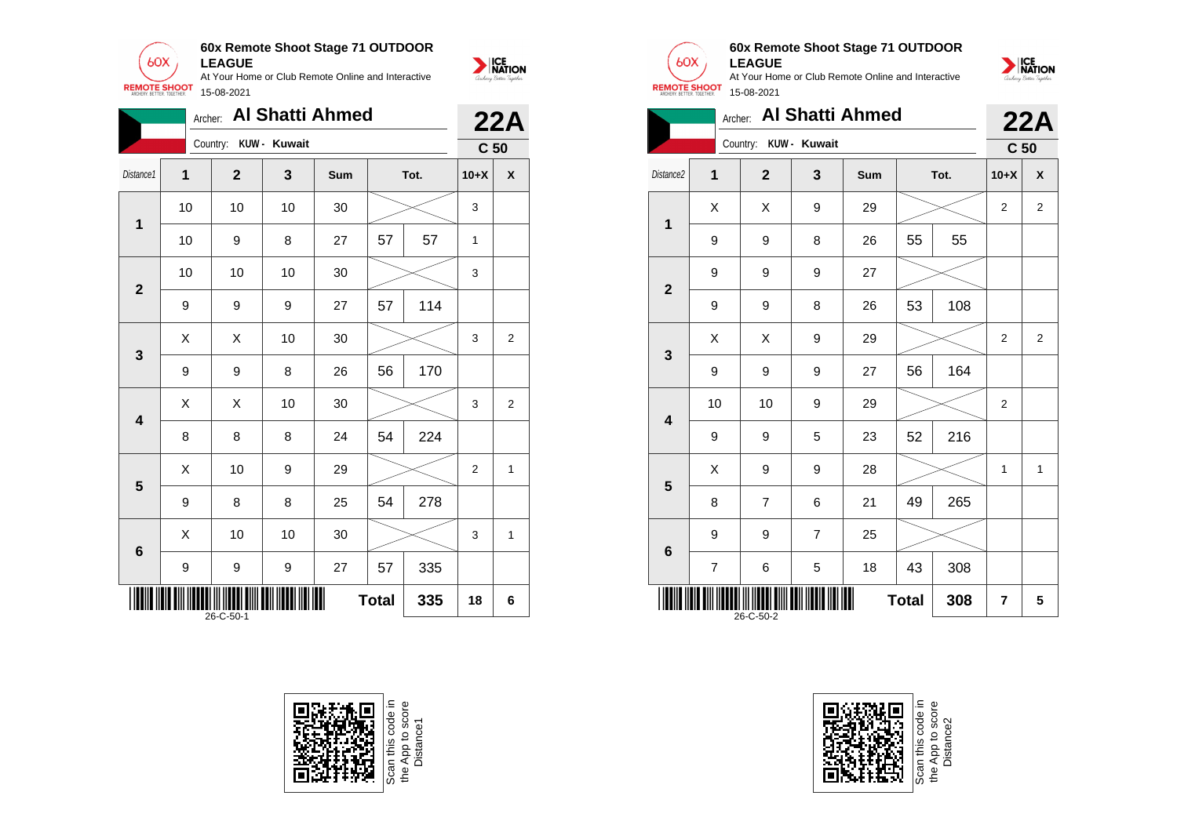

|                                  | <b>Al Shatti Ahmed</b><br>Archer:<br>Country: KUW - Kuwait |                |    |     |          |      |                 | <b>22A</b>         |  |
|----------------------------------|------------------------------------------------------------|----------------|----|-----|----------|------|-----------------|--------------------|--|
|                                  |                                                            |                |    |     |          |      | C <sub>50</sub> |                    |  |
| Distance1                        | 1                                                          | $\overline{2}$ | 3  | Sum |          | Tot. | $10+X$          | $\pmb{\mathsf{X}}$ |  |
| 1                                | 10                                                         | 10             | 10 | 30  |          |      | 3               |                    |  |
|                                  | 10                                                         | 9              | 8  | 27  | 57<br>57 |      | $\mathbf{1}$    |                    |  |
| $\mathbf{2}$                     | 10                                                         | 10             | 10 | 30  |          |      | 3               |                    |  |
|                                  | 9                                                          | 9              | 9  | 27  | 57       | 114  |                 |                    |  |
| 3                                | X                                                          | X              | 10 | 30  |          |      | 3               | 2                  |  |
|                                  | 9                                                          | 9              | 8  | 26  | 56       | 170  |                 |                    |  |
| $\overline{\mathbf{4}}$          | Χ                                                          | X              | 10 | 30  |          |      | 3               | $\boldsymbol{2}$   |  |
|                                  | 8                                                          | 8              | 8  | 24  | 54       | 224  |                 |                    |  |
| 5                                | X                                                          | 10             | 9  | 29  |          |      | $\overline{2}$  | 1                  |  |
|                                  | 9                                                          | 8              | 8  | 25  | 54       | 278  |                 |                    |  |
| 6                                | X                                                          | 10             | 10 | 30  |          |      | 3               | $\mathbf{1}$       |  |
|                                  | $\boldsymbol{9}$                                           | 9              | 9  | 27  | 57       | 335  |                 |                    |  |
| 335<br><b>Total</b><br>26-C-50-1 |                                                            |                |    |     |          |      | 18              | 6                  |  |





## **60x Remote Shoot Stage 71 OUTDOOR LEAGUE**

NATION

At Your Home or Club Remote Online and Interactive 15-08-2021





Scan this code in<br>the App to score<br>Distance2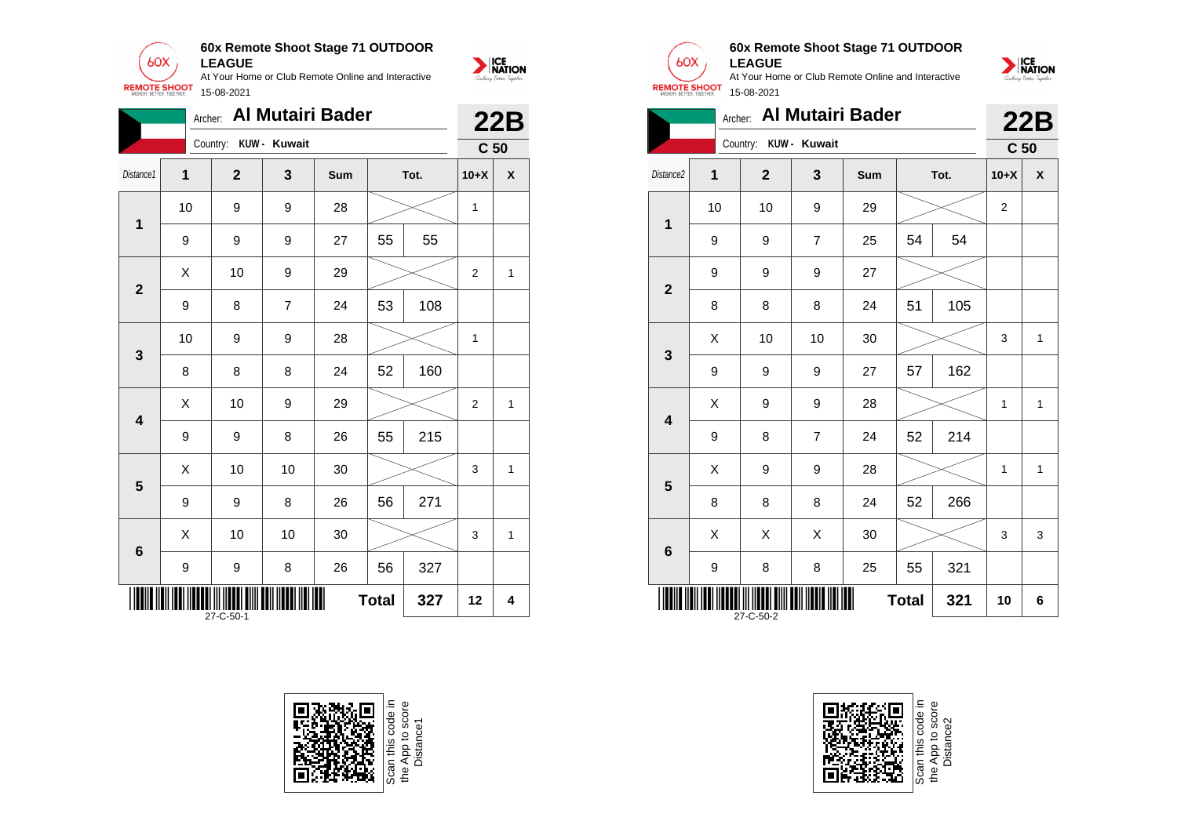

|                                  | Archer:          |                       |                | <b>Al Mutairi Bader</b> |    |      |                 | <b>22B</b>         |  |
|----------------------------------|------------------|-----------------------|----------------|-------------------------|----|------|-----------------|--------------------|--|
|                                  |                  | Country: KUW - Kuwait |                |                         |    |      | C <sub>50</sub> |                    |  |
| Distance1                        | 1                | $\overline{2}$        | 3              | Sum                     |    | Tot. | $10+X$          | $\pmb{\mathsf{X}}$ |  |
| $\mathbf{1}$                     | 10               | 9                     | 9              | 28                      |    |      |                 |                    |  |
|                                  | 9                | 9                     | 9              | 27                      | 55 | 55   |                 |                    |  |
| $\mathbf{2}$                     | Χ                | 10                    | 9              | 29                      |    |      | $\overline{2}$  | 1                  |  |
|                                  | 9                | 8                     | $\overline{7}$ | 24                      | 53 | 108  |                 |                    |  |
| 3                                | 10               | 9                     | 9              | 28                      |    |      | 1               |                    |  |
|                                  | 8                | 8                     | 8              | 24                      | 52 | 160  |                 |                    |  |
| $\overline{\mathbf{4}}$          | X                | 10                    | 9              | 29                      |    |      | $\overline{2}$  | 1                  |  |
|                                  | 9                | 9                     | 8              | 26                      | 55 | 215  |                 |                    |  |
| 5                                | X                | 10                    | 10             | 30                      |    |      | 3               | 1                  |  |
|                                  | 9                | 9                     | 8              | 26                      | 56 | 271  |                 |                    |  |
| 6                                | X                | 10                    | 10             | 30                      |    |      | 3               | $\mathbf{1}$       |  |
|                                  | $\boldsymbol{9}$ | 9                     | 8              | 26                      | 56 | 327  |                 |                    |  |
| 327<br><b>Total</b><br>27-C-50-1 |                  |                       |                |                         |    |      | 12              | 4                  |  |





## **60x Remote Shoot Stage 71 OUTDOOR LEAGUE**

|                                  | <b>Al Mutairi Bader</b><br>Archer:<br>Country: KUW - Kuwait |              |                |     |    |      |                 | 22B                |  |
|----------------------------------|-------------------------------------------------------------|--------------|----------------|-----|----|------|-----------------|--------------------|--|
|                                  |                                                             |              |                |     |    |      | C <sub>50</sub> |                    |  |
| Distance2                        | 1                                                           | $\mathbf{2}$ | $\mathbf{3}$   | Sum |    | Tot. | $10+X$          | $\pmb{\mathsf{X}}$ |  |
| $\mathbf{1}$                     | 10                                                          | 10           | 9              | 29  |    |      | $\overline{2}$  |                    |  |
|                                  | 9                                                           | 9            | $\overline{7}$ | 25  | 54 | 54   |                 |                    |  |
| $\overline{2}$                   | 9                                                           | 9            | 9              | 27  |    |      |                 |                    |  |
|                                  | 8                                                           | 8            | 8              | 24  | 51 | 105  |                 |                    |  |
| 3                                | X                                                           | 10           | 10             | 30  |    |      | 3               | $\mathbf{1}$       |  |
|                                  | 9                                                           | 9            | 9              | 27  | 57 | 162  |                 |                    |  |
| $\overline{\mathbf{4}}$          | X                                                           | 9            | 9              | 28  |    |      | 1               | 1                  |  |
|                                  | 9                                                           | 8            | $\overline{7}$ | 24  | 52 | 214  |                 |                    |  |
| 5                                | X                                                           | 9            | 9              | 28  |    |      | 1               | $\mathbf{1}$       |  |
|                                  | 8                                                           | 8            | 8              | 24  | 52 | 266  |                 |                    |  |
| $6\phantom{1}6$                  | Χ                                                           | Χ            | X              | 30  |    |      | 3               | 3                  |  |
|                                  | 9                                                           | 8            | 8              | 25  | 55 | 321  |                 |                    |  |
| <b>Total</b><br>321<br>27-C-50-2 |                                                             |              |                |     |    |      | 10              | 6                  |  |



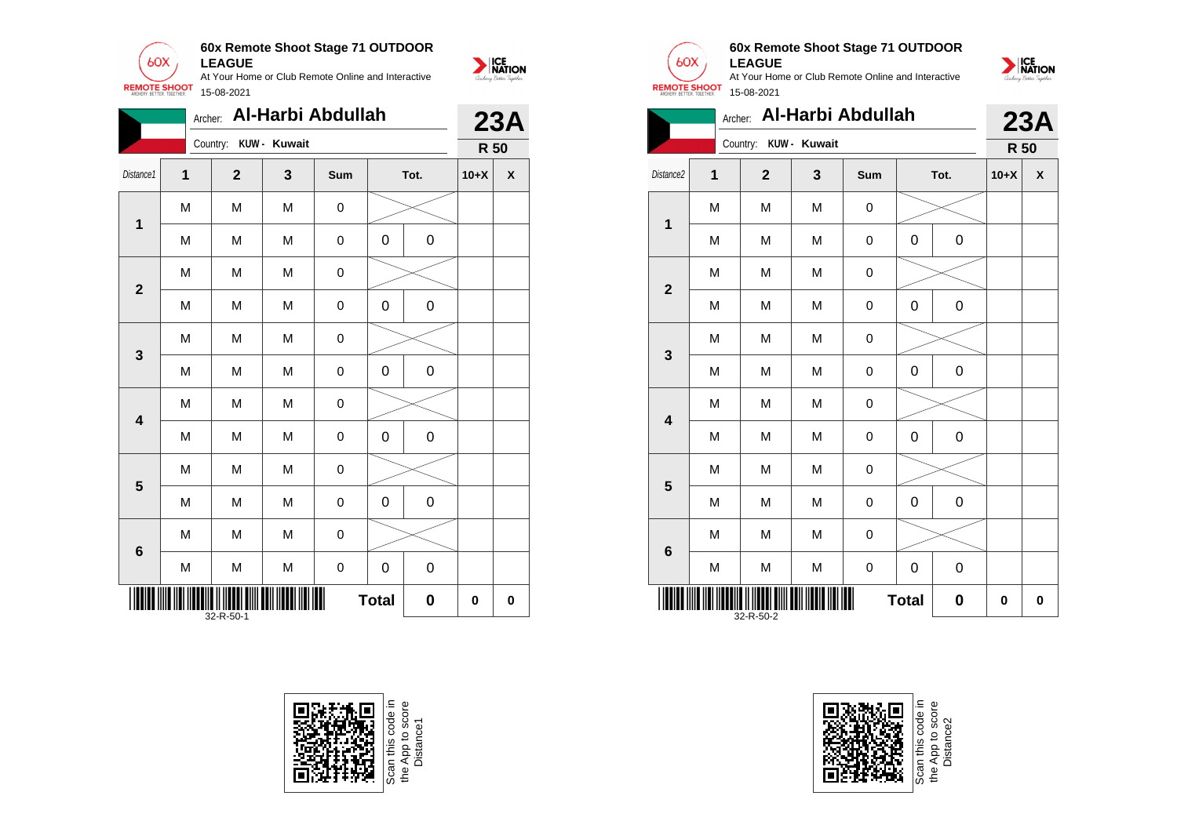









# **60x Remote Shoot Stage 71 OUTDOOR LEAGUE**



|                         | Archer:                               |                |              | Al-Harbi Abdullah |   |      |        | <b>23A</b>         |  |  |  |
|-------------------------|---------------------------------------|----------------|--------------|-------------------|---|------|--------|--------------------|--|--|--|
|                         |                                       | Country:       | KUW - Kuwait |                   |   |      | R 50   |                    |  |  |  |
| Distance2               | 1                                     | $\overline{2}$ | $\mathbf{3}$ | Sum               |   | Tot. | $10+X$ | $\pmb{\mathsf{X}}$ |  |  |  |
| 1                       | M                                     | M              | M            | $\boldsymbol{0}$  |   |      |        |                    |  |  |  |
|                         | M                                     | M              | M            | $\boldsymbol{0}$  | 0 | 0    |        |                    |  |  |  |
|                         | M                                     | M              | M            | $\mathbf 0$       |   |      |        |                    |  |  |  |
| $\overline{\mathbf{2}}$ | M                                     | M              | M            | $\mathbf 0$       | 0 | 0    |        |                    |  |  |  |
|                         | M                                     | M              | M            | $\pmb{0}$         |   |      |        |                    |  |  |  |
| 3                       | M                                     | M              | M            | $\mathbf 0$       | 0 | 0    |        |                    |  |  |  |
|                         | M                                     | M              | M            | $\mathbf 0$       |   |      |        |                    |  |  |  |
| $\overline{\mathbf{4}}$ | M                                     | M              | M            | $\boldsymbol{0}$  | 0 | 0    |        |                    |  |  |  |
|                         | M                                     | M              | M            | $\mathbf 0$       |   |      |        |                    |  |  |  |
| 5                       | M                                     | M              | M            | $\mathbf 0$       | 0 | 0    |        |                    |  |  |  |
|                         | M                                     | M              | M            | $\boldsymbol{0}$  |   |      |        |                    |  |  |  |
| $6\phantom{1}$          | M                                     | M              | M            | $\pmb{0}$         | 0 | 0    |        |                    |  |  |  |
|                         | <b>Total</b><br>$\bf{0}$<br>32-R-50-2 |                |              |                   |   |      |        |                    |  |  |  |



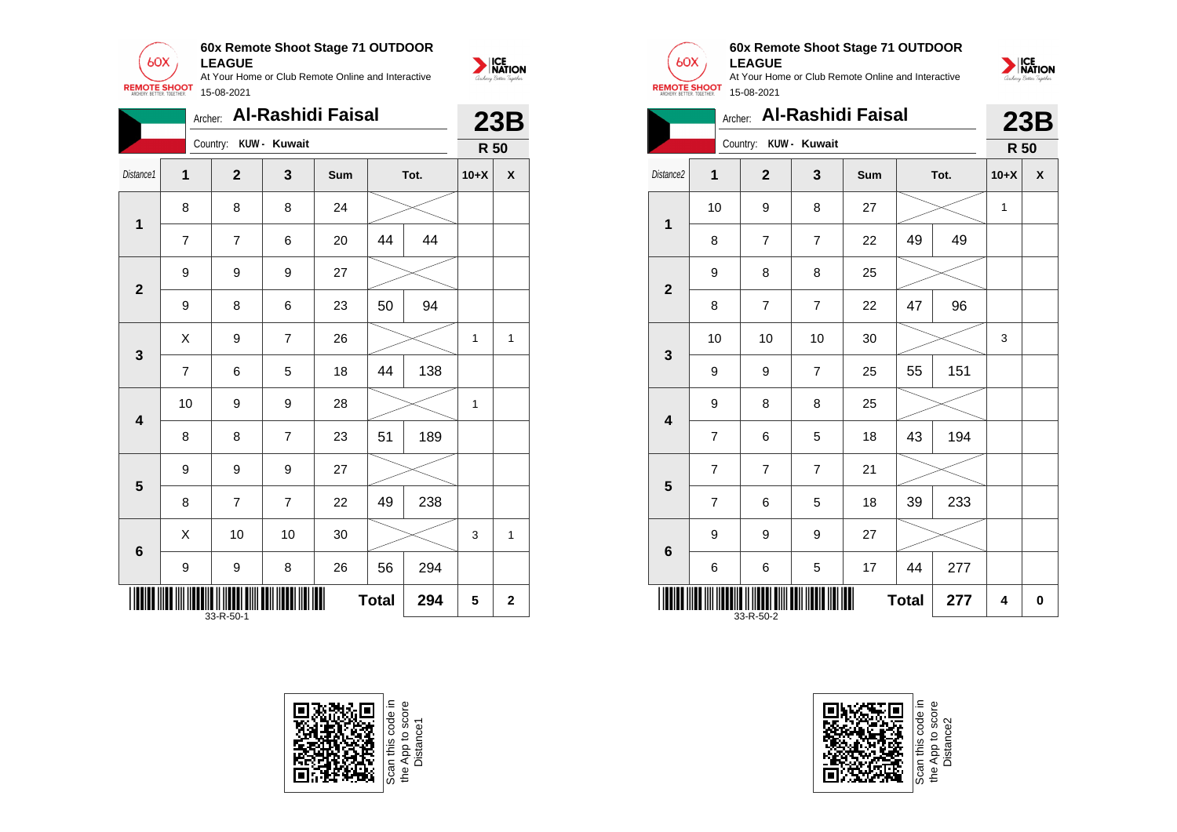

|                 | Archer:                               |                       | <b>Al-Rashidi Faisal</b> |     |      |     |        | <b>23B</b>   |  |
|-----------------|---------------------------------------|-----------------------|--------------------------|-----|------|-----|--------|--------------|--|
|                 |                                       | Country: KUW - Kuwait |                          |     |      |     | R 50   |              |  |
| Distance1       | 1                                     | $\mathbf{2}$          | 3                        | Sum | Tot. |     | $10+X$ | χ            |  |
| $\mathbf 1$     | 8                                     | 8                     | 8                        | 24  |      |     |        |              |  |
|                 | $\overline{7}$                        | $\overline{7}$        | 6                        | 20  | 44   | 44  |        |              |  |
| $\mathbf{2}$    | 9                                     | 9                     | 9                        | 27  |      |     |        |              |  |
|                 | 9                                     | 8                     | 6                        | 23  | 50   | 94  |        |              |  |
| $\mathbf{3}$    | X                                     | 9                     | $\overline{7}$           | 26  |      |     | 1      | $\mathbf{1}$ |  |
|                 | $\overline{7}$                        | 6                     | 5                        | 18  | 44   | 138 |        |              |  |
| 4               | 10                                    | 9                     | 9                        | 28  |      |     | 1      |              |  |
|                 | 8                                     | 8                     | $\overline{7}$           | 23  | 51   | 189 |        |              |  |
| 5               | 9                                     | 9                     | 9                        | 27  |      |     |        |              |  |
|                 | 8                                     | $\overline{7}$        | $\overline{7}$           | 22  | 49   | 238 |        |              |  |
| $6\phantom{1}6$ | X                                     | 10                    | 10                       | 30  |      |     | 3      | 1            |  |
|                 | 9                                     | 9                     | 8                        | 26  | 56   | 294 |        |              |  |
|                 | <b>Total</b><br>294<br>5<br>33-R-50-1 |                       |                          |     |      |     |        | $\mathbf{2}$ |  |





# **60x Remote Shoot Stage 71 OUTDOOR LEAGUE**



|                         |                |                       |                | Archer: Al-Rashidi Faisal |              |      | <b>23B</b>   |   |  |
|-------------------------|----------------|-----------------------|----------------|---------------------------|--------------|------|--------------|---|--|
|                         |                | Country: KUW - Kuwait |                |                           |              |      | R 50         |   |  |
| Distance2               | $\overline{1}$ | $\overline{2}$        | 3              | Sum                       |              | Tot. |              | X |  |
| $\mathbf 1$             | 10             | 9                     | 8              | 27                        |              |      | $\mathbf{1}$ |   |  |
|                         | 8              | $\overline{7}$        | $\overline{7}$ | 22                        | 49           | 49   |              |   |  |
| $\overline{2}$          | 9              | 8                     | 8              | 25                        |              |      |              |   |  |
|                         | 8              | 7                     | $\overline{7}$ | 22                        | 47           | 96   |              |   |  |
| $\overline{\mathbf{3}}$ | 10             | 10                    | 10             | 30                        |              |      | 3            |   |  |
|                         | 9              | 9                     | $\overline{7}$ | 25                        | 55           | 151  |              |   |  |
| $\overline{\mathbf{4}}$ | 9              | 8                     | 8              | 25                        |              |      |              |   |  |
|                         | $\overline{7}$ | 6                     | 5              | 18                        | 43           | 194  |              |   |  |
| 5                       | $\overline{7}$ | 7                     | $\overline{7}$ | 21                        |              |      |              |   |  |
|                         | $\overline{7}$ | 6                     | 5              | 18                        | 39           | 233  |              |   |  |
| $6\phantom{1}$          | 9              | 9                     | 9              | 27                        |              |      |              |   |  |
|                         | 6              | 6                     | 5              | 17                        | 44           | 277  |              |   |  |
|                         |                | 33-R-50-2             |                |                           | <b>Total</b> | 277  | 4            | 0 |  |

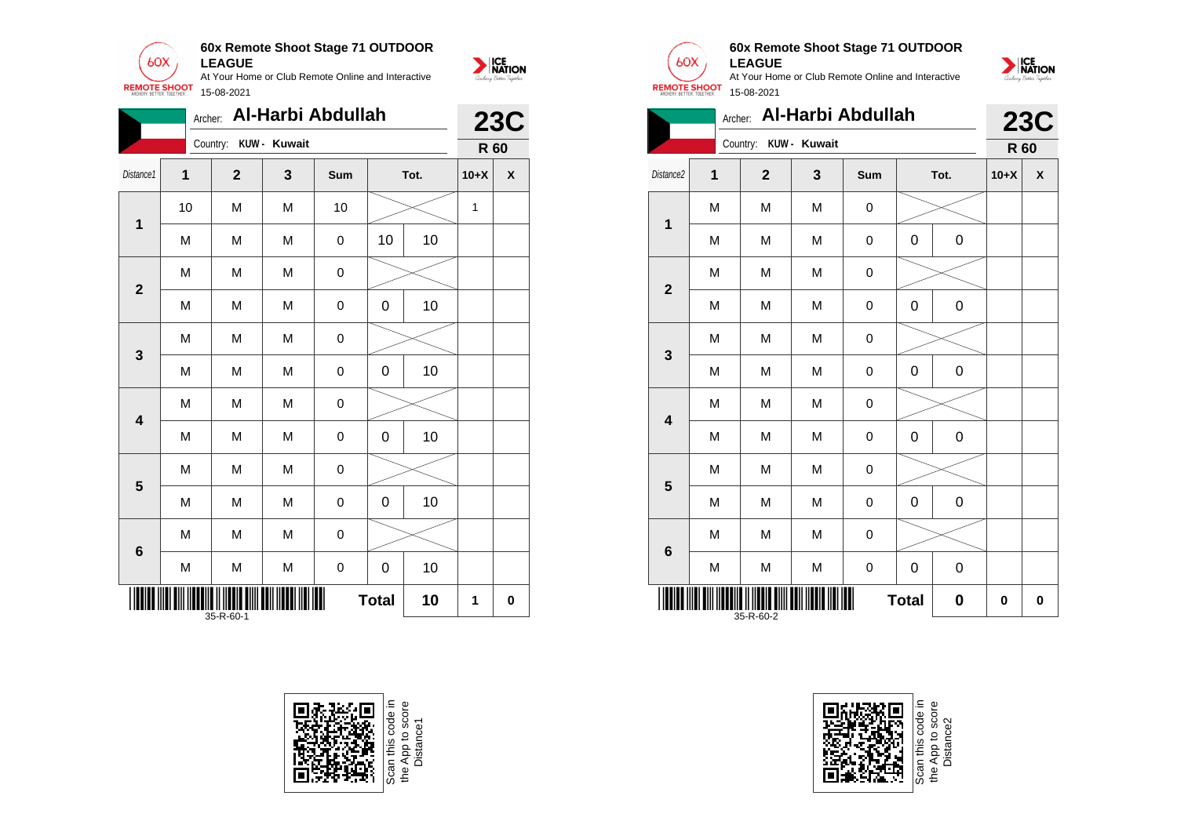







# **60x Remote Shoot Stage 71 OUTDOOR LEAGUE**



|                         | Archer:                        |                |                                                                                       | Al-Harbi Abdullah |   |             |        | <b>23C</b>         |  |
|-------------------------|--------------------------------|----------------|---------------------------------------------------------------------------------------|-------------------|---|-------------|--------|--------------------|--|
|                         |                                | Country:       | KUW - Kuwait                                                                          |                   |   |             | R 60   |                    |  |
| Distance2               | $\overline{1}$                 | $\overline{2}$ | 3                                                                                     | Sum               |   | Tot.        | $10+X$ | $\pmb{\mathsf{X}}$ |  |
| 1                       | M                              | M              | M                                                                                     | 0                 |   |             |        |                    |  |
|                         | M                              | M              | M                                                                                     | 0                 | 0 | $\mathbf 0$ |        |                    |  |
| $\overline{2}$          | M                              | M              | M                                                                                     | 0                 |   |             |        |                    |  |
|                         | M                              | M              | M                                                                                     | 0                 | 0 | 0           |        |                    |  |
| 3                       | M                              | M              | $\mathsf{M}% _{T}=\mathsf{M}_{T}\!\left( a,b\right) ,\ \mathsf{M}_{T}=\mathsf{M}_{T}$ | $\mathbf 0$       |   |             |        |                    |  |
|                         | M                              | M              | M                                                                                     | 0                 | 0 | $\mathbf 0$ |        |                    |  |
| $\overline{\mathbf{4}}$ | M                              | M              | M                                                                                     | 0                 |   |             |        |                    |  |
|                         | M                              | M              | M                                                                                     | 0                 | 0 | $\mathbf 0$ |        |                    |  |
|                         | M                              | M              | M                                                                                     | $\mathbf 0$       |   |             |        |                    |  |
| 5                       | M                              | M              | M                                                                                     | $\mathbf 0$       | 0 | 0           |        |                    |  |
| $6\phantom{a}$          | M                              | M              | M                                                                                     | 0                 |   |             |        |                    |  |
|                         | M                              | M              | $\mathsf{M}% _{T}=\mathsf{M}_{T}\!\left( a,b\right) ,\ \mathsf{M}_{T}=\mathsf{M}_{T}$ | 0                 | 0 | $\mathbf 0$ |        |                    |  |
|                         | <b>Total</b><br>0<br>35-R-60-2 |                |                                                                                       |                   |   |             |        |                    |  |



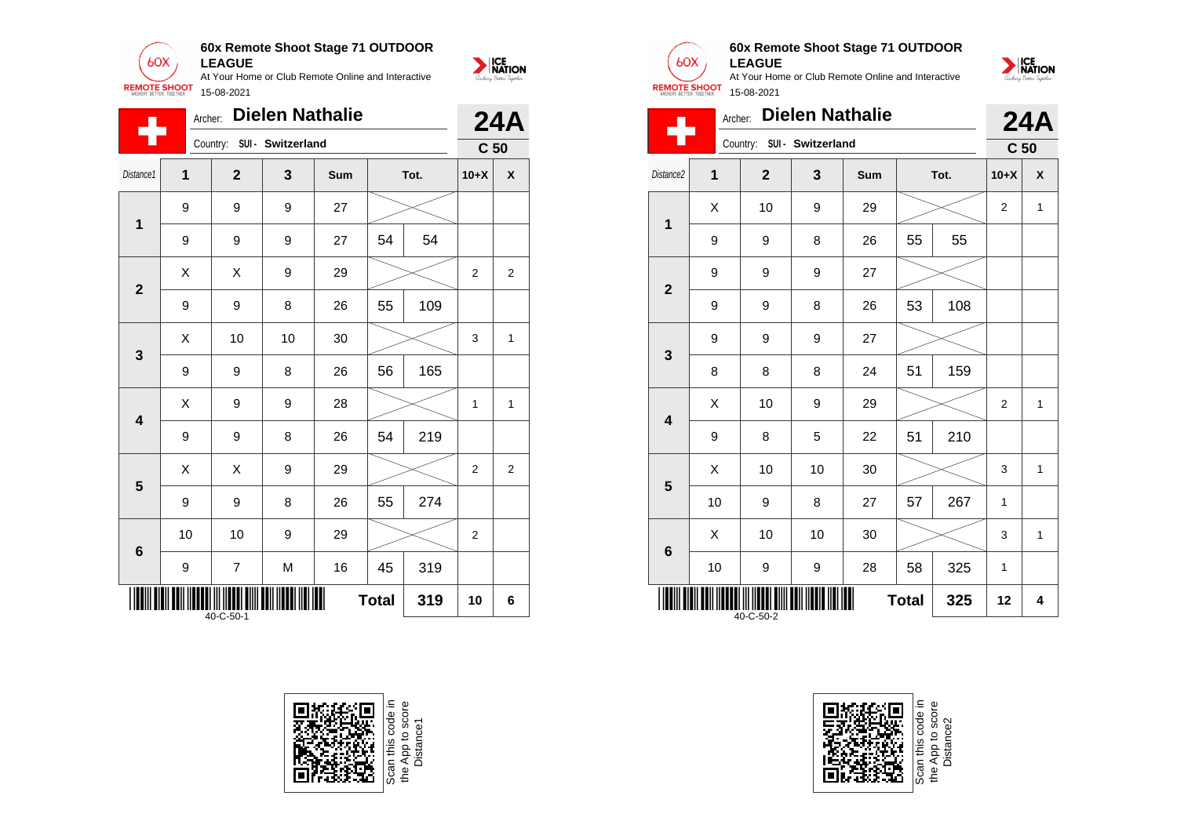

|                         | <b>Dielen Nathalie</b><br>Archer:      |              |                   |     |      |     | <b>24A</b>      |                |
|-------------------------|----------------------------------------|--------------|-------------------|-----|------|-----|-----------------|----------------|
|                         |                                        | Country:     | SUI - Switzerland |     |      |     | C <sub>50</sub> |                |
| Distance1               | $\mathbf 1$                            | $\mathbf{2}$ | 3                 | Sum | Tot. |     | $10+X$          | χ              |
| $\mathbf{1}$            | 9                                      | 9            | 9                 | 27  |      |     |                 |                |
|                         | 9                                      | 9            | 9                 | 27  | 54   | 54  |                 |                |
| $\overline{2}$          | X                                      | X            | 9                 | 29  |      |     | $\overline{2}$  | $\overline{2}$ |
|                         | 9                                      | 9            | 8                 | 26  | 55   | 109 |                 |                |
| 3                       | X                                      | 10           | 10                | 30  |      |     | 3               | 1              |
|                         | 9                                      | 9            | 8                 | 26  | 56   | 165 |                 |                |
| $\overline{\mathbf{4}}$ | Χ                                      | 9            | 9                 | 28  |      |     | 1               | $\mathbf{1}$   |
|                         | 9                                      | 9            | 8                 | 26  | 54   | 219 |                 |                |
| 5                       | X                                      | X            | 9                 | 29  |      |     | $\overline{2}$  | $\overline{c}$ |
|                         | 9                                      | 9            | 8                 | 26  | 55   | 274 |                 |                |
| $6\phantom{1}6$         | 10                                     | 10           | 9                 | 29  |      |     | $\overline{2}$  |                |
|                         | 9                                      | 7            | M                 | 16  | 45   | 319 |                 |                |
|                         | 319<br><b>Total</b><br>10<br>40-C-50-1 |              |                   |     |      |     |                 | 6              |





# **60x Remote Shoot Stage 71 OUTDOOR LEAGUE**

At Your Home or Club Remote Online and Interactive 15-08-2021



| <b>REMOTE SHOOT</b><br>15-08-2021 |                   |                            |    |                        |              |      |                 |              |  |  |
|-----------------------------------|-------------------|----------------------------|----|------------------------|--------------|------|-----------------|--------------|--|--|
|                                   | Archer:           |                            |    | <b>Dielen Nathalie</b> |              |      |                 | <b>24A</b>   |  |  |
|                                   |                   | Country: SUI - Switzerland |    |                        |              |      | C <sub>50</sub> |              |  |  |
| Distance <sub>2</sub>             | 1<br>$\mathbf{2}$ |                            | 3  | Sum                    |              | Tot. | $10+X$          | X            |  |  |
| $\overline{1}$                    | X                 | 10                         | 9  | 29                     |              |      | $\overline{2}$  | 1            |  |  |
|                                   | 9                 | 9                          | 8  | 26                     | 55           | 55   |                 |              |  |  |
| $\overline{2}$                    | 9                 | 9                          | 9  | 27                     |              |      |                 |              |  |  |
|                                   | 9                 | 9                          | 8  | 26                     | 53           | 108  |                 |              |  |  |
| 3                                 | 9                 | 9                          | 9  | 27                     |              |      |                 |              |  |  |
|                                   | 8                 | 8                          | 8  | 24                     | 51           | 159  |                 |              |  |  |
| 4                                 | X                 | 10                         | 9  | 29                     |              |      | 2               | 1            |  |  |
|                                   | 9                 | 8                          | 5  | 22                     | 51           | 210  |                 |              |  |  |
| 5                                 | X                 | 10                         | 10 | 30                     |              |      | 3               | 1            |  |  |
|                                   | 10                | 9                          | 8  | 27                     | 57           | 267  | 1               |              |  |  |
|                                   | X                 | 10                         | 10 | 30                     |              |      | 3               | $\mathbf{1}$ |  |  |
| $6\phantom{1}6$                   | 10                | 9                          | 9  | 28                     | 58           | 325  | 1               |              |  |  |
|                                   |                   | $40 - C - 50 - 2$          |    |                        | <b>Total</b> | 325  | 12              | 4            |  |  |

Scan this code in<br>the App to score<br>Distance2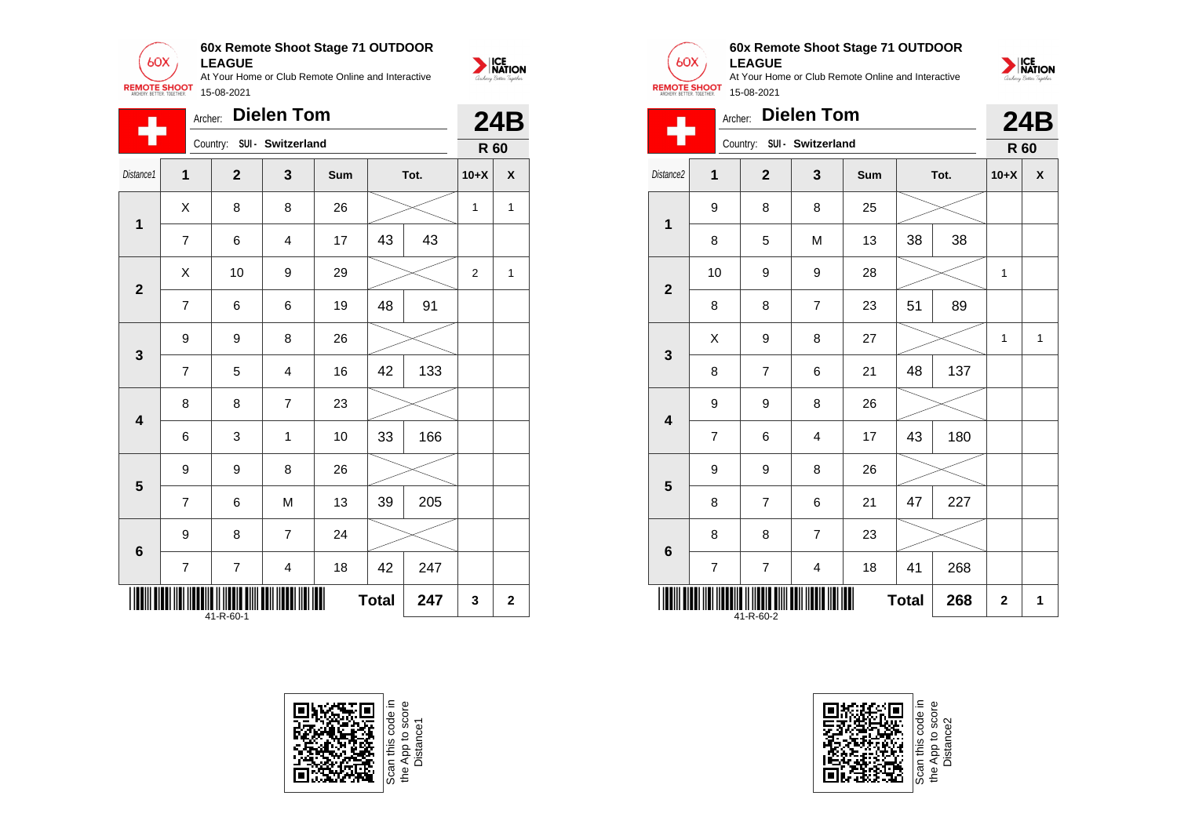

|                         | <b>Dielen Tom</b><br>Archer:     |                |                         |     |    |      |                |              |  |
|-------------------------|----------------------------------|----------------|-------------------------|-----|----|------|----------------|--------------|--|
|                         |                                  | Country:       | SUI - Switzerland       |     |    |      | R 60           |              |  |
| Distance1               | $\mathbf 1$                      | $\overline{2}$ | 3                       | Sum |    | Tot. | $10+X$         | X            |  |
| $\mathbf 1$             | Χ                                | 8              | 8                       | 26  |    |      | $\mathbf{1}$   | 1            |  |
|                         | $\overline{7}$                   | 6              | $\overline{\mathbf{4}}$ | 17  | 43 | 43   |                |              |  |
| $\mathbf{2}$            | Χ                                | 10             | 9                       | 29  |    |      | $\overline{2}$ | $\mathbf{1}$ |  |
|                         | $\overline{7}$                   | 6              | 6                       | 19  | 48 | 91   |                |              |  |
| $\mathbf{3}$            | 9                                | 9              | 8                       | 26  |    |      |                |              |  |
|                         | $\overline{7}$                   | 5              | $\overline{\mathbf{4}}$ | 16  | 42 | 133  |                |              |  |
| $\overline{\mathbf{4}}$ | 8                                | 8              | $\overline{7}$          | 23  |    |      |                |              |  |
|                         | 6                                | 3              | 1                       | 10  | 33 | 166  |                |              |  |
| 5                       | 9                                | 9              | 8                       | 26  |    |      |                |              |  |
|                         | $\overline{7}$                   | 6              | M                       | 13  | 39 | 205  |                |              |  |
| 6                       | 9                                | 8              | $\overline{7}$          | 24  |    |      |                |              |  |
|                         | $\overline{7}$                   | $\overline{7}$ | $\overline{4}$          | 18  | 42 | 247  |                |              |  |
|                         | <b>Total</b><br>247<br>41-R-60-1 |                |                         |     |    |      |                |              |  |





# **60x Remote Shoot Stage 71 OUTDOOR**

**LEAGUE** At Your Home or Club Remote Online and Interactive



| ARCHERY. BETTER. TOGETHER |                                  |                |                                        |     |    |      |              |            |
|---------------------------|----------------------------------|----------------|----------------------------------------|-----|----|------|--------------|------------|
|                           | Archer:                          | Country:       | <b>Dielen Tom</b><br>SUI - Switzerland |     |    |      |              | <b>24B</b> |
|                           |                                  |                |                                        |     |    |      | R 60         |            |
| Distance2                 | 1                                | $\mathbf{2}$   | 3                                      | Sum |    | Tot. | $10+X$       | X          |
| 1                         | 9                                | 8              | 8                                      | 25  |    |      |              |            |
|                           | 8                                | 5              | M                                      | 13  | 38 | 38   |              |            |
| $\overline{2}$            | 10                               | 9              | 9                                      | 28  |    |      | $\mathbf{1}$ |            |
|                           | 8                                | 8              | $\overline{7}$                         | 23  | 51 | 89   |              |            |
| 3                         | X                                | 9              | 8                                      | 27  |    |      | 1            | 1          |
|                           | 8                                | 7              | 6                                      | 21  | 48 | 137  |              |            |
| $\overline{\mathbf{4}}$   | 9                                | 9              | 8                                      | 26  |    |      |              |            |
|                           | $\overline{7}$                   | 6              | $\overline{4}$                         | 17  | 43 | 180  |              |            |
| 5                         | 9                                | 9              | 8                                      | 26  |    |      |              |            |
|                           | 8                                | $\overline{7}$ | 6                                      | 21  | 47 | 227  |              |            |
| $6\phantom{1}6$           | 8                                | 8              | $\overline{7}$                         | 23  |    |      |              |            |
|                           | $\overline{7}$                   | $\overline{7}$ | $\overline{\mathbf{4}}$                | 18  | 41 | 268  |              |            |
|                           | <b>Total</b><br>268<br>41-R-60-2 |                |                                        |     |    |      |              |            |



Scan this code<br>the App to sco<br>Distance2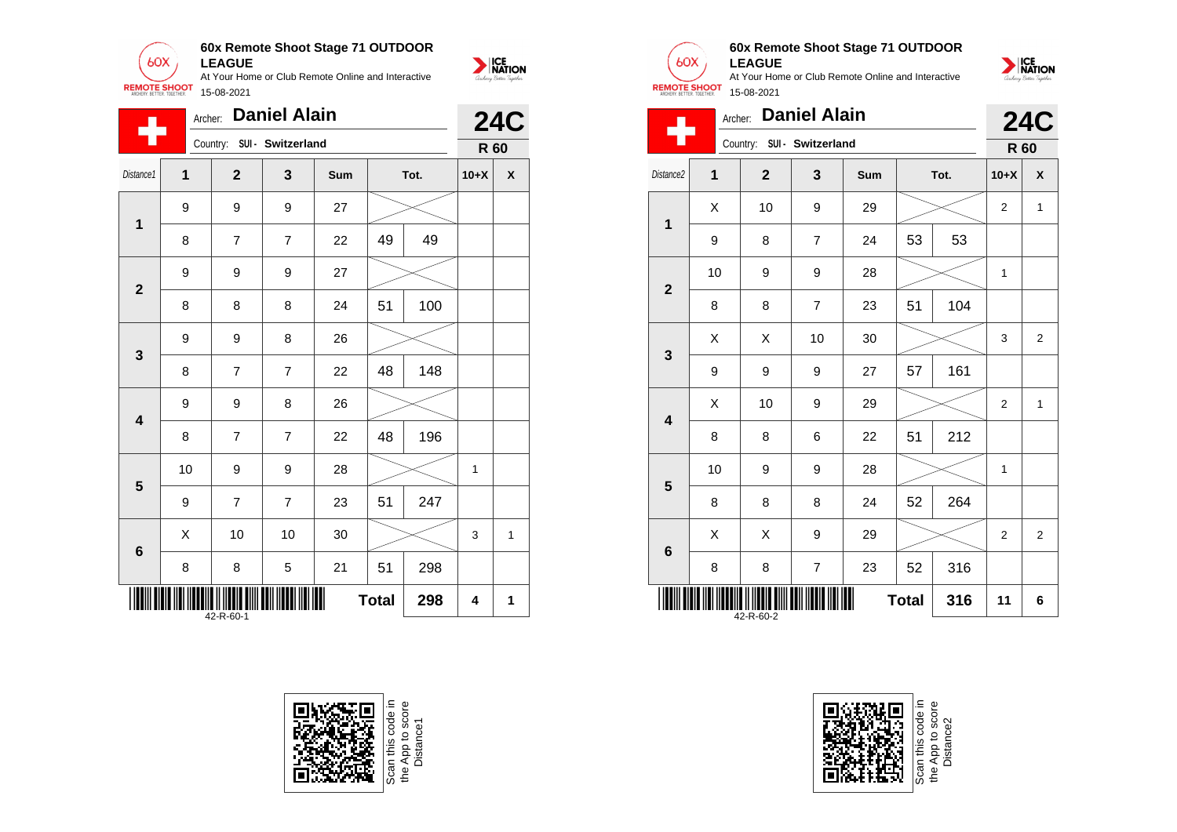

|                | Archer:                                    |                | <b>Daniel Alain</b> |     |      |     |              | <b>24C</b>         |  |
|----------------|--------------------------------------------|----------------|---------------------|-----|------|-----|--------------|--------------------|--|
| 7              |                                            | Country:       | SUI - Switzerland   |     |      |     | R 60         |                    |  |
| Distance1      | 1                                          | $\overline{2}$ | 3                   | Sum | Tot. |     | $10+X$       | $\pmb{\mathsf{x}}$ |  |
| $\mathbf{1}$   | 9                                          | 9              | 9                   | 27  |      |     |              |                    |  |
|                | 8                                          | $\overline{7}$ | $\overline{7}$      | 22  | 49   | 49  |              |                    |  |
| $\overline{2}$ | 9                                          | 9              | 9                   | 27  |      |     |              |                    |  |
|                | 8                                          | 8              | 8                   | 24  | 51   | 100 |              |                    |  |
| 3              | 9                                          | 9              | 8                   | 26  |      |     |              |                    |  |
|                | 8                                          | $\overline{7}$ | $\overline{7}$      | 22  | 48   | 148 |              |                    |  |
| 4              | 9                                          | 9              | 8                   | 26  |      |     |              |                    |  |
|                | 8                                          | $\overline{7}$ | $\overline{7}$      | 22  | 48   | 196 |              |                    |  |
| 5              | 10                                         | 9              | 9                   | 28  |      |     | $\mathbf{1}$ |                    |  |
|                | 9                                          | 7              | $\overline{7}$      | 23  | 51   | 247 |              |                    |  |
| 6              | Χ                                          | 10             | 10                  | 30  |      |     | 3            | 1                  |  |
|                | 8                                          | 8              | 5                   | 21  | 51   | 298 |              |                    |  |
|                | Ш<br><b>Total</b><br>298<br>4<br>42-R-60-1 |                |                     |     |      |     |              | 1                  |  |







# **60x Remote Shoot Stage 71 OUTDOOR LEAGUE**



| ARCHERY. BETTER. TOGETHER. |                                  |              |                            |     |    |      |                         |   |  |
|----------------------------|----------------------------------|--------------|----------------------------|-----|----|------|-------------------------|---|--|
|                            | Archer:                          |              | <b>Daniel Alain</b>        |     |    |      | <b>24C</b>              |   |  |
|                            |                                  |              | Country: SUI - Switzerland |     |    |      | R 60                    |   |  |
| Distance2                  | 1                                | $\mathbf{2}$ | $\mathbf{3}$               | Sum |    | Tot. | $10+X$                  | X |  |
| 1                          | X                                | 10           | 9                          | 29  |    |      | $\overline{\mathbf{c}}$ | 1 |  |
|                            | 9                                | 8            | 7                          | 24  | 53 | 53   |                         |   |  |
| $\overline{2}$             | 10                               | 9            | 9                          | 28  |    |      | 1                       |   |  |
|                            | 8                                | 8            | $\overline{7}$             | 23  | 51 | 104  |                         |   |  |
| 3                          | X                                | X            | 10                         | 30  |    |      | 3                       | 2 |  |
|                            | 9                                | 9            | 9                          | 27  | 57 | 161  |                         |   |  |
| $\overline{\mathbf{4}}$    | X                                | 10           | 9                          | 29  |    |      | $\overline{2}$          | 1 |  |
|                            | 8                                | 8            | 6                          | 22  | 51 | 212  |                         |   |  |
| 5                          | 10                               | 9            | 9                          | 28  |    |      | 1                       |   |  |
|                            | 8                                | 8            | 8                          | 24  | 52 | 264  |                         |   |  |
| $6\phantom{1}$             | X                                | X            | 9                          | 29  |    |      | $\overline{2}$          | 2 |  |
|                            | 8                                | 8            | $\overline{\mathbf{7}}$    | 23  | 52 | 316  |                         |   |  |
|                            | <b>Total</b><br>316<br>42-R-60-2 |              |                            |     |    |      |                         |   |  |

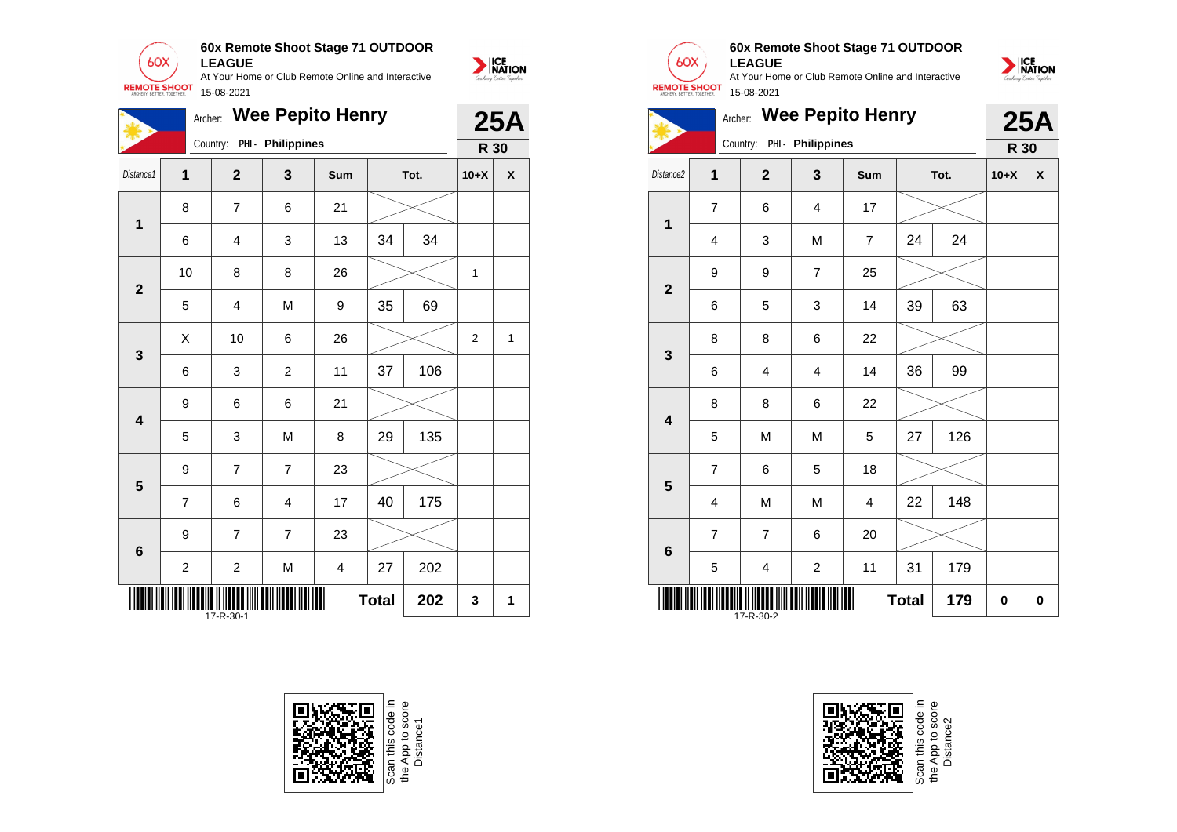

| <b>Wee Pepito Henry</b><br>Archer:<br>Country: PHI - Philippines<br>Distance1<br>1<br>$\mathbf{2}$<br>3<br>Tot.<br><b>Sum</b><br>8<br>$\overline{7}$<br>6<br>21<br>$\overline{\mathbf{1}}$<br>34<br>13<br>34<br>6<br>4<br>3<br>10<br>8<br>26<br>8<br>$\overline{\mathbf{2}}$<br>69<br>M<br>35<br>5<br>4<br>9<br>X<br>10<br>6<br>26<br>$\mathbf{3}$ |                |                |                |                         |              |     | 25A            |   |
|----------------------------------------------------------------------------------------------------------------------------------------------------------------------------------------------------------------------------------------------------------------------------------------------------------------------------------------------------|----------------|----------------|----------------|-------------------------|--------------|-----|----------------|---|
|                                                                                                                                                                                                                                                                                                                                                    |                |                |                |                         |              |     | R 30           |   |
|                                                                                                                                                                                                                                                                                                                                                    |                |                |                |                         |              |     | $10+X$         | X |
|                                                                                                                                                                                                                                                                                                                                                    |                |                |                |                         |              |     |                |   |
|                                                                                                                                                                                                                                                                                                                                                    |                |                |                |                         |              |     |                |   |
|                                                                                                                                                                                                                                                                                                                                                    |                |                |                |                         |              |     | 1              |   |
|                                                                                                                                                                                                                                                                                                                                                    |                |                |                |                         |              |     |                |   |
|                                                                                                                                                                                                                                                                                                                                                    |                |                |                |                         |              |     | $\overline{2}$ | 1 |
|                                                                                                                                                                                                                                                                                                                                                    | 6              | 3              | $\overline{2}$ | 11                      | 37           | 106 |                |   |
| $\overline{\mathbf{4}}$                                                                                                                                                                                                                                                                                                                            | 9              | 6              | 6              | 21                      |              |     |                |   |
|                                                                                                                                                                                                                                                                                                                                                    | 5              | 3              | M              | 8                       | 29           | 135 |                |   |
| $5\phantom{1}$                                                                                                                                                                                                                                                                                                                                     | 9              | $\overline{7}$ | $\overline{7}$ | 23                      |              |     |                |   |
|                                                                                                                                                                                                                                                                                                                                                    | $\overline{7}$ | 6              | 4              | 17                      | 40           | 175 |                |   |
| $6\phantom{1}$                                                                                                                                                                                                                                                                                                                                     | 9              | $\overline{7}$ | $\overline{7}$ | 23                      |              |     |                |   |
|                                                                                                                                                                                                                                                                                                                                                    | $\overline{c}$ | $\overline{c}$ | M              | $\overline{\mathbf{4}}$ | 27           | 202 |                |   |
|                                                                                                                                                                                                                                                                                                                                                    |                | 17-R-30-1      |                |                         | <b>Total</b> | 202 | 3              | 1 |





# **60x Remote Shoot Stage 71 OUTDOOR LEAGUE**



|                         | <b>Wee Pepito Henry</b><br>Archer: |                |                            |     |              |      |        | <b>25A</b> |
|-------------------------|------------------------------------|----------------|----------------------------|-----|--------------|------|--------|------------|
|                         |                                    |                | Country: PHI - Philippines |     |              |      | R 30   |            |
| Distance <sub>2</sub>   | $\overline{1}$                     | $\overline{2}$ | 3                          | Sum |              | Tot. | $10+X$ | X          |
|                         | $\overline{7}$                     | 6              | 4                          | 17  |              |      |        |            |
| 1                       | $\overline{4}$                     | 3              | M                          | 7   | 24           | 24   |        |            |
| $\overline{2}$          | 9                                  | 9              | $\overline{7}$             | 25  |              |      |        |            |
|                         | 6                                  | 5              | 3                          | 14  | 39           | 63   |        |            |
| 3                       | 8                                  | 8              | 6                          | 22  |              |      |        |            |
|                         | 6                                  | $\overline{4}$ | $\overline{4}$             | 14  | 36           | 99   |        |            |
| $\overline{\mathbf{4}}$ | 8                                  | 8              | 6                          | 22  |              |      |        |            |
|                         | 5                                  | M              | M                          | 5   | 27           | 126  |        |            |
| 5                       | $\overline{7}$                     | 6              | 5                          | 18  |              |      |        |            |
|                         | 4                                  | M              | M                          | 4   | 22           | 148  |        |            |
| $6\phantom{1}6$         | $\overline{7}$                     | $\overline{7}$ | 6                          | 20  |              |      |        |            |
|                         | 5                                  | 4              | $\overline{c}$             | 11  | 31           | 179  |        |            |
|                         |                                    | 17-R-30-2      |                            |     | <b>Total</b> | 179  | 0      | 0          |

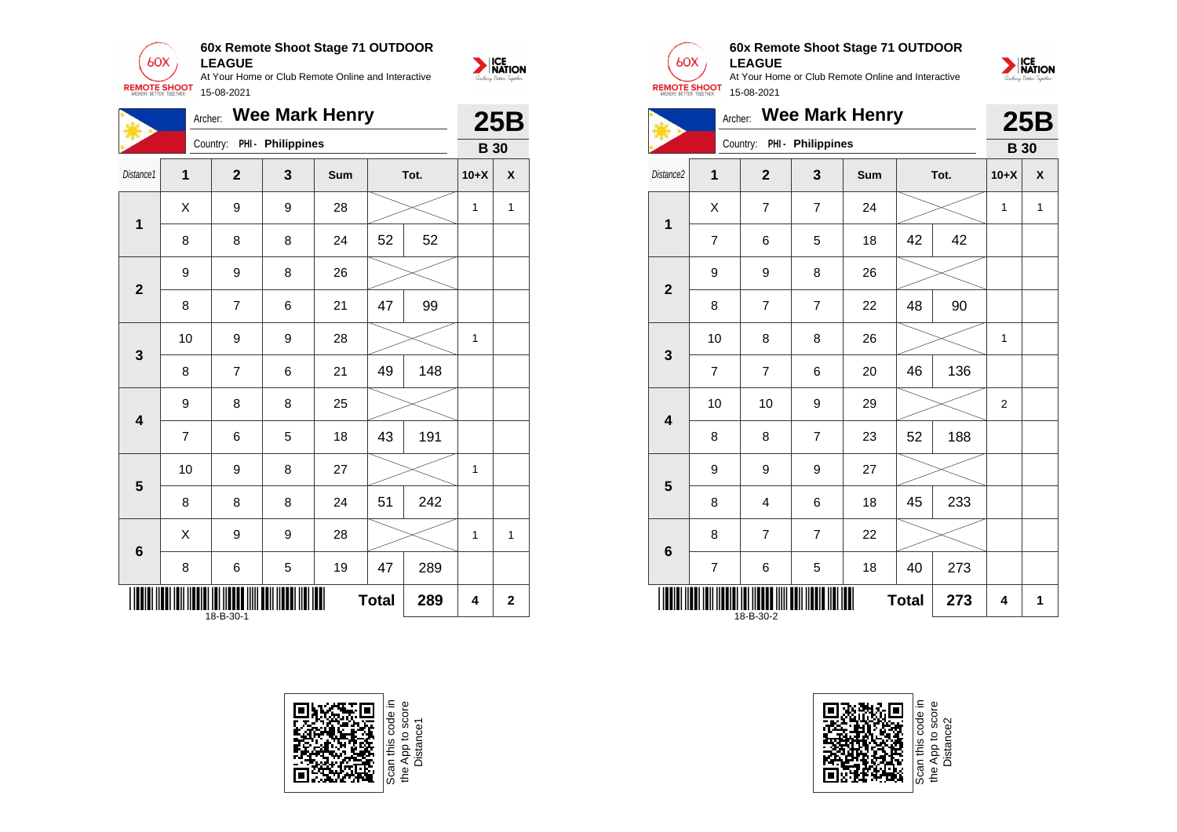

**60x Remote Shoot Stage 71 OUTDOOR**

NATION

**25B** 

|                         |                | <b>Wee Mark Henry</b><br>Archer: |                   |     |              |      |              |              |  |
|-------------------------|----------------|----------------------------------|-------------------|-----|--------------|------|--------------|--------------|--|
|                         |                | Country:                         | PHI - Philippines |     |              |      | <b>B</b> 30  | 25B          |  |
| Distance1               | $\overline{1}$ | $\mathbf{2}$                     | 3                 | Sum |              | Tot. | $10+X$       | X            |  |
| $\mathbf{1}$            | X              | 9                                | 9                 | 28  |              |      | $\mathbf{1}$ | $\mathbf{1}$ |  |
|                         | 8              | 8                                | 8                 | 24  | 52           | 52   |              |              |  |
| $\overline{2}$          | 9              | 9                                | 8                 | 26  |              |      |              |              |  |
|                         | 8              | 7                                | 6                 | 21  | 47           | 99   |              |              |  |
| 3                       | 10             | 9                                | 9                 | 28  |              |      | $\mathbf{1}$ |              |  |
|                         | 8              | 7                                | 6                 | 21  | 49           | 148  |              |              |  |
| $\overline{\mathbf{4}}$ | 9              | 8                                | 8                 | 25  |              |      |              |              |  |
|                         | $\overline{7}$ | 6                                | 5                 | 18  | 43           | 191  |              |              |  |
| 5                       | 10             | 9                                | 8                 | 27  |              |      | $\mathbf{1}$ |              |  |
|                         | 8              | 8                                | 8                 | 24  | 51           | 242  |              |              |  |
| $6\phantom{1}6$         | X              | 9                                | 9                 | 28  |              |      | $\mathbf{1}$ | $\mathbf{1}$ |  |
|                         | 8              | 6                                | 5                 | 19  | 47           | 289  |              |              |  |
|                         |                | 18-B-30-1                        |                   | Ⅲ   | <b>Total</b> | 289  | 4            | $\mathbf{2}$ |  |



Scan this code in<br>the App to score<br>Distance1



**1**

**2**

**3**

**4**

**5**

**6**

18-B-30-2

## **60x Remote Shoot Stage 71 OUTDOOR LEAGUE**

At Your Home or Club Remote Online and Interactive 15-08-2021



Scan this code in<br>the App to score<br>Distance2

**Total**  $273$   $4$  1

NATION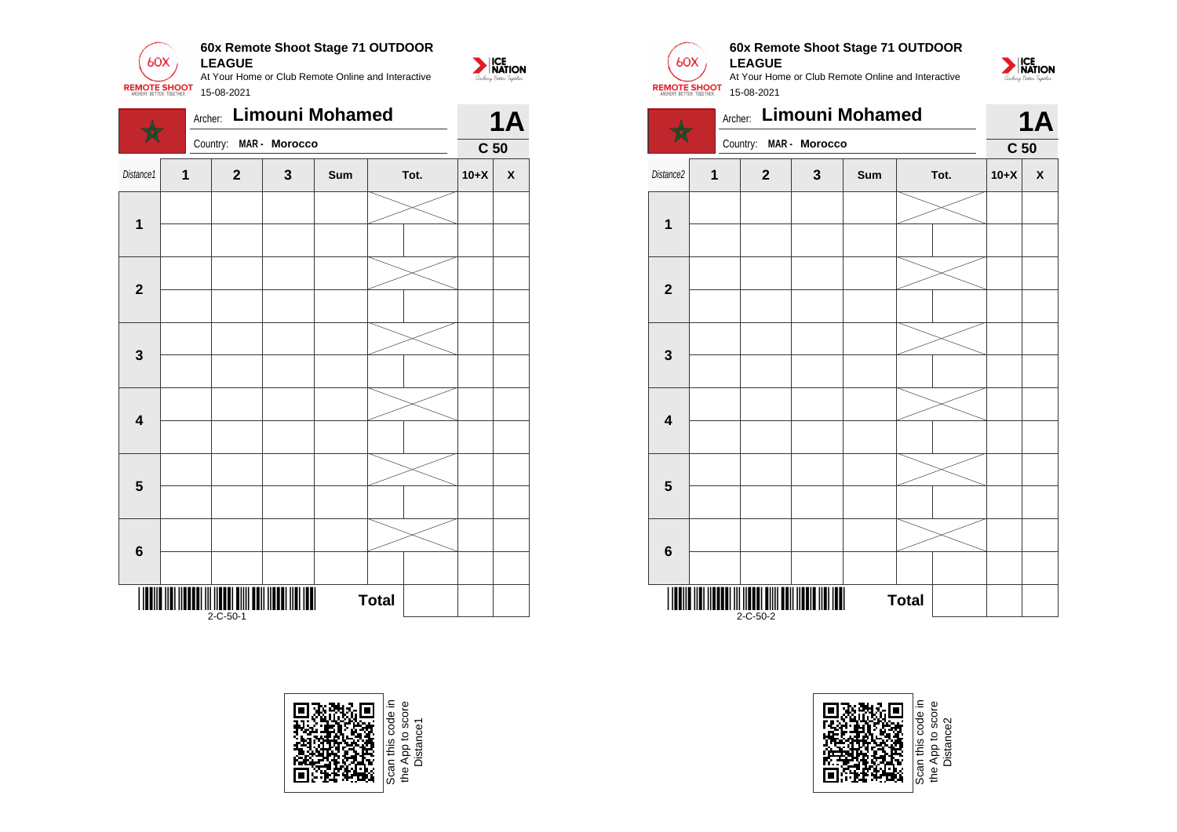

|                         | Archer:     |                                                        |                | Limouni Mohamed |              |                 |        | <b>1A</b>          |
|-------------------------|-------------|--------------------------------------------------------|----------------|-----------------|--------------|-----------------|--------|--------------------|
|                         |             | Country:                                               | MAR - Morocco  |                 |              | C <sub>50</sub> |        |                    |
| Distance1               | $\mathbf 1$ | $\mathbf{2}$                                           | $\mathbf{3}$   | Sum             | Tot.         |                 | $10+X$ | $\pmb{\mathsf{X}}$ |
|                         |             |                                                        |                |                 |              |                 |        |                    |
| $\mathbf 1$             |             |                                                        |                |                 |              |                 |        |                    |
| $\mathbf{2}$            |             |                                                        |                |                 |              |                 |        |                    |
|                         |             |                                                        |                |                 |              |                 |        |                    |
| $\mathbf 3$             |             |                                                        |                |                 |              |                 |        |                    |
|                         |             |                                                        |                |                 |              |                 |        |                    |
| $\overline{\mathbf{4}}$ |             |                                                        |                |                 |              |                 |        |                    |
|                         |             |                                                        |                |                 |              |                 |        |                    |
| $5\phantom{1}$          |             |                                                        |                |                 |              |                 |        |                    |
|                         |             |                                                        |                |                 |              |                 |        |                    |
| $\bf 6$                 |             |                                                        |                |                 |              |                 |        |                    |
|                         |             |                                                        |                |                 |              |                 |        |                    |
| IIIII                   |             | <u> III IIIIIII IIIII IIII III</u><br>$2 - C - 50 - 1$ | $\blacksquare$ |                 | <b>Total</b> |                 |        |                    |







## **60x Remote Shoot Stage 71 OUTDOOR LEAGUE**







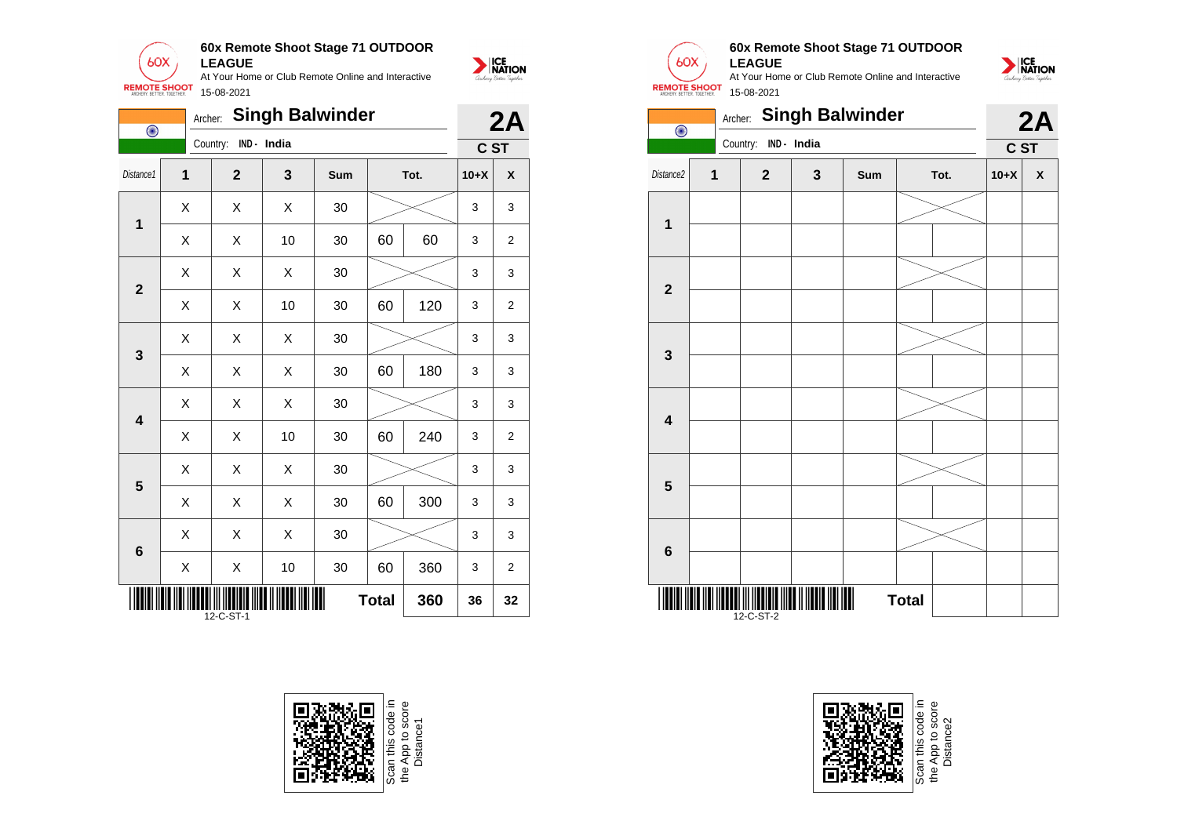

| $\overline{\odot}$ |                | Archer:      |             | <b>Singh Balwinder</b> |              |      |        | 2A             |
|--------------------|----------------|--------------|-------------|------------------------|--------------|------|--------|----------------|
|                    |                | Country:     | IND - India |                        |              |      | C ST   |                |
| Distance1          | $\overline{1}$ | $\mathbf{2}$ | 3           | Sum                    |              | Tot. | $10+X$ | X              |
| 1                  | X              | Χ            | X           | 30                     |              |      | 3      | 3              |
|                    | Χ              | X            | 10          | 30                     | 60           | 60   | 3      | $\overline{2}$ |
| $\overline{2}$     | Χ              | X            | X           | 30                     |              |      | 3      | 3              |
|                    | Χ              | X            | 10          | 30                     | 60           | 120  | 3      | $\overline{2}$ |
| 3                  | Χ              | X            | Χ           | 30                     |              |      | 3      | 3              |
|                    | X              | X            | X           | 30                     | 60           | 180  | 3      | 3              |
| 4                  | Χ              | X            | X           | 30                     |              |      | 3      | 3              |
|                    | X              | X            | 10          | 30                     | 60           | 240  | 3      | $\overline{2}$ |
| 5                  | Χ              | Χ            | X           | 30                     |              |      | 3      | 3              |
|                    | X              | X            | Χ           | 30                     | 60           | 300  | 3      | 3              |
| $6\phantom{1}6$    | Χ              | X            | X           | 30                     |              |      | 3      | 3              |
|                    | X              | X            | 10          | 30                     | 60           | 360  | 3      | 2              |
|                    |                | 12-C-ST-1    |             | Ш                      | <b>Total</b> | 360  | 36     | 32             |



Scan this code in<br>the App to score<br>Distance1



NATION

## **60x Remote Shoot Stage 71 OUTDOOR LEAGUE**

NATION

At Your Home or Club Remote Online and Interactive 15-08-2021





e App to score<br>Distance2 the App to score Distance2e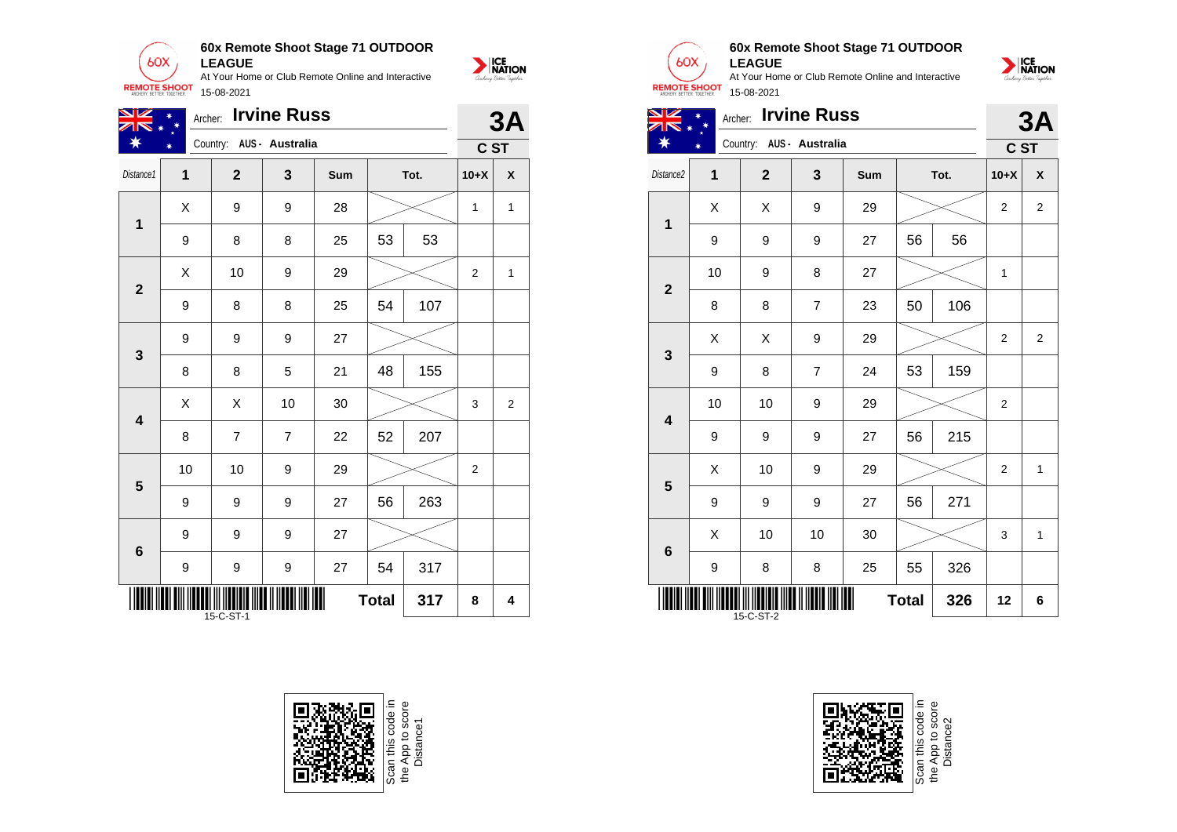

| VZ                      | Archer:                  |                | <b>Irvine Russ</b> |     |              |      |                | 3A             |
|-------------------------|--------------------------|----------------|--------------------|-----|--------------|------|----------------|----------------|
|                         | Country: AUS - Australia |                |                    |     |              | C ST |                |                |
| Distance1               | $\mathbf{1}$             | $\overline{2}$ | 3                  | Sum |              | Tot. | $10+X$         | X              |
| $\mathbf 1$             | Χ                        | 9              | 9                  | 28  |              |      | $\mathbf{1}$   | 1              |
|                         | $\boldsymbol{9}$         | 8              | 8                  | 25  | 53           | 53   |                |                |
| $\mathbf{2}$            | X                        | 10             | 9                  | 29  |              |      | $\overline{2}$ | 1              |
|                         | 9                        | 8              | 8                  | 25  | 54           | 107  |                |                |
| $\mathbf{3}$            | 9                        | 9              | 9                  | 27  |              |      |                |                |
|                         | 8                        | 8              | 5                  | 21  | 48           | 155  |                |                |
| $\overline{\mathbf{4}}$ | X                        | X              | 10                 | 30  |              |      | 3              | $\overline{2}$ |
|                         | 8                        | $\overline{7}$ | $\overline{7}$     | 22  | 52           | 207  |                |                |
| 5                       | 10                       | 10             | 9                  | 29  |              |      | $\overline{2}$ |                |
|                         | 9                        | 9              | 9                  | 27  | 56           | 263  |                |                |
| $6\phantom{1}6$         | 9                        | 9              | 9                  | 27  |              |      |                |                |
|                         | 9                        | 9              | 9                  | 27  | 54           | 317  |                |                |
|                         |                          | 15-C-ST-1      |                    | Ш   | <b>Total</b> | 317  | 8              | 4              |





**THE THE REAL PROPERTY OF A STATE OF A STATE OF A STATE OF A STATE OF A STATE OF A STATE OF A STATE OF A STATE** 

**6**





9 | 9 | 27 | 56 | 271

9 | 8 | 8 | 25 | 55 | 326

 $\begin{array}{|c|c|c|c|c|c|}\hline \hspace{.1cm}X & \hspace{.1cm} \text{ 10} & \hspace{.1cm} \text{ 10} & \hspace{.1cm} \text{ 30} & \hspace{.1cm} \end{array} \hspace{1.2cm} \begin{array}{|c|c|c|c|c|c|}\hline \hspace{.1cm}X & \hspace{.1cm} \text{ 3} & \hspace{.1cm} \text{ 1} & \hspace{.1cm} \text{ 4} & \hspace{.1cm} \end{array} \hspace{1.2cm}$ 

**Total 326 12 6**

**60x Remote Shoot Stage 71 OUTDOOR**

At Your Home or Club Remote Online and Interactive

**LEAGUE**

 $60X$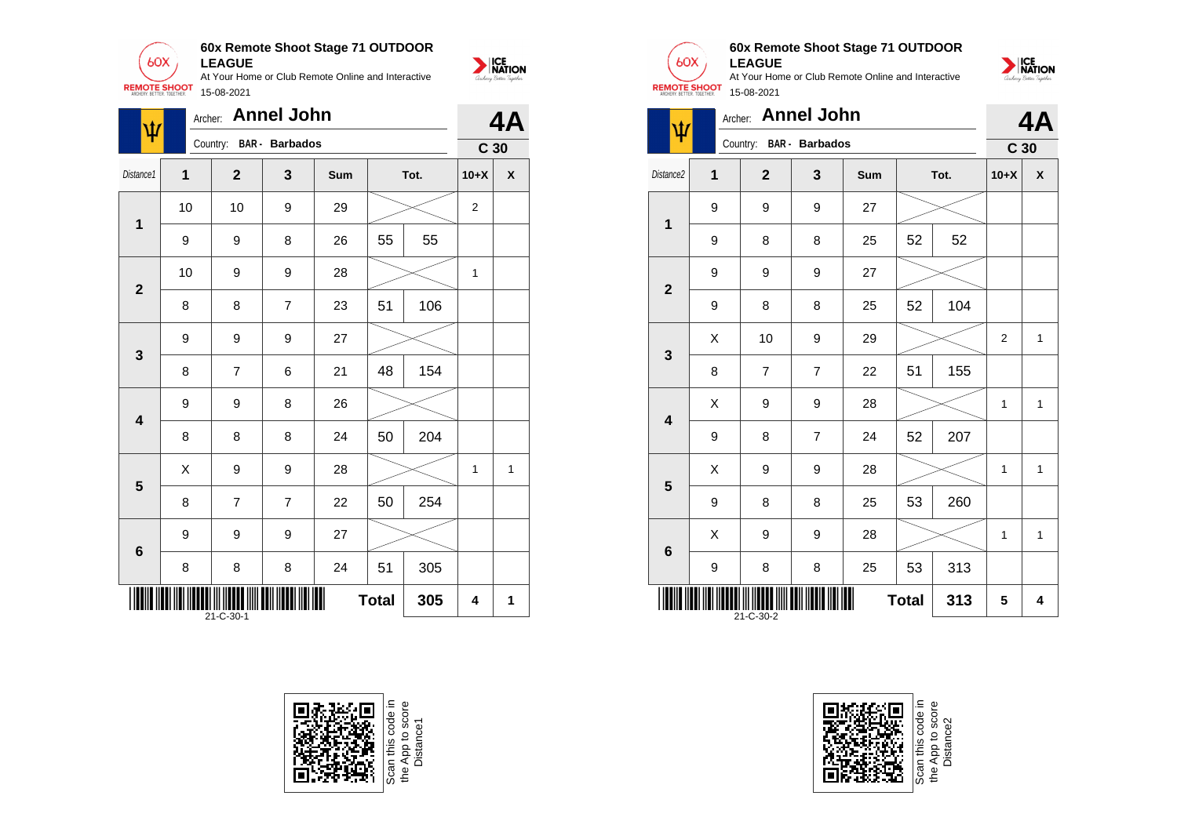

| ψ                       | Archer: |                | <b>Annel John</b>     |     |              |      |                 | 4Α |
|-------------------------|---------|----------------|-----------------------|-----|--------------|------|-----------------|----|
|                         |         | Country:       | <b>BAR</b> - Barbados |     |              |      | C <sub>30</sub> |    |
| Distance1               | 1       | $\mathbf{2}$   | 3                     | Sum |              | Tot. | $10+X$          | χ  |
| $\mathbf 1$             | 10      | 10             | 9                     | 29  |              |      | $\mathbf{2}$    |    |
|                         | 9       | 9              | 8                     | 26  | 55           | 55   |                 |    |
| $\overline{\mathbf{2}}$ | 10      | 9              | 9                     | 28  |              |      | 1               |    |
|                         | 8       | 8              | $\overline{7}$        | 23  | 51           | 106  |                 |    |
| $\mathbf{3}$            | 9       | 9              | 9                     | 27  |              |      |                 |    |
|                         | 8       | $\overline{7}$ | 6                     | 21  | 48           | 154  |                 |    |
| $\overline{\mathbf{4}}$ | 9       | 9              | 8                     | 26  |              |      |                 |    |
|                         | 8       | 8              | 8                     | 24  | 50           | 204  |                 |    |
| 5                       | X       | 9              | 9                     | 28  |              |      | 1               | 1  |
|                         | 8       | 7              | $\overline{7}$        | 22  | 50           | 254  |                 |    |
| $6\phantom{1}6$         | 9       | 9              | 9                     | 27  |              |      |                 |    |
|                         | 8       | 8              | 8                     | 24  | 51           | 305  |                 |    |
|                         |         | 21-C-30-1      |                       |     | <b>Total</b> | 305  | 4               | 1  |





 $60X$ 



**LEAGUE** At Your Home or Club Remote Online and Interactive **REMOTE SHOOT** 15-08-2021

| $\pmb{\psi}$            | Archer: |                                   | <b>Annel John</b> |                 |              |      |                  | 4A                 |
|-------------------------|---------|-----------------------------------|-------------------|-----------------|--------------|------|------------------|--------------------|
|                         |         | Country:<br><b>BAR</b> - Barbados |                   | C <sub>30</sub> |              |      |                  |                    |
| Distance2               | 1       | $\mathbf{2}$                      | 3                 | Sum             |              | Tot. | $10+X$           | $\pmb{\mathsf{X}}$ |
| $\mathbf 1$             | 9       | 9                                 | 9                 | 27              |              |      |                  |                    |
|                         | 9       | 8                                 | 8                 | 25              | 52           | 52   |                  |                    |
|                         | 9       | 9                                 | 9                 | 27              |              |      |                  |                    |
| $\mathbf{2}$            | 9       | 8                                 | 8                 | 25              | 52           | 104  |                  |                    |
|                         | X       | 10                                | 9                 | 29              |              |      | $\boldsymbol{2}$ | 1                  |
| 3                       | 8       | $\overline{7}$                    | $\overline{7}$    | 22              | 51           | 155  |                  |                    |
| $\overline{\mathbf{4}}$ | Χ       | 9                                 | 9                 | 28              |              |      | 1                | 1                  |
|                         | 9       | 8                                 | $\overline{7}$    | 24              | 52           | 207  |                  |                    |
| 5                       | X       | 9                                 | 9                 | 28              |              |      | 1                | 1                  |
|                         | 9       | 8                                 | 8                 | 25              | 53           | 260  |                  |                    |
| 6                       | X       | 9                                 | 9                 | 28              |              |      | $\mathbf{1}$     | $\mathbf{1}$       |
|                         | 9       | 8                                 | 8                 | 25              | 53           | 313  |                  |                    |
|                         |         | 21-C-30-2                         |                   |                 | <b>Total</b> | 313  | 5                | 4                  |



Scan this code<br>the App to sco<br>Distance2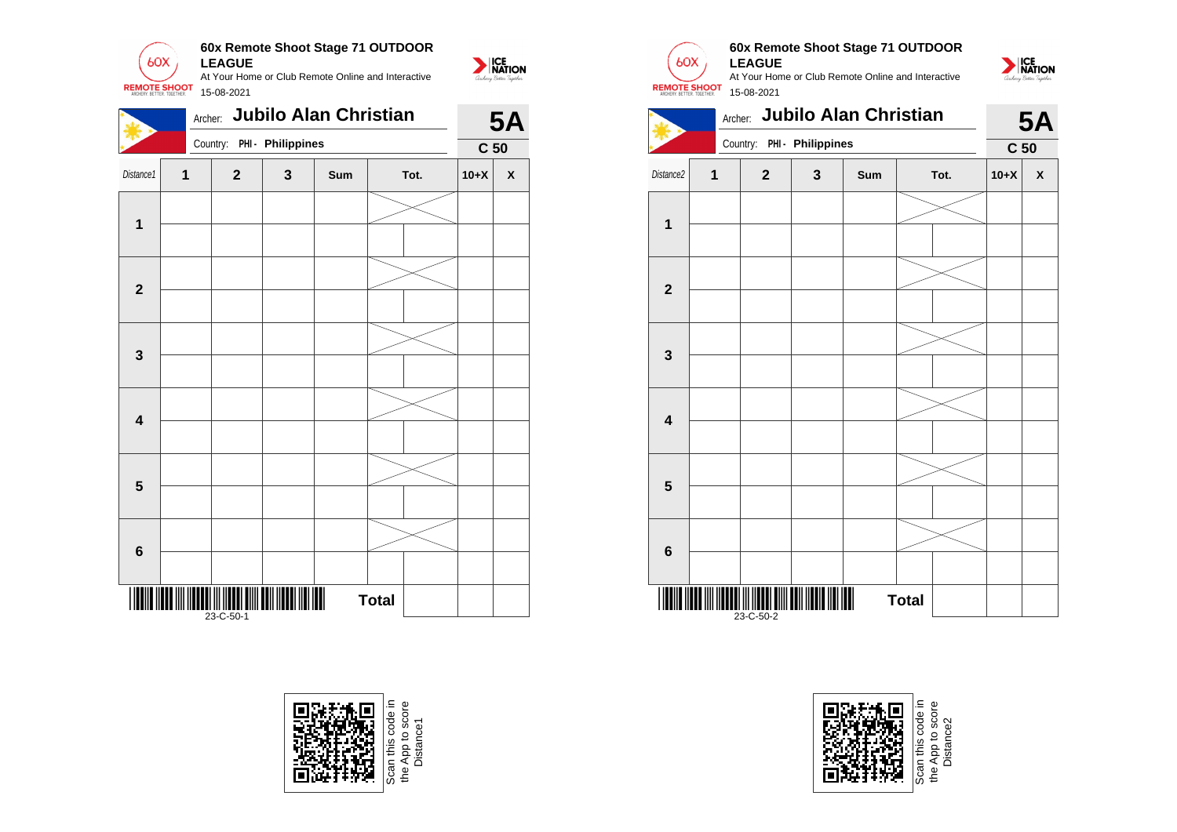

|                         | Archer: |                                                  |   | <b>Jubilo Alan Christian</b> |              |        | <b>5A</b>          |  |  |  |
|-------------------------|---------|--------------------------------------------------|---|------------------------------|--------------|--------|--------------------|--|--|--|
|                         |         | Country:                                         |   | PHI - Philippines            |              |        |                    |  |  |  |
| Distance1               | 1       | $\mathbf{2}$                                     | 3 | Sum                          | Tot.         | $10+X$ | $\pmb{\mathsf{X}}$ |  |  |  |
|                         |         |                                                  |   |                              |              |        |                    |  |  |  |
| $\overline{\mathbf{1}}$ |         |                                                  |   |                              |              |        |                    |  |  |  |
|                         |         |                                                  |   |                              |              |        |                    |  |  |  |
| $\mathbf{2}$            |         |                                                  |   |                              |              |        |                    |  |  |  |
|                         |         |                                                  |   |                              |              |        |                    |  |  |  |
| $\mathbf 3$             |         |                                                  |   |                              |              |        |                    |  |  |  |
|                         |         |                                                  |   |                              |              |        |                    |  |  |  |
| $\overline{\mathbf{4}}$ |         |                                                  |   |                              |              |        |                    |  |  |  |
|                         |         |                                                  |   |                              |              |        |                    |  |  |  |
| $\overline{\mathbf{5}}$ |         |                                                  |   |                              |              |        |                    |  |  |  |
|                         |         |                                                  |   |                              |              |        |                    |  |  |  |
| $\bf 6$                 |         |                                                  |   |                              |              |        |                    |  |  |  |
|                         |         | ani <mark>ili ili di</mark> ili ili<br>23-C-50-1 |   |                              | <b>Total</b> |        |                    |  |  |  |





# **60x Remote Shoot Stage 71 OUTDOOR LEAGUE**

At Your Home or Club Remote Online and Interactive 15-08-2021







App to score<br>Distance2 the App to score Distance2the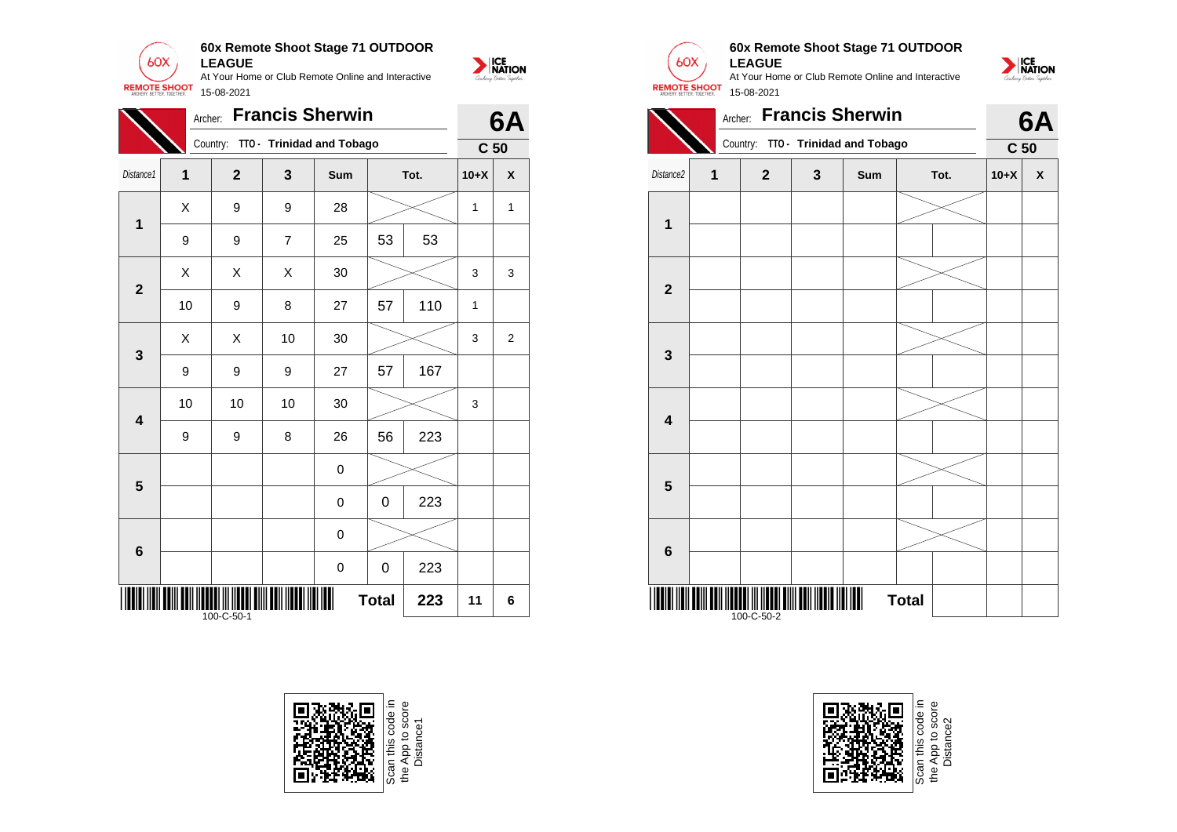



|                         | Archer:                 |                |                           | <b>Francis Sherwin</b> |                 |      |              | 6A             |
|-------------------------|-------------------------|----------------|---------------------------|------------------------|-----------------|------|--------------|----------------|
|                         |                         | Country:       | TTO - Trinidad and Tobago |                        | C <sub>50</sub> |      |              |                |
| Distance1               | $\overline{\mathbf{1}}$ | $\overline{2}$ | 3                         | Sum                    |                 | Tot. | $10+X$       | X              |
| $\overline{\mathbf{1}}$ | X                       | 9              | 9                         | 28                     |                 |      | 1            | 1              |
|                         | $\boldsymbol{9}$        | 9              | 7                         | 25                     | 53              | 53   |              |                |
| $\overline{2}$          | X                       | X              | X                         | 30                     |                 |      | 3            | 3              |
|                         | 10                      | 9              | 8                         | 27                     | 57              | 110  | $\mathbf{1}$ |                |
| $\mathbf{3}$            | X                       | X              | 10                        | 30                     |                 |      | 3            | $\overline{2}$ |
|                         | $\boldsymbol{9}$        | 9              | 9                         | 27                     | 57              | 167  |              |                |
| $\overline{\mathbf{4}}$ | 10                      | 10             | 10                        | 30                     |                 |      | 3            |                |
|                         | 9                       | 9              | 8                         | 26                     | 56              | 223  |              |                |
| 5                       |                         |                |                           | 0                      |                 |      |              |                |
|                         |                         |                |                           | 0                      | 0               | 223  |              |                |
| 6                       |                         |                |                           | 0                      |                 |      |              |                |
|                         |                         |                |                           | $\mathbf 0$            | 0               | 223  |              |                |
|                         |                         | 100-C-50-1     |                           | Ш                      | <b>Total</b>    | 223  | 11           | 6              |





## **60x Remote Shoot Stage 71 OUTDOOR LEAGUE**

At Your Home or Club Remote Online and Interactive 15-08-2021





NATION

e App to score<br>Distance2 the App to score Distance2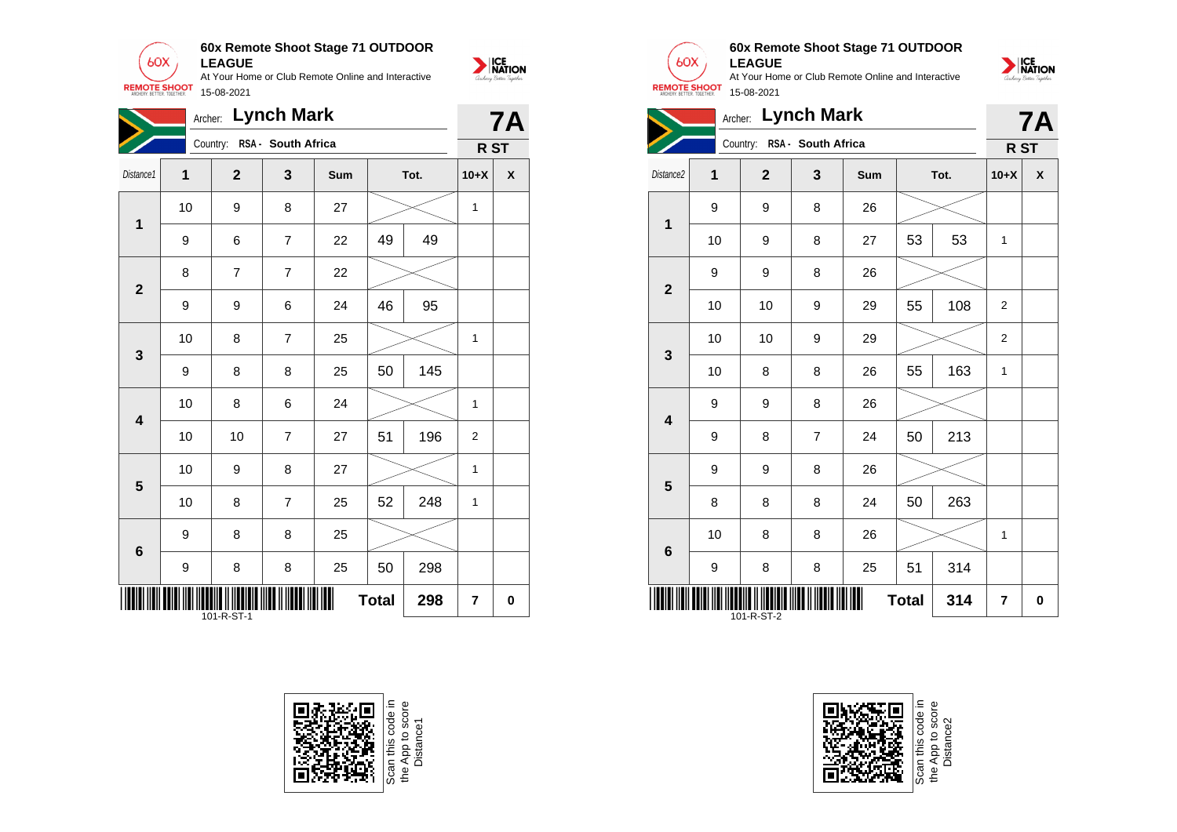**60x Remote Shoot Stage 71 OUTDOOR**  $60X$ **LEAGUE** At Your Home or Club Remote Online and Interactive

15-08-2021

**REMOTE SHOOT** 



|                         | Archer:          |                             | <b>Lynch Mark</b> |      |              |      |                | <b>7A</b>          |
|-------------------------|------------------|-----------------------------|-------------------|------|--------------|------|----------------|--------------------|
|                         |                  | Country: RSA - South Africa |                   | R ST |              |      |                |                    |
| Distance1               | 1                | $\mathbf 2$                 | 3                 | Sum  |              | Tot. | $10+X$         | $\pmb{\mathsf{X}}$ |
| $\mathbf 1$             | 10               | 9                           | 8                 | 27   |              |      | 1              |                    |
|                         | 9                | 6                           | $\overline{7}$    | 22   | 49           | 49   |                |                    |
| $\mathbf{2}$            | 8                | $\overline{7}$              | $\overline{7}$    | 22   |              |      |                |                    |
|                         | $\boldsymbol{9}$ | 9                           | 6                 | 24   | 46           | 95   |                |                    |
| $\mathbf{3}$            | 10               | 8                           | $\overline{7}$    | 25   |              |      | 1              |                    |
|                         | 9                | 8                           | 8                 | 25   | 50           | 145  |                |                    |
| $\overline{\mathbf{4}}$ | 10               | 8                           | 6                 | 24   |              |      | 1              |                    |
|                         | 10               | 10                          | $\overline{7}$    | 27   | 51           | 196  | $\overline{2}$ |                    |
| $\overline{\mathbf{5}}$ | 10               | 9                           | 8                 | 27   |              |      | 1              |                    |
|                         | 10               | 8                           | $\overline{7}$    | 25   | 52           | 248  | 1              |                    |
| $6\phantom{1}6$         | 9                | 8                           | 8                 | 25   |              |      |                |                    |
|                         | 9                | 8                           | 8                 | 25   | 50           | 298  |                |                    |
|                         |                  |                             |                   |      | <b>Total</b> | 298  | 7              | $\mathbf 0$        |

101-R-ST-1



the App to score<br>Distance 1



# **60x Remote Shoot Stage 71 OUTDOOR**



|                         | Archer: |              | <b>Lynch Mark</b>           |     |              |      |                 | <b>7A</b>          |
|-------------------------|---------|--------------|-----------------------------|-----|--------------|------|-----------------|--------------------|
|                         |         |              | Country: RSA - South Africa |     |              |      | R <sub>ST</sub> |                    |
| Distance2               | 1       | $\mathbf{2}$ | 3                           | Sum |              | Tot. | $10+X$          | $\pmb{\mathsf{X}}$ |
| 1                       | 9       | 9            | 8                           | 26  |              |      |                 |                    |
|                         | 10      | 9            | 8                           | 27  | 53           | 53   | 1               |                    |
| $\overline{2}$          | 9       | 9            | 8                           | 26  |              |      |                 |                    |
|                         | 10      | 10           | 9                           | 29  | 55           | 108  | $\overline{2}$  |                    |
| 3                       | 10      | 10           | 9                           | 29  |              |      | 2               |                    |
|                         | 10      | 8            | 8                           | 26  | 55           | 163  | 1               |                    |
| $\overline{\mathbf{4}}$ | 9       | 9            | 8                           | 26  |              |      |                 |                    |
|                         | 9       | 8            | $\overline{7}$              | 24  | 50           | 213  |                 |                    |
| 5                       | 9       | 9            | 8                           | 26  |              |      |                 |                    |
|                         | 8       | 8            | 8                           | 24  | 50           | 263  |                 |                    |
| 6                       | 10      | 8            | 8                           | 26  |              |      | 1               |                    |
|                         | 9       | 8            | 8                           | 25  | 51           | 314  |                 |                    |
|                         |         | 101-R-ST-2   |                             |     | <b>Total</b> | 314  | 7               | 0                  |